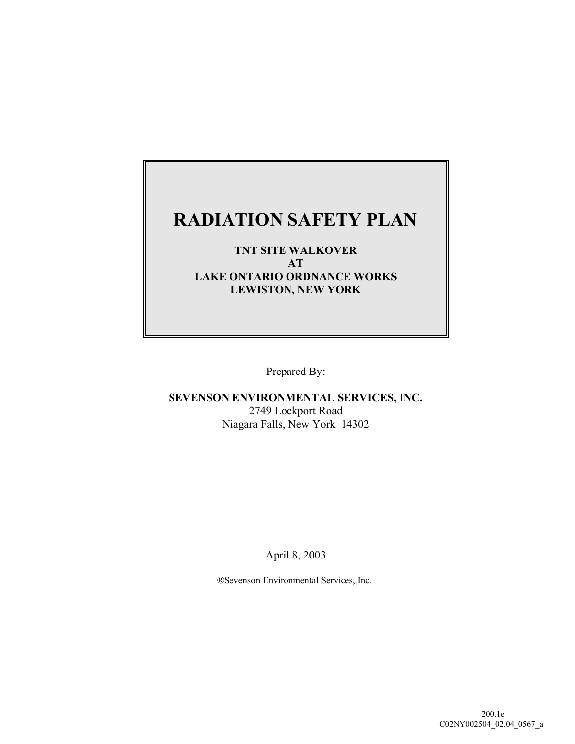# **RADIATION SAFETY PLAN**

### **TNT SITE WALKOVER AT LAKE ONTARIO ORDNANCE WORKS LEWISTON, NEW YORK**

Prepared By:

**SEVENSON ENVIRONMENTAL SERVICES, INC.** 2749 Lockport Road Niagara Falls, New York 14302

April 8, 2003

®Sevenson Environmental Services, Inc.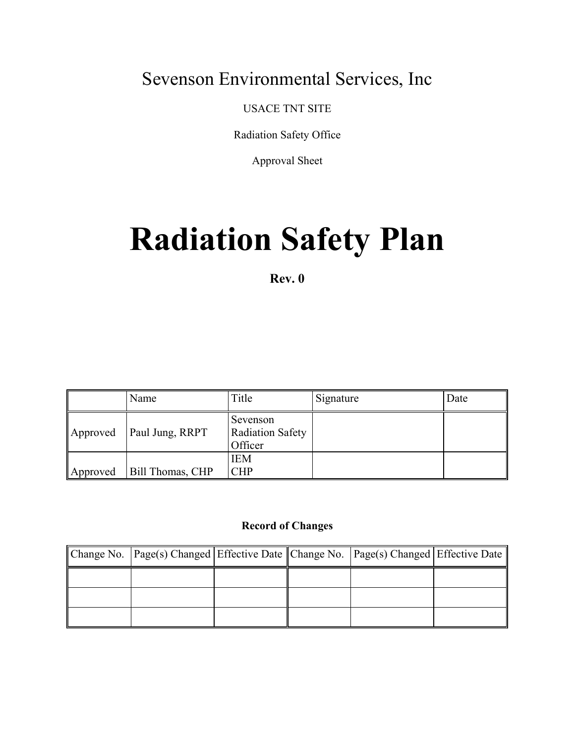# Sevenson Environmental Services, Inc

USACE TNT SITE

Radiation Safety Office

Approval Sheet

# **Radiation Safety Plan**

**Rev. 0**

|          | Name             | Title                                          | Signature | Date |
|----------|------------------|------------------------------------------------|-----------|------|
| Approved | Paul Jung, RRPT  | Sevenson<br><b>Radiation Safety</b><br>Officer |           |      |
| Approved | Bill Thomas, CHP | <b>IEM</b><br><b>CHP</b>                       |           |      |

#### **Record of Changes**

| Change No. Page(s) Changed Effective Date Change No. Page(s) Changed Effective Date |  |  |
|-------------------------------------------------------------------------------------|--|--|
|                                                                                     |  |  |
|                                                                                     |  |  |
|                                                                                     |  |  |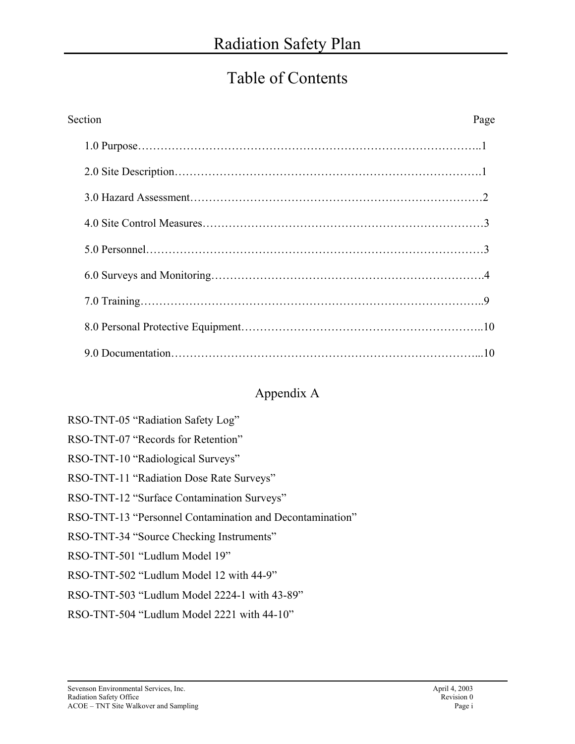# Table of Contents

| Section | Page |
|---------|------|
|         |      |
|         |      |
|         |      |
|         |      |
|         |      |
|         |      |
|         |      |
|         |      |
|         |      |

# Appendix A

| RSO-TNT-05 "Radiation Safety Log"  |  |
|------------------------------------|--|
| RSO-TNT-07 "Records for Retention" |  |

- RSO-TNT-10 "Radiological Surveys"
- RSO-TNT-11 "Radiation Dose Rate Surveys"
- RSO-TNT-12 "Surface Contamination Surveys"
- RSO-TNT-13 "Personnel Contamination and Decontamination"
- RSO-TNT-34 "Source Checking Instruments"
- RSO-TNT-501 "Ludlum Model 19"
- RSO-TNT-502 "Ludlum Model 12 with 44-9"
- RSO-TNT-503 "Ludlum Model 2224-1 with 43-89"
- RSO-TNT-504 "Ludlum Model 2221 with 44-10"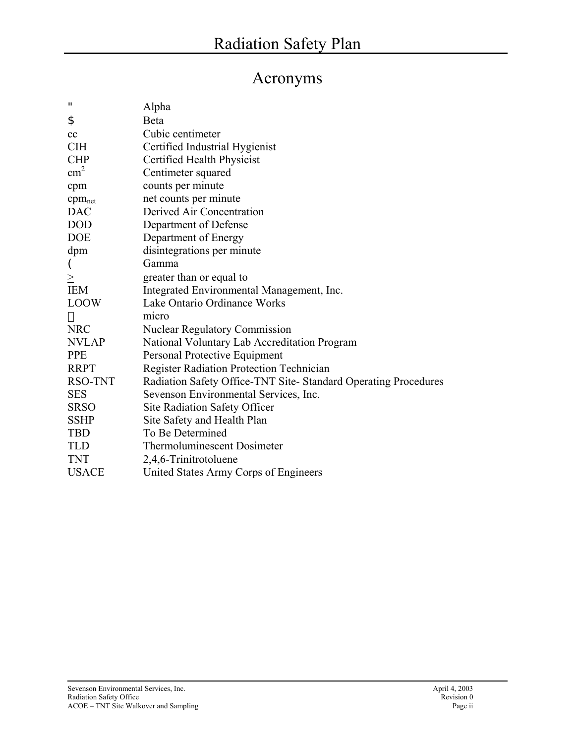# Acronyms

| $\mathbf{u}$       | Alpha                                                          |
|--------------------|----------------------------------------------------------------|
| \$                 | Beta                                                           |
| cc                 | Cubic centimeter                                               |
| <b>CIH</b>         | Certified Industrial Hygienist                                 |
| <b>CHP</b>         | Certified Health Physicist                                     |
| $\text{cm}^2$      | Centimeter squared                                             |
| cpm                | counts per minute                                              |
| cpm <sub>net</sub> | net counts per minute                                          |
| <b>DAC</b>         | Derived Air Concentration                                      |
| <b>DOD</b>         | Department of Defense                                          |
| <b>DOE</b>         | Department of Energy                                           |
| dpm                | disintegrations per minute                                     |
|                    | Gamma                                                          |
| $\geq$             | greater than or equal to                                       |
| <b>IEM</b>         | Integrated Environmental Management, Inc.                      |
| <b>LOOW</b>        | Lake Ontario Ordinance Works                                   |
|                    | micro                                                          |
| <b>NRC</b>         | <b>Nuclear Regulatory Commission</b>                           |
| <b>NVLAP</b>       | National Voluntary Lab Accreditation Program                   |
| <b>PPE</b>         | Personal Protective Equipment                                  |
| <b>RRPT</b>        | Register Radiation Protection Technician                       |
| RSO-TNT            | Radiation Safety Office-TNT Site-Standard Operating Procedures |
| <b>SES</b>         | Sevenson Environmental Services, Inc.                          |
| <b>SRSO</b>        | <b>Site Radiation Safety Officer</b>                           |
| <b>SSHP</b>        | Site Safety and Health Plan                                    |
| <b>TBD</b>         | To Be Determined                                               |
| <b>TLD</b>         | <b>Thermoluminescent Dosimeter</b>                             |
| <b>TNT</b>         | 2,4,6-Trinitrotoluene                                          |
| <b>USACE</b>       | United States Army Corps of Engineers                          |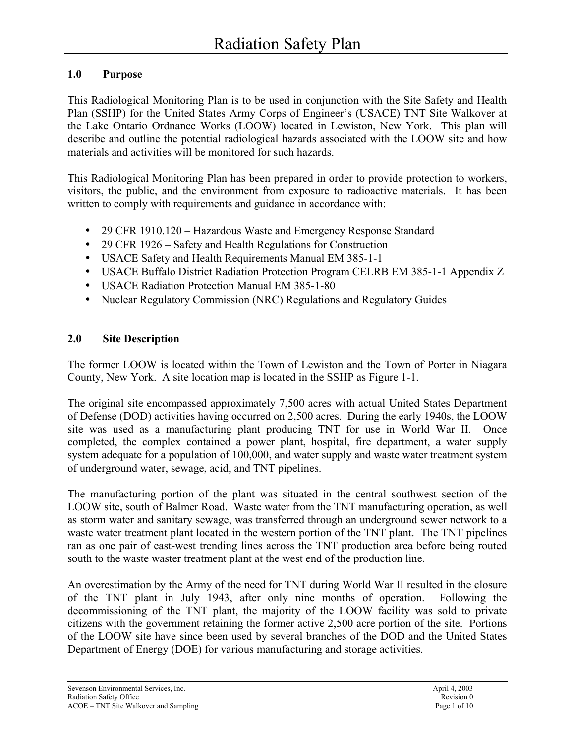### **1.0 Purpose**

This Radiological Monitoring Plan is to be used in conjunction with the Site Safety and Health Plan (SSHP) for the United States Army Corps of Engineer's (USACE) TNT Site Walkover at the Lake Ontario Ordnance Works (LOOW) located in Lewiston, New York. This plan will describe and outline the potential radiological hazards associated with the LOOW site and how materials and activities will be monitored for such hazards.

This Radiological Monitoring Plan has been prepared in order to provide protection to workers, visitors, the public, and the environment from exposure to radioactive materials. It has been written to comply with requirements and guidance in accordance with:

- 29 CFR 1910.120 Hazardous Waste and Emergency Response Standard
- 29 CFR 1926 Safety and Health Regulations for Construction
- USACE Safety and Health Requirements Manual EM 385-1-1
- USACE Buffalo District Radiation Protection Program CELRB EM 385-1-1 Appendix Z
- USACE Radiation Protection Manual EM 385-1-80
- Nuclear Regulatory Commission (NRC) Regulations and Regulatory Guides

### **2.0 Site Description**

The former LOOW is located within the Town of Lewiston and the Town of Porter in Niagara County, New York. A site location map is located in the SSHP as Figure 1-1.

The original site encompassed approximately 7,500 acres with actual United States Department of Defense (DOD) activities having occurred on 2,500 acres. During the early 1940s, the LOOW site was used as a manufacturing plant producing TNT for use in World War II. Once completed, the complex contained a power plant, hospital, fire department, a water supply system adequate for a population of 100,000, and water supply and waste water treatment system of underground water, sewage, acid, and TNT pipelines.

The manufacturing portion of the plant was situated in the central southwest section of the LOOW site, south of Balmer Road. Waste water from the TNT manufacturing operation, as well as storm water and sanitary sewage, was transferred through an underground sewer network to a waste water treatment plant located in the western portion of the TNT plant. The TNT pipelines ran as one pair of east-west trending lines across the TNT production area before being routed south to the waste waster treatment plant at the west end of the production line.

An overestimation by the Army of the need for TNT during World War II resulted in the closure of the TNT plant in July 1943, after only nine months of operation. Following the decommissioning of the TNT plant, the majority of the LOOW facility was sold to private citizens with the government retaining the former active 2,500 acre portion of the site. Portions of the LOOW site have since been used by several branches of the DOD and the United States Department of Energy (DOE) for various manufacturing and storage activities.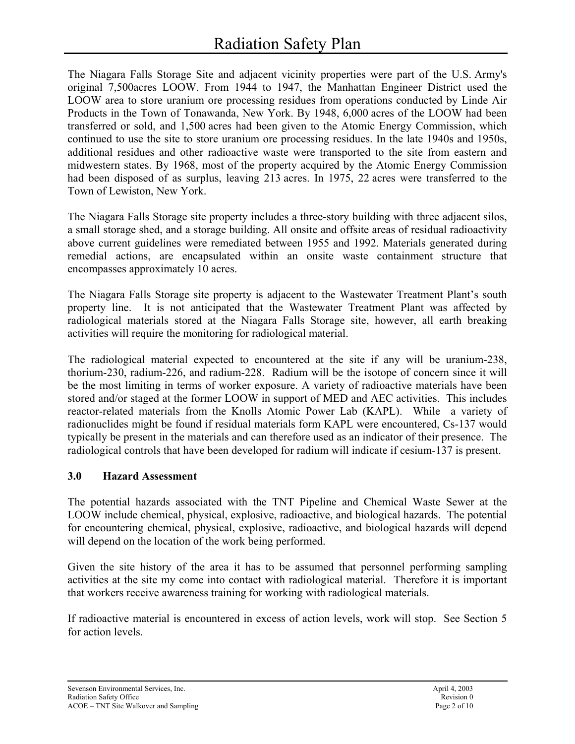The Niagara Falls Storage Site and adjacent vicinity properties were part of the U.S. Army's original 7,500acres LOOW. From 1944 to 1947, the Manhattan Engineer District used the LOOW area to store uranium ore processing residues from operations conducted by Linde Air Products in the Town of Tonawanda, New York. By 1948, 6,000 acres of the LOOW had been transferred or sold, and 1,500 acres had been given to the Atomic Energy Commission, which continued to use the site to store uranium ore processing residues. In the late 1940s and 1950s, additional residues and other radioactive waste were transported to the site from eastern and midwestern states. By 1968, most of the property acquired by the Atomic Energy Commission had been disposed of as surplus, leaving 213 acres. In 1975, 22 acres were transferred to the Town of Lewiston, New York.

The Niagara Falls Storage site property includes a three-story building with three adjacent silos, a small storage shed, and a storage building. All onsite and offsite areas of residual radioactivity above current guidelines were remediated between 1955 and 1992. Materials generated during remedial actions, are encapsulated within an onsite waste containment structure that encompasses approximately 10 acres.

The Niagara Falls Storage site property is adjacent to the Wastewater Treatment Plant's south property line. It is not anticipated that the Wastewater Treatment Plant was affected by radiological materials stored at the Niagara Falls Storage site, however, all earth breaking activities will require the monitoring for radiological material.

The radiological material expected to encountered at the site if any will be uranium-238, thorium-230, radium-226, and radium-228. Radium will be the isotope of concern since it will be the most limiting in terms of worker exposure. A variety of radioactive materials have been stored and/or staged at the former LOOW in support of MED and AEC activities. This includes reactor-related materials from the Knolls Atomic Power Lab (KAPL). While a variety of radionuclides might be found if residual materials form KAPL were encountered, Cs-137 would typically be present in the materials and can therefore used as an indicator of their presence. The radiological controls that have been developed for radium will indicate if cesium-137 is present.

# **3.0 Hazard Assessment**

The potential hazards associated with the TNT Pipeline and Chemical Waste Sewer at the LOOW include chemical, physical, explosive, radioactive, and biological hazards. The potential for encountering chemical, physical, explosive, radioactive, and biological hazards will depend will depend on the location of the work being performed.

Given the site history of the area it has to be assumed that personnel performing sampling activities at the site my come into contact with radiological material. Therefore it is important that workers receive awareness training for working with radiological materials.

If radioactive material is encountered in excess of action levels, work will stop. See Section 5 for action levels.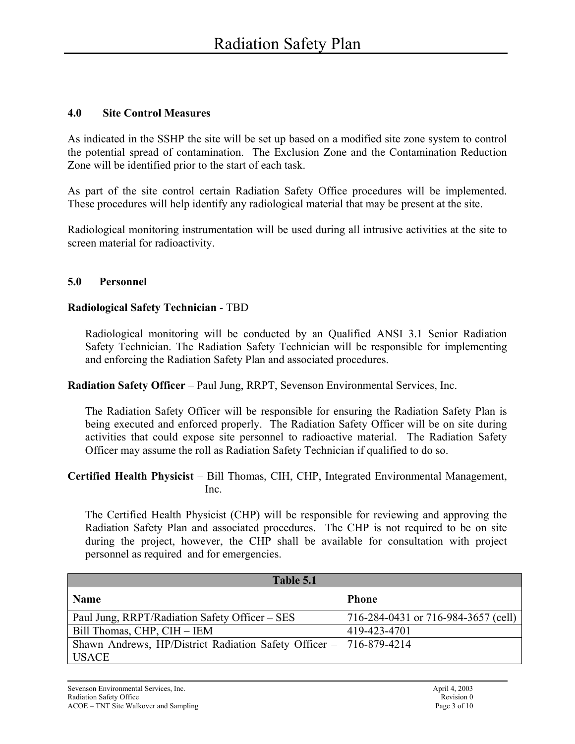### **4.0 Site Control Measures**

As indicated in the SSHP the site will be set up based on a modified site zone system to control the potential spread of contamination. The Exclusion Zone and the Contamination Reduction Zone will be identified prior to the start of each task.

As part of the site control certain Radiation Safety Office procedures will be implemented. These procedures will help identify any radiological material that may be present at the site.

Radiological monitoring instrumentation will be used during all intrusive activities at the site to screen material for radioactivity.

### **5.0 Personnel**

### **Radiological Safety Technician** - TBD

Radiological monitoring will be conducted by an Qualified ANSI 3.1 Senior Radiation Safety Technician. The Radiation Safety Technician will be responsible for implementing and enforcing the Radiation Safety Plan and associated procedures.

**Radiation Safety Officer** – Paul Jung, RRPT, Sevenson Environmental Services, Inc.

The Radiation Safety Officer will be responsible for ensuring the Radiation Safety Plan is being executed and enforced properly. The Radiation Safety Officer will be on site during activities that could expose site personnel to radioactive material. The Radiation Safety Officer may assume the roll as Radiation Safety Technician if qualified to do so.

#### **Certified Health Physicist** – Bill Thomas, CIH, CHP, Integrated Environmental Management, Inc.

The Certified Health Physicist (CHP) will be responsible for reviewing and approving the Radiation Safety Plan and associated procedures. The CHP is not required to be on site during the project, however, the CHP shall be available for consultation with project personnel as required and for emergencies.

| Table 5.1                                                          |                                     |
|--------------------------------------------------------------------|-------------------------------------|
| <b>Name</b>                                                        | <b>Phone</b>                        |
| Paul Jung, RRPT/Radiation Safety Officer – SES                     | 716-284-0431 or 716-984-3657 (cell) |
| Bill Thomas, CHP, CIH - IEM                                        | 419-423-4701                        |
| Shawn Andrews, HP/District Radiation Safety Officer - 716-879-4214 |                                     |
| <b>USACE</b>                                                       |                                     |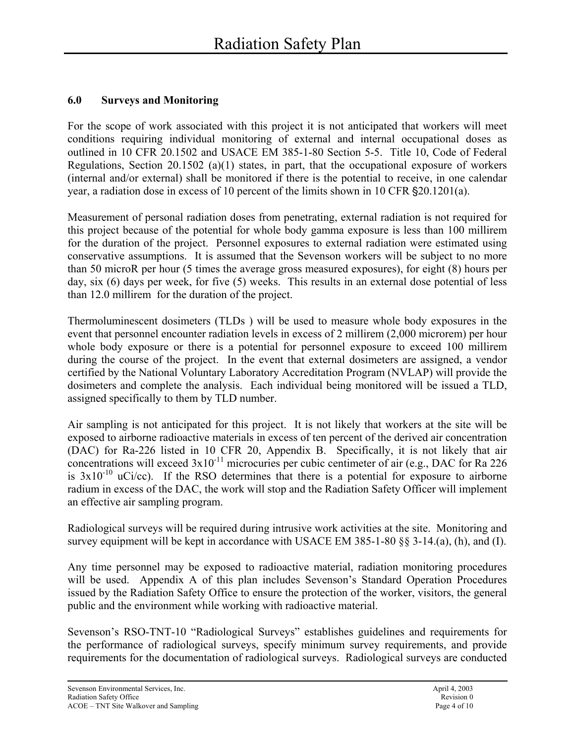### **6.0 Surveys and Monitoring**

For the scope of work associated with this project it is not anticipated that workers will meet conditions requiring individual monitoring of external and internal occupational doses as outlined in 10 CFR 20.1502 and USACE EM 385-1-80 Section 5-5. Title 10, Code of Federal Regulations, Section 20.1502 (a)(1) states, in part, that the occupational exposure of workers (internal and/or external) shall be monitored if there is the potential to receive, in one calendar year, a radiation dose in excess of 10 percent of the limits shown in 10 CFR  $\S 20.1201(a)$ .

Measurement of personal radiation doses from penetrating, external radiation is not required for this project because of the potential for whole body gamma exposure is less than 100 millirem for the duration of the project. Personnel exposures to external radiation were estimated using conservative assumptions. It is assumed that the Sevenson workers will be subject to no more than 50 microR per hour (5 times the average gross measured exposures), for eight (8) hours per day, six (6) days per week, for five (5) weeks. This results in an external dose potential of less than 12.0 millirem for the duration of the project.

Thermoluminescent dosimeters (TLDs ) will be used to measure whole body exposures in the event that personnel encounter radiation levels in excess of 2 millirem (2,000 microrem) per hour whole body exposure or there is a potential for personnel exposure to exceed 100 millirem during the course of the project. In the event that external dosimeters are assigned, a vendor certified by the National Voluntary Laboratory Accreditation Program (NVLAP) will provide the dosimeters and complete the analysis. Each individual being monitored will be issued a TLD, assigned specifically to them by TLD number.

Air sampling is not anticipated for this project. It is not likely that workers at the site will be exposed to airborne radioactive materials in excess of ten percent of the derived air concentration (DAC) for Ra-226 listed in 10 CFR 20, Appendix B. Specifically, it is not likely that air concentrations will exceed  $3x10^{-11}$  microcuries per cubic centimeter of air (e.g., DAC for Ra 226) is  $3x10^{-10}$  uCi/cc). If the RSO determines that there is a potential for exposure to airborne radium in excess of the DAC, the work will stop and the Radiation Safety Officer will implement an effective air sampling program.

Radiological surveys will be required during intrusive work activities at the site. Monitoring and survey equipment will be kept in accordance with USACE EM 385-1-80 §§ 3-14.(a), (h), and (I).

Any time personnel may be exposed to radioactive material, radiation monitoring procedures will be used. Appendix A of this plan includes Sevenson's Standard Operation Procedures issued by the Radiation Safety Office to ensure the protection of the worker, visitors, the general public and the environment while working with radioactive material.

Sevenson's RSO-TNT-10 "Radiological Surveys" establishes guidelines and requirements for the performance of radiological surveys, specify minimum survey requirements, and provide requirements for the documentation of radiological surveys. Radiological surveys are conducted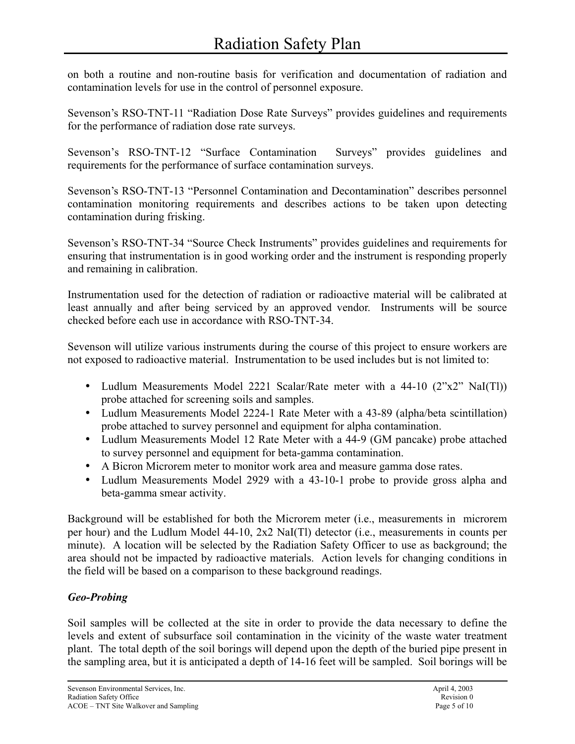on both a routine and non-routine basis for verification and documentation of radiation and contamination levels for use in the control of personnel exposure.

Sevenson's RSO-TNT-11 "Radiation Dose Rate Surveys" provides guidelines and requirements for the performance of radiation dose rate surveys.

Sevenson's RSO-TNT-12 "Surface Contamination Surveys" provides guidelines and requirements for the performance of surface contamination surveys.

Sevenson's RSO-TNT-13 "Personnel Contamination and Decontamination" describes personnel contamination monitoring requirements and describes actions to be taken upon detecting contamination during frisking.

Sevenson's RSO-TNT-34 "Source Check Instruments" provides guidelines and requirements for ensuring that instrumentation is in good working order and the instrument is responding properly and remaining in calibration.

Instrumentation used for the detection of radiation or radioactive material will be calibrated at least annually and after being serviced by an approved vendor. Instruments will be source checked before each use in accordance with RSO-TNT-34.

Sevenson will utilize various instruments during the course of this project to ensure workers are not exposed to radioactive material. Instrumentation to be used includes but is not limited to:

- Ludlum Measurements Model 2221 Scalar/Rate meter with a 44-10 (2"x2" NaI(Tl)) probe attached for screening soils and samples.
- Ludlum Measurements Model 2224-1 Rate Meter with a 43-89 (alpha/beta scintillation) probe attached to survey personnel and equipment for alpha contamination.
- Ludlum Measurements Model 12 Rate Meter with a 44-9 (GM pancake) probe attached to survey personnel and equipment for beta-gamma contamination.
- A Bicron Microrem meter to monitor work area and measure gamma dose rates.
- Ludlum Measurements Model 2929 with a 43-10-1 probe to provide gross alpha and beta-gamma smear activity.

Background will be established for both the Microrem meter (i.e., measurements in microrem per hour) and the Ludlum Model 44-10, 2x2 NaI(Tl) detector (i.e., measurements in counts per minute). A location will be selected by the Radiation Safety Officer to use as background; the area should not be impacted by radioactive materials. Action levels for changing conditions in the field will be based on a comparison to these background readings.

# *Geo-Probing*

Soil samples will be collected at the site in order to provide the data necessary to define the levels and extent of subsurface soil contamination in the vicinity of the waste water treatment plant. The total depth of the soil borings will depend upon the depth of the buried pipe present in the sampling area, but it is anticipated a depth of 14-16 feet will be sampled. Soil borings will be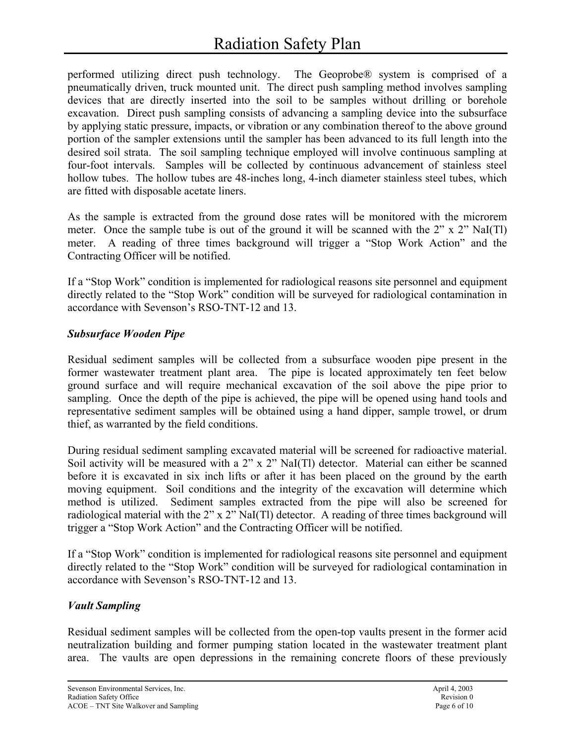performed utilizing direct push technology. The Geoprobe® system is comprised of a pneumatically driven, truck mounted unit. The direct push sampling method involves sampling devices that are directly inserted into the soil to be samples without drilling or borehole excavation. Direct push sampling consists of advancing a sampling device into the subsurface by applying static pressure, impacts, or vibration or any combination thereof to the above ground portion of the sampler extensions until the sampler has been advanced to its full length into the desired soil strata. The soil sampling technique employed will involve continuous sampling at four-foot intervals. Samples will be collected by continuous advancement of stainless steel hollow tubes. The hollow tubes are 48-inches long, 4-inch diameter stainless steel tubes, which are fitted with disposable acetate liners.

As the sample is extracted from the ground dose rates will be monitored with the microrem meter. Once the sample tube is out of the ground it will be scanned with the 2" x 2" NaI(Tl) meter. A reading of three times background will trigger a "Stop Work Action" and the Contracting Officer will be notified.

If a "Stop Work" condition is implemented for radiological reasons site personnel and equipment directly related to the "Stop Work" condition will be surveyed for radiological contamination in accordance with Sevenson's RSO-TNT-12 and 13.

### *Subsurface Wooden Pipe*

Residual sediment samples will be collected from a subsurface wooden pipe present in the former wastewater treatment plant area. The pipe is located approximately ten feet below ground surface and will require mechanical excavation of the soil above the pipe prior to sampling. Once the depth of the pipe is achieved, the pipe will be opened using hand tools and representative sediment samples will be obtained using a hand dipper, sample trowel, or drum thief, as warranted by the field conditions.

During residual sediment sampling excavated material will be screened for radioactive material. Soil activity will be measured with a 2" x 2" NaI(Tl) detector. Material can either be scanned before it is excavated in six inch lifts or after it has been placed on the ground by the earth moving equipment. Soil conditions and the integrity of the excavation will determine which method is utilized. Sediment samples extracted from the pipe will also be screened for radiological material with the 2" x 2" NaI(Tl) detector. A reading of three times background will trigger a "Stop Work Action" and the Contracting Officer will be notified.

If a "Stop Work" condition is implemented for radiological reasons site personnel and equipment directly related to the "Stop Work" condition will be surveyed for radiological contamination in accordance with Sevenson's RSO-TNT-12 and 13.

# *Vault Sampling*

Residual sediment samples will be collected from the open-top vaults present in the former acid neutralization building and former pumping station located in the wastewater treatment plant area. The vaults are open depressions in the remaining concrete floors of these previously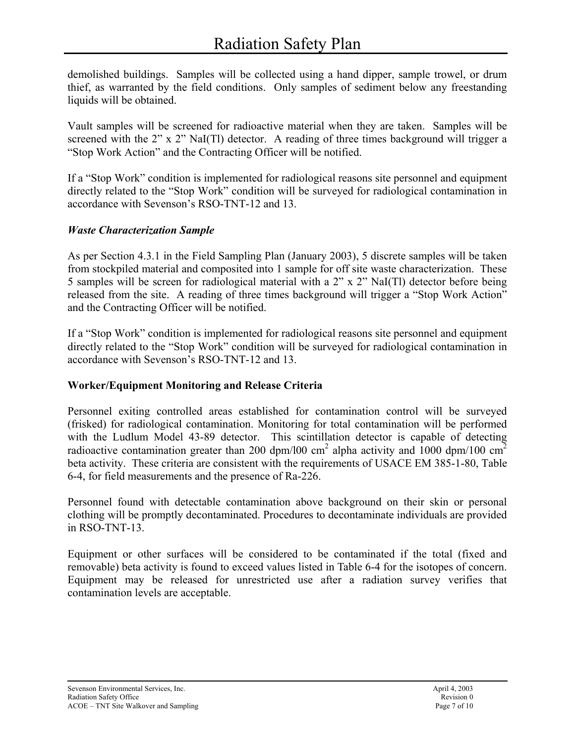demolished buildings. Samples will be collected using a hand dipper, sample trowel, or drum thief, as warranted by the field conditions. Only samples of sediment below any freestanding liquids will be obtained.

Vault samples will be screened for radioactive material when they are taken. Samples will be screened with the 2" x 2" NaI(Tl) detector. A reading of three times background will trigger a "Stop Work Action" and the Contracting Officer will be notified.

If a "Stop Work" condition is implemented for radiological reasons site personnel and equipment directly related to the "Stop Work" condition will be surveyed for radiological contamination in accordance with Sevenson's RSO-TNT-12 and 13.

# *Waste Characterization Sample*

As per Section 4.3.1 in the Field Sampling Plan (January 2003), 5 discrete samples will be taken from stockpiled material and composited into 1 sample for off site waste characterization. These 5 samples will be screen for radiological material with a 2" x 2" NaI(Tl) detector before being released from the site. A reading of three times background will trigger a "Stop Work Action" and the Contracting Officer will be notified.

If a "Stop Work" condition is implemented for radiological reasons site personnel and equipment directly related to the "Stop Work" condition will be surveyed for radiological contamination in accordance with Sevenson's RSO-TNT-12 and 13.

# **Worker/Equipment Monitoring and Release Criteria**

Personnel exiting controlled areas established for contamination control will be surveyed (frisked) for radiological contamination. Monitoring for total contamination will be performed with the Ludlum Model 43-89 detector. This scintillation detector is capable of detecting radioactive contamination greater than 200 dpm/l00 cm<sup>2</sup> alpha activity and 1000 dpm/100 cm<sup>2</sup> beta activity. These criteria are consistent with the requirements of USACE EM 385-1-80, Table 6-4, for field measurements and the presence of Ra-226.

Personnel found with detectable contamination above background on their skin or personal clothing will be promptly decontaminated. Procedures to decontaminate individuals are provided in RSO-TNT-13.

Equipment or other surfaces will be considered to be contaminated if the total (fixed and removable) beta activity is found to exceed values listed in Table 6-4 for the isotopes of concern. Equipment may be released for unrestricted use after a radiation survey verifies that contamination levels are acceptable.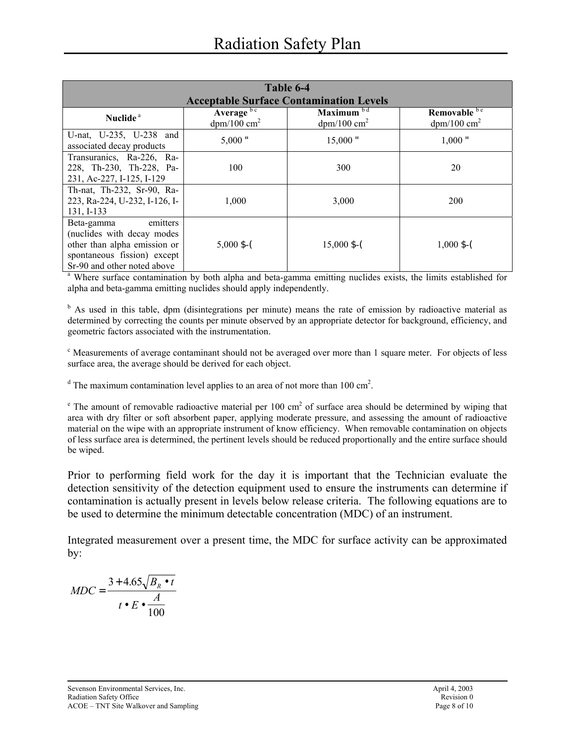|                                                                                                                                                     | Table 6-4                                          |                                            |                                           |  |  |  |
|-----------------------------------------------------------------------------------------------------------------------------------------------------|----------------------------------------------------|--------------------------------------------|-------------------------------------------|--|--|--|
|                                                                                                                                                     | <b>Acceptable Surface Contamination Levels</b>     |                                            |                                           |  |  |  |
| Nuclide <sup>a</sup>                                                                                                                                | Average <sup>bc</sup><br>$dpm/100$ cm <sup>2</sup> | Maximum $b d$<br>$dpm/100$ cm <sup>2</sup> | Removable be<br>$dpm/100$ cm <sup>2</sup> |  |  |  |
| U-nat, U-235, U-238 and<br>associated decay products                                                                                                | $5,000$ "                                          | 15,000"                                    | $1,000$ "                                 |  |  |  |
| Transuranics, Ra-226, Ra-<br>228, Th-230, Th-228, Pa-<br>231, Ac-227, I-125, I-129                                                                  | 100                                                | 300                                        | 20                                        |  |  |  |
| Th-nat, Th-232, Sr-90, Ra-<br>223, Ra-224, U-232, I-126, I-<br>131, I-133                                                                           | 1,000                                              | 3,000                                      | 200                                       |  |  |  |
| Beta-gamma<br>emitters<br>(nuclides with decay modes)<br>other than alpha emission or<br>spontaneous fission) except<br>Sr-90 and other noted above | $5,000$ \$-(                                       | $15,000$ \$-(                              | $1,000$ \$-(                              |  |  |  |

<sup>a</sup> Where surface contamination by both alpha and beta-gamma emitting nuclides exists, the limits established for alpha and beta-gamma emitting nuclides should apply independently.

<sup>b</sup> As used in this table, dpm (disintegrations per minute) means the rate of emission by radioactive material as determined by correcting the counts per minute observed by an appropriate detector for background, efficiency, and geometric factors associated with the instrumentation.

<sup>c</sup> Measurements of average contaminant should not be averaged over more than 1 square meter. For objects of less surface area, the average should be derived for each object.

<sup>d</sup> The maximum contamination level applies to an area of not more than 100 cm<sup>2</sup>.

 $^e$  The amount of removable radioactive material per 100 cm<sup>2</sup> of surface area should be determined by wiping that area with dry filter or soft absorbent paper, applying moderate pressure, and assessing the amount of radioactive material on the wipe with an appropriate instrument of know efficiency. When removable contamination on objects of less surface area is determined, the pertinent levels should be reduced proportionally and the entire surface should be wiped.

Prior to performing field work for the day it is important that the Technician evaluate the detection sensitivity of the detection equipment used to ensure the instruments can determine if contamination is actually present in levels below release criteria. The following equations are to be used to determine the minimum detectable concentration (MDC) of an instrument.

Integrated measurement over a present time, the MDC for surface activity can be approximated by:

*MDC*  $B_{\scriptscriptstyle R} \bullet t$  $t \bullet E$  $=\frac{3+4.65\sqrt{B_R}\bullet}{A}$  $\bullet$   $E$   $\bullet$  $3 + 4.65$ 100 .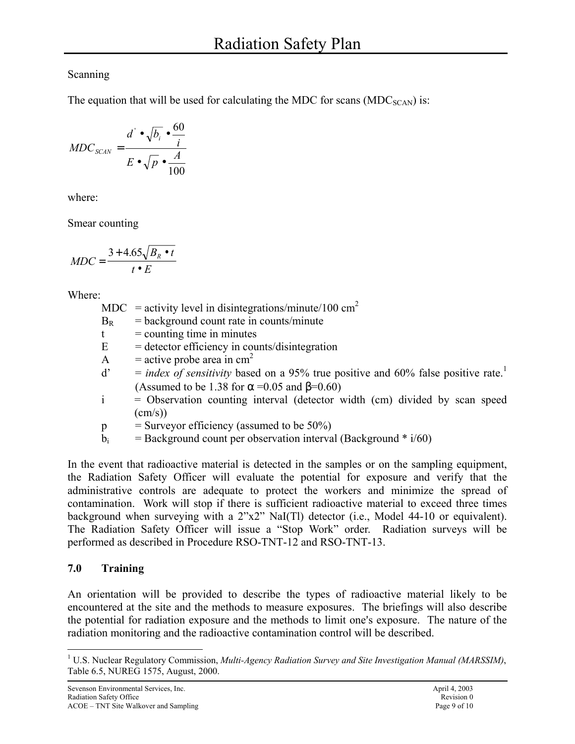# Scanning

The equation that will be used for calculating the MDC for scans ( $MDC_{SCAN}$ ) is:

$$
MDC_{SCAN} = \frac{d^{\prime} \bullet \sqrt{b_i} \bullet \frac{60}{i}}{E \bullet \sqrt{p} \bullet \frac{A}{100}}
$$

where:

Smear counting

$$
MDC = \frac{3 + 4.65\sqrt{B_R \bullet t}}{t \bullet E}
$$

Where:

- MDC = activity level in disintegrations/minute/100  $\text{cm}^2$
- $B_R$  = background count rate in counts/minute
- $t =$  counting time in minutes
- $E =$  detector efficiency in counts/disintegration
- A = active probe area in  $cm<sup>2</sup>$
- $d' = index of sensitivity based on a 95% true positive and 60% false positive rate.<sup>1</sup>$ (Assumed to be 1.38 for  $\alpha$  =0.05 and  $\beta$ =0.60)
- $i$  = Observation counting interval (detector width (cm) divided by scan speed  $(cm/s)$
- $p =$  Surveyor efficiency (assumed to be 50%)
- $b_i$  = Background count per observation interval (Background  $*$  i/60)

In the event that radioactive material is detected in the samples or on the sampling equipment, the Radiation Safety Officer will evaluate the potential for exposure and verify that the administrative controls are adequate to protect the workers and minimize the spread of contamination. Work will stop if there is sufficient radioactive material to exceed three times background when surveying with a 2"x2" NaI(Tl) detector (i.e., Model 44-10 or equivalent). The Radiation Safety Officer will issue a "Stop Work" order. Radiation surveys will be performed as described in Procedure RSO-TNT-12 and RSO-TNT-13.

# **7.0 Training**

An orientation will be provided to describe the types of radioactive material likely to be encountered at the site and the methods to measure exposures. The briefings will also describe the potential for radiation exposure and the methods to limit one's exposure. The nature of the radiation monitoring and the radioactive contamination control will be described.

<sup>1</sup> <sup>1</sup> U.S. Nuclear Regulatory Commission, *Multi-Agency Radiation Survey and Site Investigation Manual (MARSSIM)*, Table 6.5, NUREG 1575, August, 2000.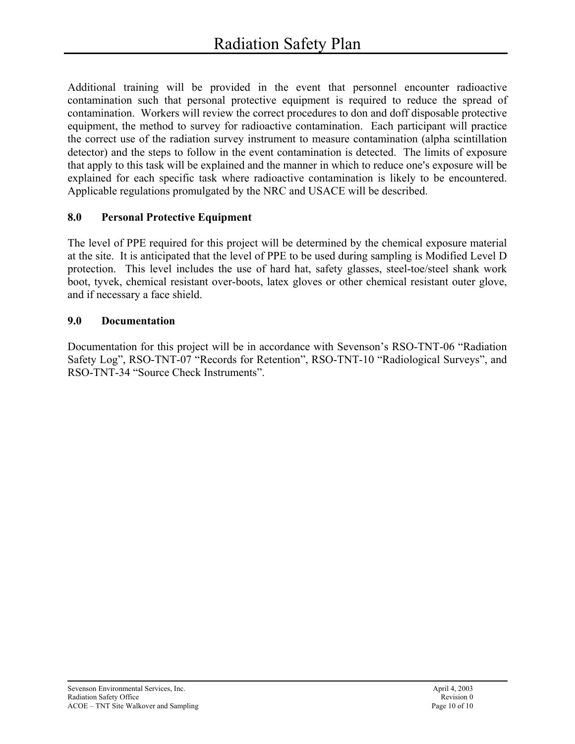Additional training will be provided in the event that personnel encounter radioactive contamination such that personal protective equipment is required to reduce the spread of contamination. Workers will review the correct procedures to don and doff disposable protective equipment, the method to survey for radioactive contamination. Each participant will practice the correct use of the radiation survey instrument to measure contamination (alpha scintillation detector) and the steps to follow in the event contamination is detected. The limits of exposure that apply to this task will be explained and the manner in which to reduce one's exposure will be explained for each specific task where radioactive contamination is likely to be encountered. Applicable regulations promulgated by the NRC and USACE will be described.

# **8.0 Personal Protective Equipment**

The level of PPE required for this project will be determined by the chemical exposure material at the site. It is anticipated that the level of PPE to be used during sampling is Modified Level D protection. This level includes the use of hard hat, safety glasses, steel-toe/steel shank work boot, tyvek, chemical resistant over-boots, latex gloves or other chemical resistant outer glove, and if necessary a face shield.

### **9.0 Documentation**

Documentation for this project will be in accordance with Sevenson's RSO-TNT-06 "Radiation Safety Log", RSO-TNT-07 "Records for Retention", RSO-TNT-10 "Radiological Surveys", and RSO-TNT-34 "Source Check Instruments".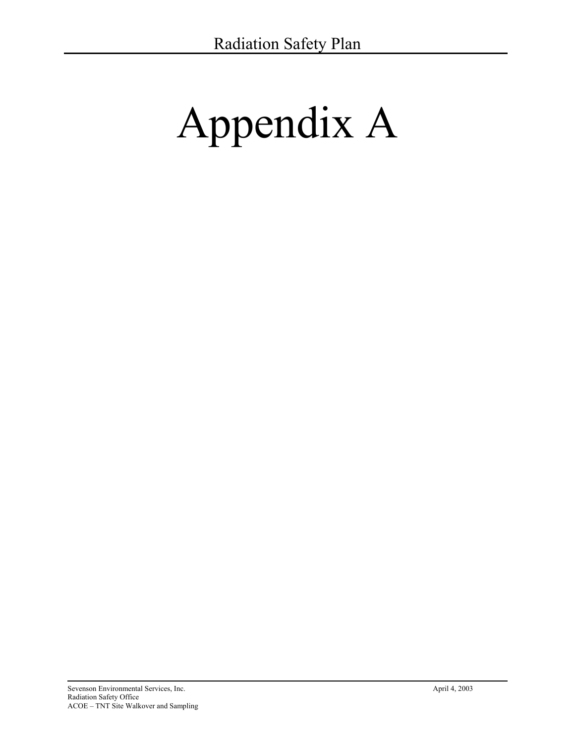# Appendix A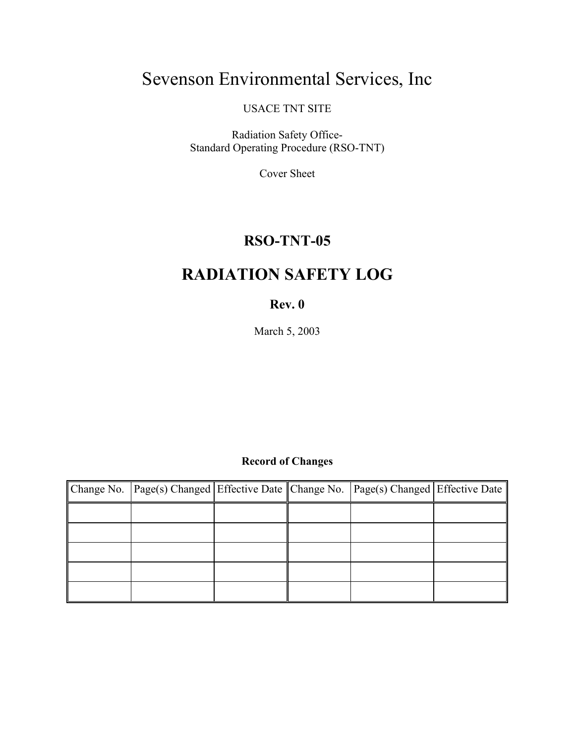# Sevenson Environmental Services, Inc

USACE TNT SITE

Radiation Safety Office-Standard Operating Procedure (RSO-TNT)

Cover Sheet

# **RSO-TNT-05**

# **RADIATION SAFETY LOG**

# **Rev. 0**

March 5, 2003

# **Record of Changes**

| Change No. Page(s) Changed Effective Date Change No. Page(s) Changed Effective Date |  |  |
|-------------------------------------------------------------------------------------|--|--|
|                                                                                     |  |  |
|                                                                                     |  |  |
|                                                                                     |  |  |
|                                                                                     |  |  |
|                                                                                     |  |  |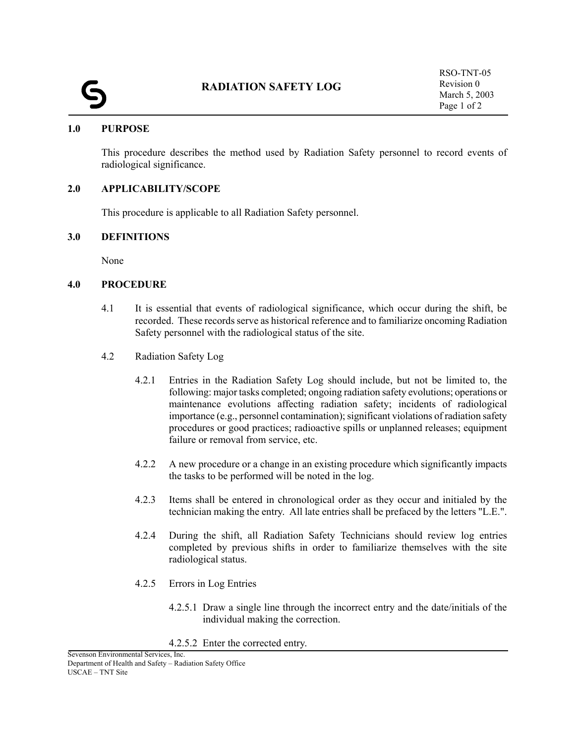#### **1.0 PURPOSE**

This procedure describes the method used by Radiation Safety personnel to record events of radiological significance.

#### **2.0 APPLICABILITY/SCOPE**

This procedure is applicable to all Radiation Safety personnel.

#### **3.0 DEFINITIONS**

None

#### **4.0 PROCEDURE**

- 4.1 It is essential that events of radiological significance, which occur during the shift, be recorded. These records serve as historical reference and to familiarize oncoming Radiation Safety personnel with the radiological status of the site.
- 4.2 Radiation Safety Log
	- 4.2.1 Entries in the Radiation Safety Log should include, but not be limited to, the following: major tasks completed; ongoing radiation safety evolutions; operations or maintenance evolutions affecting radiation safety; incidents of radiological importance (e.g., personnel contamination); significant violations of radiation safety procedures or good practices; radioactive spills or unplanned releases; equipment failure or removal from service, etc.
	- 4.2.2 A new procedure or a change in an existing procedure which significantly impacts the tasks to be performed will be noted in the log.
	- 4.2.3 Items shall be entered in chronological order as they occur and initialed by the technician making the entry. All late entries shall be prefaced by the letters "L.E.".
	- 4.2.4 During the shift, all Radiation Safety Technicians should review log entries completed by previous shifts in order to familiarize themselves with the site radiological status.
	- 4.2.5 Errors in Log Entries
		- 4.2.5.1 Draw a single line through the incorrect entry and the date/initials of the individual making the correction.
		- 4.2.5.2 Enter the corrected entry.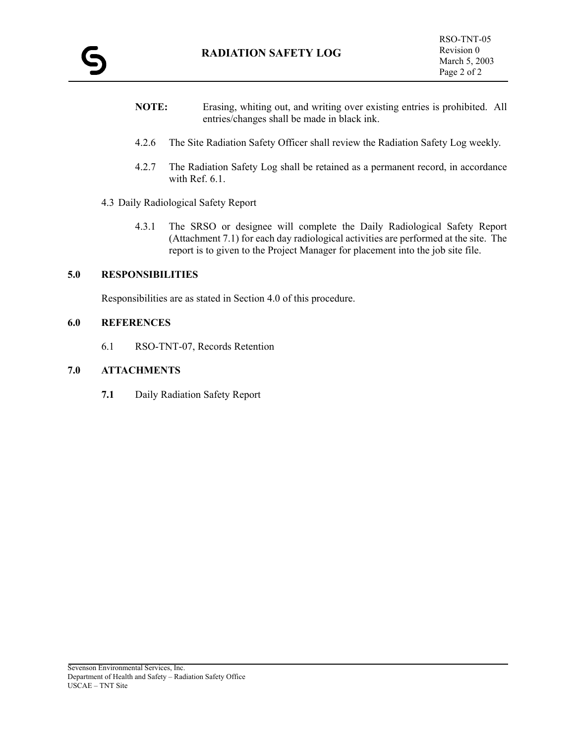- **NOTE:** Erasing, whiting out, and writing over existing entries is prohibited. All entries/changes shall be made in black ink.
- 4.2.6 The Site Radiation Safety Officer shall review the Radiation Safety Log weekly.
- 4.2.7 The Radiation Safety Log shall be retained as a permanent record, in accordance with Ref. 6.1.
- 4.3 Daily Radiological Safety Report
	- 4.3.1 The SRSO or designee will complete the Daily Radiological Safety Report (Attachment 7.1) for each day radiological activities are performed at the site. The report is to given to the Project Manager for placement into the job site file.

#### **5.0 RESPONSIBILITIES**

Responsibilities are as stated in Section 4.0 of this procedure.

#### **6.0 REFERENCES**

6.1 RSO-TNT-07, Records Retention

#### **7.0 ATTACHMENTS**

**7.1** Daily Radiation Safety Report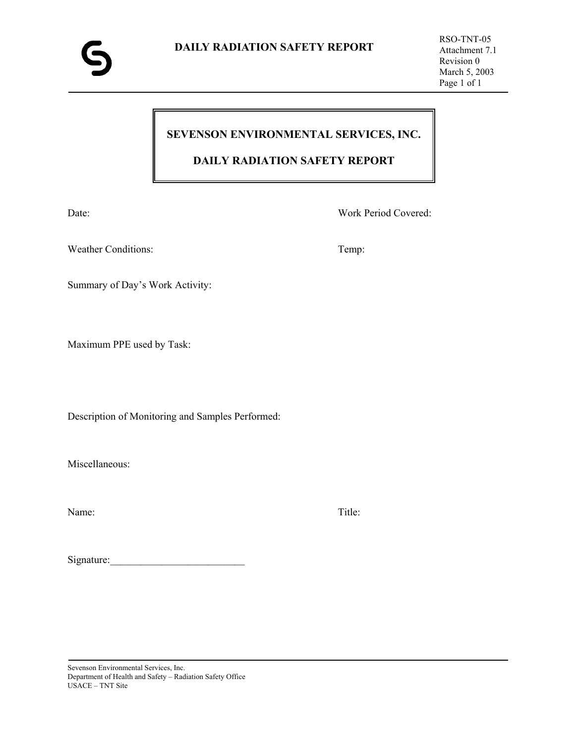# **SEVENSON ENVIRONMENTAL SERVICES, INC.**

# **DAILY RADIATION SAFETY REPORT**

Date: Work Period Covered:

Weather Conditions: Temp:

Summary of Day's Work Activity:

Maximum PPE used by Task:

Description of Monitoring and Samples Performed:

Miscellaneous:

Name: Title:

Signature:\_\_\_\_\_\_\_\_\_\_\_\_\_\_\_\_\_\_\_\_\_\_\_\_\_\_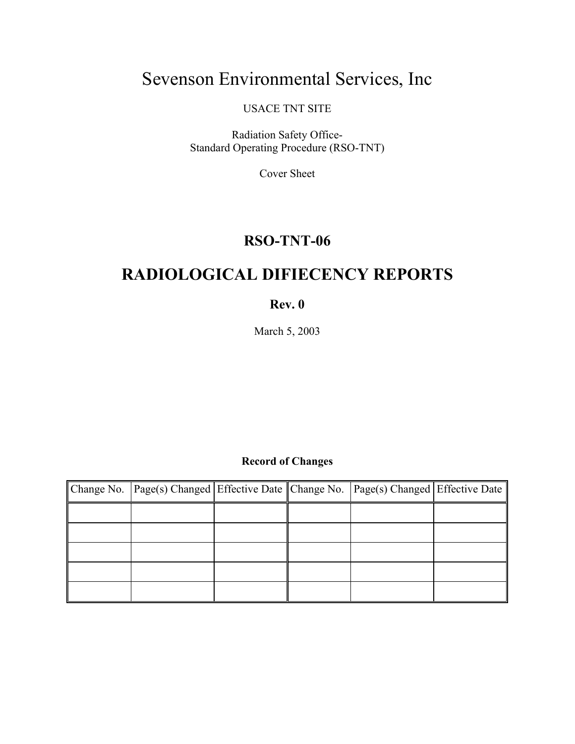# Sevenson Environmental Services, Inc

USACE TNT SITE

Radiation Safety Office-Standard Operating Procedure (RSO-TNT)

Cover Sheet

# **RSO-TNT-06**

# **RADIOLOGICAL DIFIECENCY REPORTS**

### **Rev. 0**

March 5, 2003

# **Record of Changes**

| Change No. Page(s) Changed Effective Date Change No. Page(s) Changed Effective Date |  |  |
|-------------------------------------------------------------------------------------|--|--|
|                                                                                     |  |  |
|                                                                                     |  |  |
|                                                                                     |  |  |
|                                                                                     |  |  |
|                                                                                     |  |  |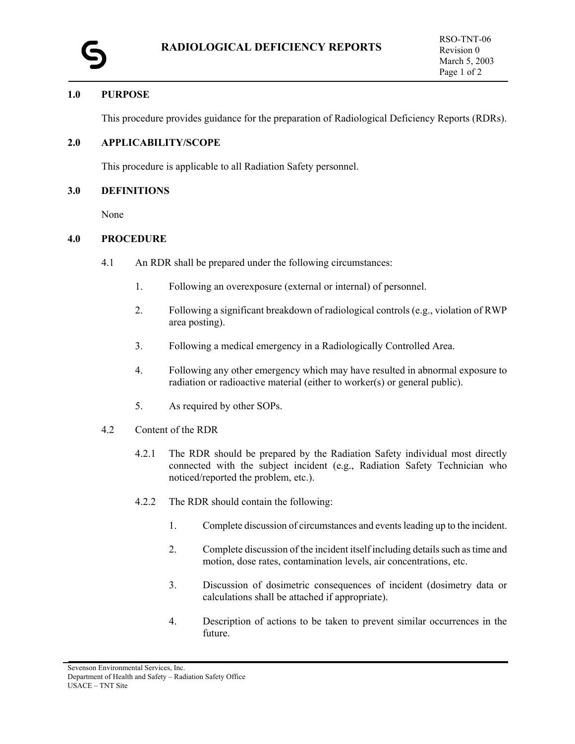#### **1.0 PURPOSE**

This procedure provides guidance for the preparation of Radiological Deficiency Reports (RDRs).

#### **2.0 APPLICABILITY/SCOPE**

This procedure is applicable to all Radiation Safety personnel.

#### **3.0 DEFINITIONS**

None

#### **4.0 PROCEDURE**

- 4.1 An RDR shall be prepared under the following circumstances:
	- 1. Following an overexposure (external or internal) of personnel.
	- 2. Following a significant breakdown of radiological controls (e.g., violation of RWP area posting).
	- 3. Following a medical emergency in a Radiologically Controlled Area.
	- 4. Following any other emergency which may have resulted in abnormal exposure to radiation or radioactive material (either to worker(s) or general public).
	- 5. As required by other SOPs.
- 4.2 Content of the RDR
	- 4.2.1 The RDR should be prepared by the Radiation Safety individual most directly connected with the subject incident (e.g., Radiation Safety Technician who noticed/reported the problem, etc.).
	- 4.2.2 The RDR should contain the following:
		- 1. Complete discussion of circumstances and events leading up to the incident.
		- 2. Complete discussion of the incident itself including details such as time and motion, dose rates, contamination levels, air concentrations, etc.
		- 3. Discussion of dosimetric consequences of incident (dosimetry data or calculations shall be attached if appropriate).
		- 4. Description of actions to be taken to prevent similar occurrences in the future.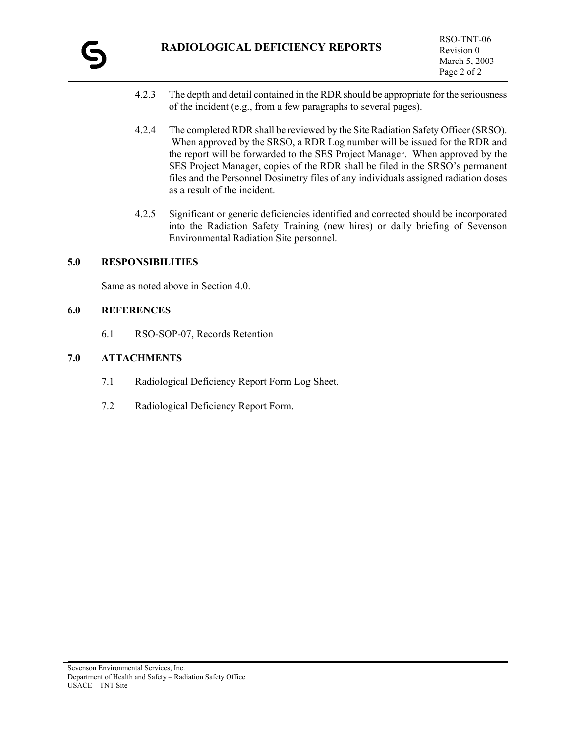- 4.2.3 The depth and detail contained in the RDR should be appropriate for the seriousness of the incident (e.g., from a few paragraphs to several pages).
- 4.2.4 The completed RDR shall be reviewed by the Site Radiation Safety Officer (SRSO). When approved by the SRSO, a RDR Log number will be issued for the RDR and the report will be forwarded to the SES Project Manager. When approved by the SES Project Manager, copies of the RDR shall be filed in the SRSO's permanent files and the Personnel Dosimetry files of any individuals assigned radiation doses as a result of the incident.
- 4.2.5 Significant or generic deficiencies identified and corrected should be incorporated into the Radiation Safety Training (new hires) or daily briefing of Sevenson Environmental Radiation Site personnel.

#### **5.0 RESPONSIBILITIES**

Same as noted above in Section 4.0.

#### **6.0 REFERENCES**

6.1 RSO-SOP-07, Records Retention

#### **7.0 ATTACHMENTS**

- 7.1 Radiological Deficiency Report Form Log Sheet.
- 7.2 Radiological Deficiency Report Form.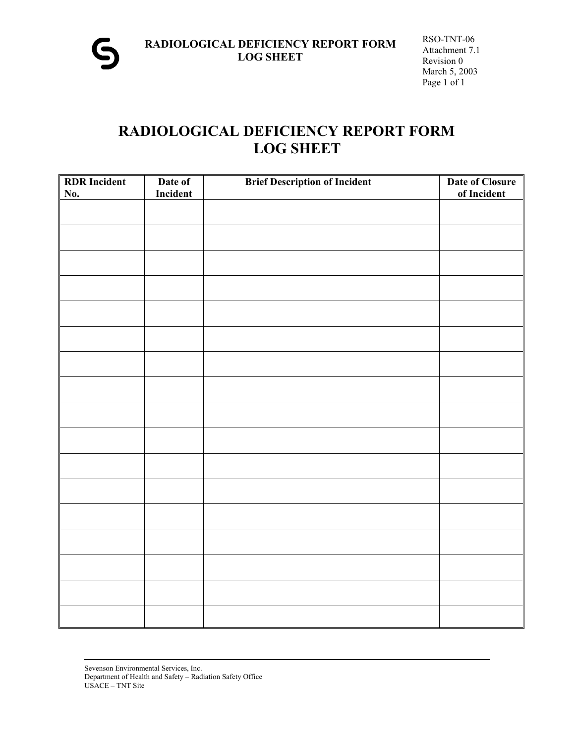

# **RADIOLOGICAL DEFICIENCY REPORT FORM LOG SHEET**

| <b>RDR</b> Incident | Date of  | <b>Brief Description of Incident</b> | <b>Date of Closure</b> |
|---------------------|----------|--------------------------------------|------------------------|
| No.                 | Incident |                                      | of Incident            |
|                     |          |                                      |                        |
|                     |          |                                      |                        |
|                     |          |                                      |                        |
|                     |          |                                      |                        |
|                     |          |                                      |                        |
|                     |          |                                      |                        |
|                     |          |                                      |                        |
|                     |          |                                      |                        |
|                     |          |                                      |                        |
|                     |          |                                      |                        |
|                     |          |                                      |                        |
|                     |          |                                      |                        |
|                     |          |                                      |                        |
|                     |          |                                      |                        |
|                     |          |                                      |                        |
|                     |          |                                      |                        |
|                     |          |                                      |                        |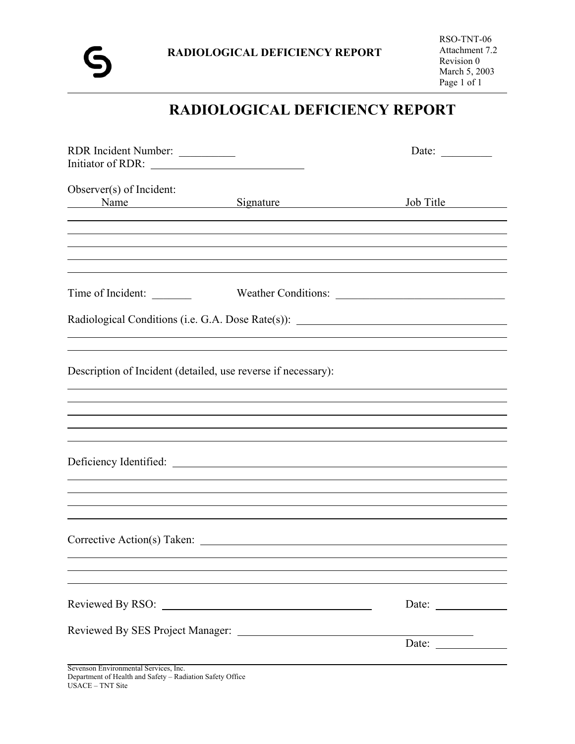# **RADIOLOGICAL DEFICIENCY REPORT**

| RDR Incident Number:                                          |                                                                                   | Date: $\_\_$ |
|---------------------------------------------------------------|-----------------------------------------------------------------------------------|--------------|
| Observer(s) of Incident:<br>Name                              | Signature                                                                         | Job Title    |
|                                                               |                                                                                   |              |
| Time of Incident:                                             |                                                                                   |              |
|                                                               | Radiological Conditions (i.e. G.A. Dose Rate(s)): _______________________________ |              |
| Description of Incident (detailed, use reverse if necessary): |                                                                                   |              |
|                                                               |                                                                                   |              |
|                                                               |                                                                                   |              |
|                                                               | Deficiency Identified:                                                            |              |
|                                                               | ,我们也不会有什么。""我们的人,我们也不会有什么?""我们的人,我们也不会有什么?""我们的人,我们也不会有什么?""我们的人,我们也不会有什么?""我们的人  |              |
|                                                               |                                                                                   |              |
|                                                               |                                                                                   |              |
|                                                               |                                                                                   | Date: $\_\_$ |
|                                                               |                                                                                   | Date:        |
| Sevenson Environmental Services, Inc.                         |                                                                                   |              |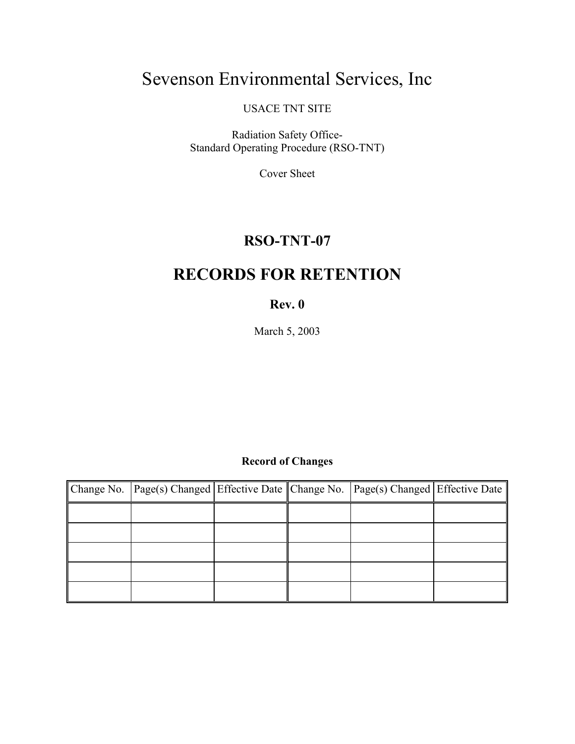# Sevenson Environmental Services, Inc

USACE TNT SITE

Radiation Safety Office-Standard Operating Procedure (RSO-TNT)

Cover Sheet

# **RSO-TNT-07**

# **RECORDS FOR RETENTION**

### **Rev. 0**

March 5, 2003

# **Record of Changes**

| Change No. Page(s) Changed Effective Date Change No. Page(s) Changed Effective Date |  |  |
|-------------------------------------------------------------------------------------|--|--|
|                                                                                     |  |  |
|                                                                                     |  |  |
|                                                                                     |  |  |
|                                                                                     |  |  |
|                                                                                     |  |  |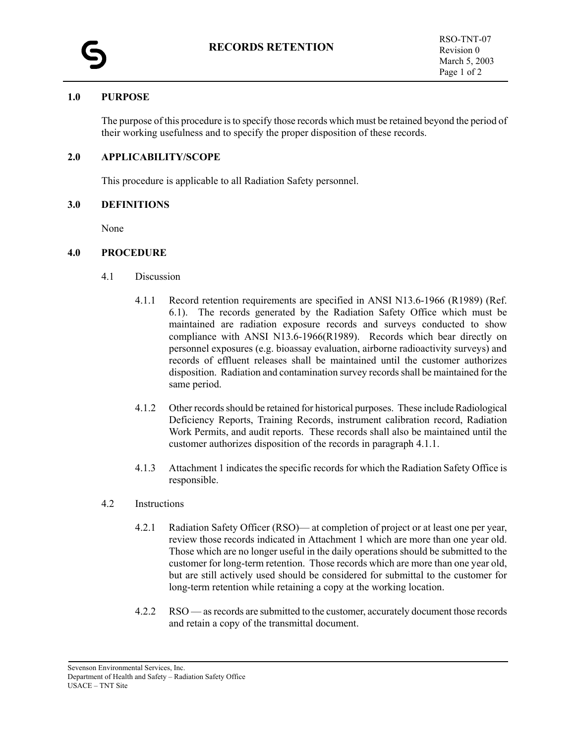#### **1.0 PURPOSE**

The purpose of this procedure is to specify those records which must be retained beyond the period of their working usefulness and to specify the proper disposition of these records.

#### **2.0 APPLICABILITY/SCOPE**

This procedure is applicable to all Radiation Safety personnel.

#### **3.0 DEFINITIONS**

None

#### **4.0 PROCEDURE**

- 4.1 Discussion
	- 4.1.1 Record retention requirements are specified in ANSI N13.6-1966 (R1989) (Ref. 6.1). The records generated by the Radiation Safety Office which must be maintained are radiation exposure records and surveys conducted to show compliance with ANSI N13.6-1966(R1989). Records which bear directly on personnel exposures (e.g. bioassay evaluation, airborne radioactivity surveys) and records of effluent releases shall be maintained until the customer authorizes disposition. Radiation and contamination survey records shall be maintained for the same period.
	- 4.1.2 Other records should be retained for historical purposes. These include Radiological Deficiency Reports, Training Records, instrument calibration record, Radiation Work Permits, and audit reports. These records shall also be maintained until the customer authorizes disposition of the records in paragraph 4.1.1.
	- 4.1.3 Attachment 1 indicates the specific records for which the Radiation Safety Office is responsible.
- 4.2 Instructions
	- 4.2.1 Radiation Safety Officer (RSO)— at completion of project or at least one per year, review those records indicated in Attachment 1 which are more than one year old. Those which are no longer useful in the daily operations should be submitted to the customer for long-term retention. Those records which are more than one year old, but are still actively used should be considered for submittal to the customer for long-term retention while retaining a copy at the working location.
	- 4.2.2 RSO as records are submitted to the customer, accurately document those records and retain a copy of the transmittal document.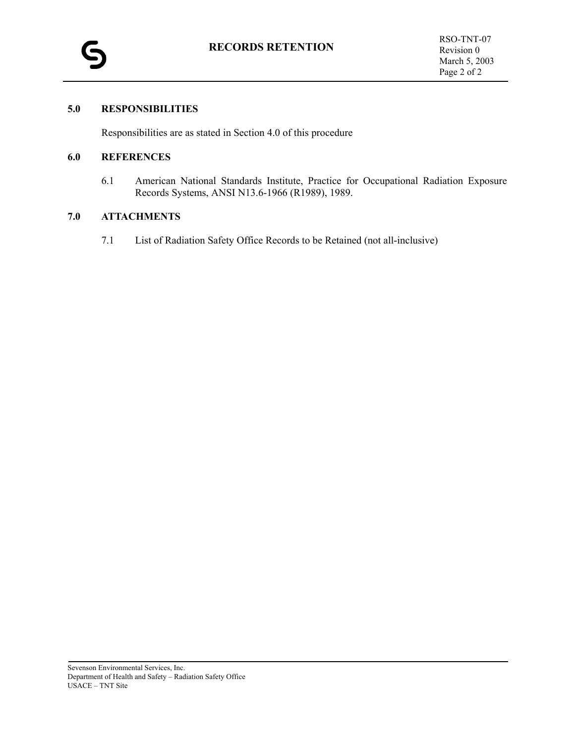#### **5.0 RESPONSIBILITIES**

Responsibilities are as stated in Section 4.0 of this procedure

#### **6.0 REFERENCES**

6.1 American National Standards Institute, Practice for Occupational Radiation Exposure Records Systems, ANSI N13.6-1966 (R1989), 1989.

#### **7.0 ATTACHMENTS**

7.1 List of Radiation Safety Office Records to be Retained (not all-inclusive)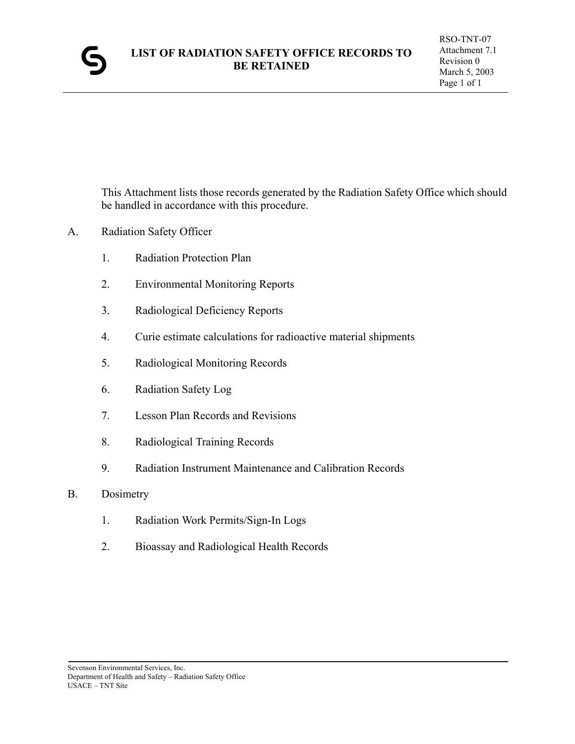

This Attachment lists those records generated by the Radiation Safety Office which should be handled in accordance with this procedure.

- A. Radiation Safety Officer
	- 1. Radiation Protection Plan
	- 2. Environmental Monitoring Reports
	- 3. Radiological Deficiency Reports
	- 4. Curie estimate calculations for radioactive material shipments
	- 5. Radiological Monitoring Records
	- 6. Radiation Safety Log
	- 7. Lesson Plan Records and Revisions
	- 8. Radiological Training Records
	- 9. Radiation Instrument Maintenance and Calibration Records
- B. Dosimetry
	- 1. Radiation Work Permits/Sign-In Logs
	- 2. Bioassay and Radiological Health Records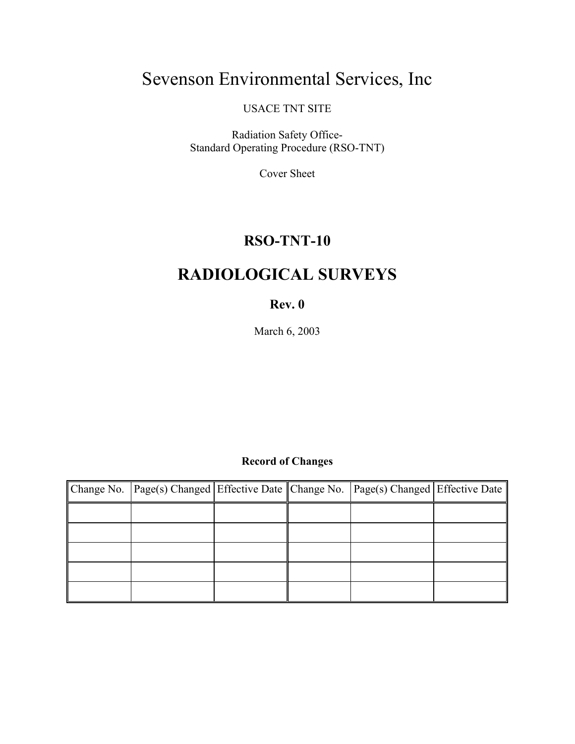# Sevenson Environmental Services, Inc

USACE TNT SITE

Radiation Safety Office-Standard Operating Procedure (RSO-TNT)

Cover Sheet

# **RSO-TNT-10**

# **RADIOLOGICAL SURVEYS**

# **Rev. 0**

March 6, 2003

# **Record of Changes**

| Change No. Page(s) Changed Effective Date Change No. Page(s) Changed Effective Date |  |  |
|-------------------------------------------------------------------------------------|--|--|
|                                                                                     |  |  |
|                                                                                     |  |  |
|                                                                                     |  |  |
|                                                                                     |  |  |
|                                                                                     |  |  |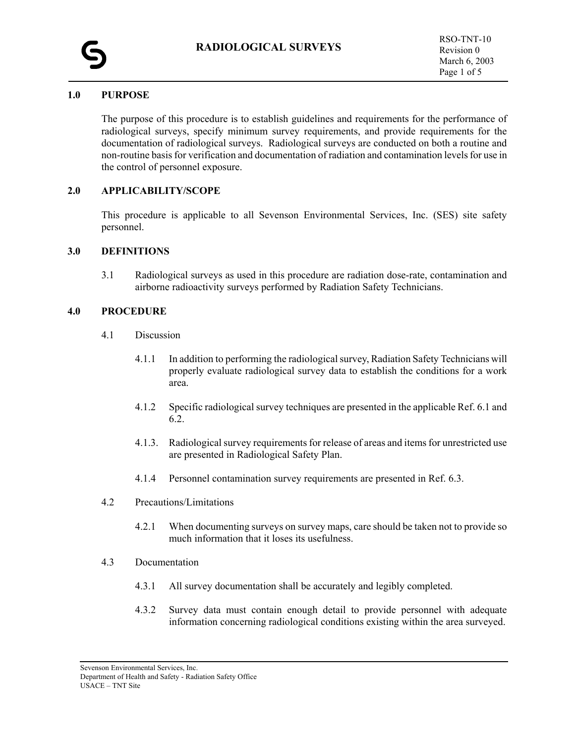

#### **1.0 PURPOSE**

The purpose of this procedure is to establish guidelines and requirements for the performance of radiological surveys, specify minimum survey requirements, and provide requirements for the documentation of radiological surveys. Radiological surveys are conducted on both a routine and non-routine basis for verification and documentation of radiation and contamination levels for use in the control of personnel exposure.

#### **2.0 APPLICABILITY/SCOPE**

This procedure is applicable to all Sevenson Environmental Services, Inc. (SES) site safety personnel.

#### **3.0 DEFINITIONS**

3.1 Radiological surveys as used in this procedure are radiation dose-rate, contamination and airborne radioactivity surveys performed by Radiation Safety Technicians.

#### **4.0 PROCEDURE**

- 4.1 Discussion
	- 4.1.1 In addition to performing the radiological survey, Radiation Safety Technicians will properly evaluate radiological survey data to establish the conditions for a work area.
	- 4.1.2 Specific radiological survey techniques are presented in the applicable Ref. 6.1 and 6.2.
	- 4.1.3. Radiological survey requirements for release of areas and items for unrestricted use are presented in Radiological Safety Plan.
	- 4.1.4 Personnel contamination survey requirements are presented in Ref. 6.3.
- 4.2 Precautions/Limitations
	- 4.2.1 When documenting surveys on survey maps, care should be taken not to provide so much information that it loses its usefulness.
- 4.3 Documentation
	- 4.3.1 All survey documentation shall be accurately and legibly completed.
	- 4.3.2 Survey data must contain enough detail to provide personnel with adequate information concerning radiological conditions existing within the area surveyed.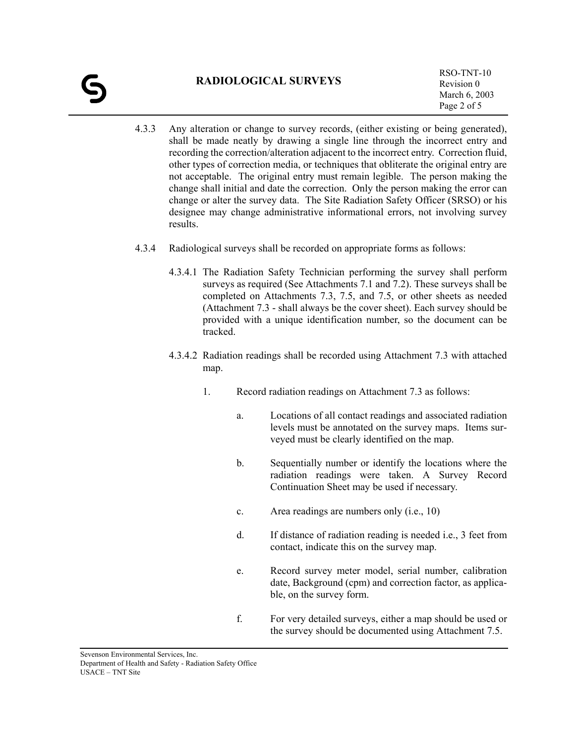- 4.3.3 Any alteration or change to survey records, (either existing or being generated), shall be made neatly by drawing a single line through the incorrect entry and recording the correction/alteration adjacent to the incorrect entry. Correction fluid, other types of correction media, or techniques that obliterate the original entry are not acceptable. The original entry must remain legible. The person making the change shall initial and date the correction. Only the person making the error can change or alter the survey data. The Site Radiation Safety Officer (SRSO) or his designee may change administrative informational errors, not involving survey results.
- 4.3.4 Radiological surveys shall be recorded on appropriate forms as follows:
	- 4.3.4.1 The Radiation Safety Technician performing the survey shall perform surveys as required (See Attachments 7.1 and 7.2). These surveys shall be completed on Attachments 7.3, 7.5, and 7.5, or other sheets as needed (Attachment 7.3 - shall always be the cover sheet). Each survey should be provided with a unique identification number, so the document can be tracked.
	- 4.3.4.2 Radiation readings shall be recorded using Attachment 7.3 with attached map.
		- 1. Record radiation readings on Attachment 7.3 as follows:
			- a. Locations of all contact readings and associated radiation levels must be annotated on the survey maps. Items surveyed must be clearly identified on the map.
			- b. Sequentially number or identify the locations where the radiation readings were taken. A Survey Record Continuation Sheet may be used if necessary.
			- c. Area readings are numbers only (i.e., 10)
			- d. If distance of radiation reading is needed i.e., 3 feet from contact, indicate this on the survey map.
			- e. Record survey meter model, serial number, calibration date, Background (cpm) and correction factor, as applicable, on the survey form.
			- f. For very detailed surveys, either a map should be used or the survey should be documented using Attachment 7.5.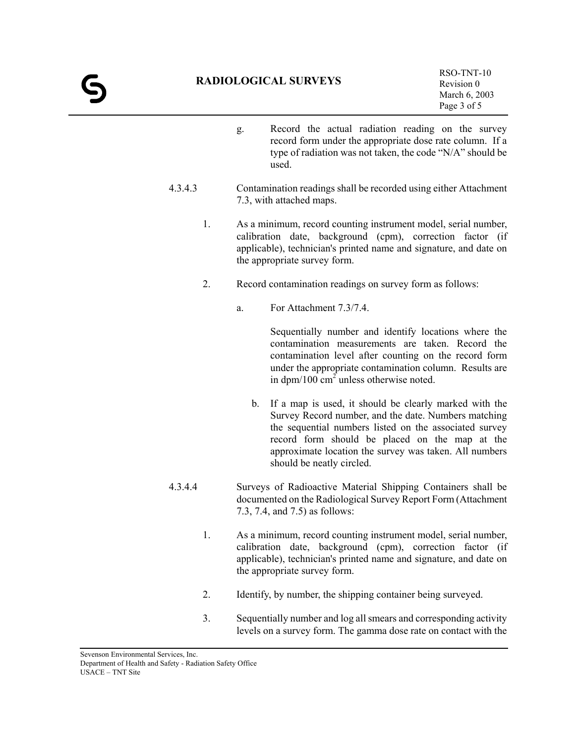- g. Record the actual radiation reading on the survey record form under the appropriate dose rate column. If a type of radiation was not taken, the code "N/A" should be used.
- 4.3.4.3 Contamination readings shall be recorded using either Attachment 7.3, with attached maps.
	- 1. As a minimum, record counting instrument model, serial number, calibration date, background (cpm), correction factor (if applicable), technician's printed name and signature, and date on the appropriate survey form.
	- 2. Record contamination readings on survey form as follows:
		- a. For Attachment 7.3/7.4.

Sequentially number and identify locations where the contamination measurements are taken. Record the contamination level after counting on the record form under the appropriate contamination column. Results are in dpm/100  $\text{cm}^2$  unless otherwise noted.

- b. If a map is used, it should be clearly marked with the Survey Record number, and the date. Numbers matching the sequential numbers listed on the associated survey record form should be placed on the map at the approximate location the survey was taken. All numbers should be neatly circled.
- 4.3.4.4 Surveys of Radioactive Material Shipping Containers shall be documented on the Radiological Survey Report Form (Attachment 7.3, 7.4, and 7.5) as follows:
	- 1. As a minimum, record counting instrument model, serial number, calibration date, background (cpm), correction factor (if applicable), technician's printed name and signature, and date on the appropriate survey form.
	- 2. Identify, by number, the shipping container being surveyed.
	- 3. Sequentially number and log all smears and corresponding activity levels on a survey form. The gamma dose rate on contact with the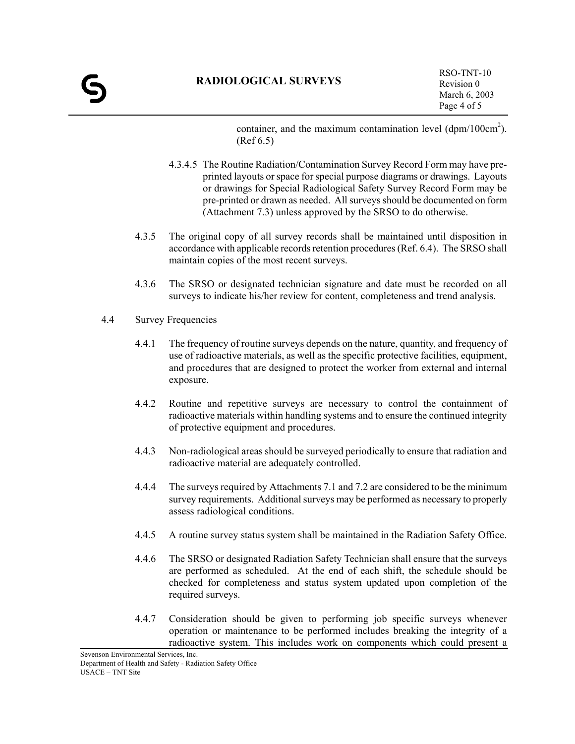container, and the maximum contamination level  $(dpm/100cm<sup>2</sup>)$ . (Ref 6.5)

- 4.3.4.5 The Routine Radiation/Contamination Survey Record Form may have preprinted layouts or space for special purpose diagrams or drawings. Layouts or drawings for Special Radiological Safety Survey Record Form may be pre-printed or drawn as needed. All surveys should be documented on form (Attachment 7.3) unless approved by the SRSO to do otherwise.
- 4.3.5 The original copy of all survey records shall be maintained until disposition in accordance with applicable records retention procedures (Ref. 6.4). The SRSO shall maintain copies of the most recent surveys.
- 4.3.6 The SRSO or designated technician signature and date must be recorded on all surveys to indicate his/her review for content, completeness and trend analysis.
- 4.4 Survey Frequencies
	- 4.4.1 The frequency of routine surveys depends on the nature, quantity, and frequency of use of radioactive materials, as well as the specific protective facilities, equipment, and procedures that are designed to protect the worker from external and internal exposure.
	- 4.4.2 Routine and repetitive surveys are necessary to control the containment of radioactive materials within handling systems and to ensure the continued integrity of protective equipment and procedures.
	- 4.4.3 Non-radiological areas should be surveyed periodically to ensure that radiation and radioactive material are adequately controlled.
	- 4.4.4 The surveys required by Attachments 7.1 and 7.2 are considered to be the minimum survey requirements. Additional surveys may be performed as necessary to properly assess radiological conditions.
	- 4.4.5 A routine survey status system shall be maintained in the Radiation Safety Office.
	- 4.4.6 The SRSO or designated Radiation Safety Technician shall ensure that the surveys are performed as scheduled. At the end of each shift, the schedule should be checked for completeness and status system updated upon completion of the required surveys.
	- 4.4.7 Consideration should be given to performing job specific surveys whenever operation or maintenance to be performed includes breaking the integrity of a radioactive system. This includes work on components which could present a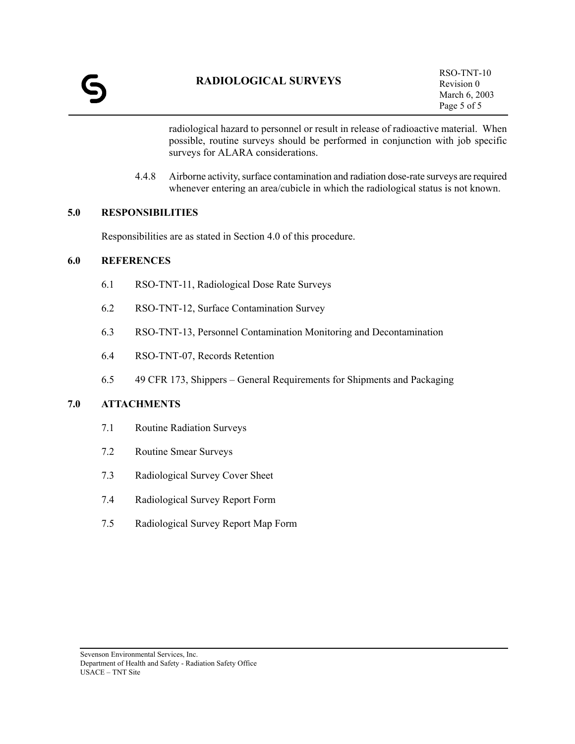radiological hazard to personnel or result in release of radioactive material. When possible, routine surveys should be performed in conjunction with job specific surveys for ALARA considerations.

4.4.8 Airborne activity, surface contamination and radiation dose-rate surveys are required whenever entering an area/cubicle in which the radiological status is not known.

#### **5.0 RESPONSIBILITIES**

Responsibilities are as stated in Section 4.0 of this procedure.

#### **6.0 REFERENCES**

- 6.1 RSO-TNT-11, Radiological Dose Rate Surveys
- 6.2 RSO-TNT-12, Surface Contamination Survey
- 6.3 RSO-TNT-13, Personnel Contamination Monitoring and Decontamination
- 6.4 RSO-TNT-07, Records Retention
- 6.5 49 CFR 173, Shippers General Requirements for Shipments and Packaging

#### **7.0 ATTACHMENTS**

- 7.1 Routine Radiation Surveys
- 7.2 Routine Smear Surveys
- 7.3 Radiological Survey Cover Sheet
- 7.4 Radiological Survey Report Form
- 7.5 Radiological Survey Report Map Form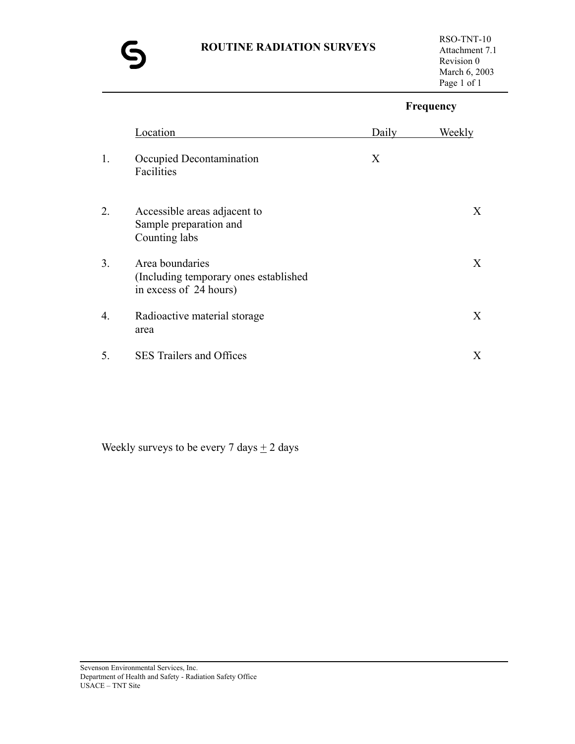### **ROUTINE RADIATION SURVEYS**



# **Frequency** Location Daily Weekly 1. Occupied Decontamination X Facilities 2. Accessible areas adjacent to X Sample preparation and Counting labs 3. Area boundaries X (Including temporary ones established in excess of 24 hours) 4. Radioactive material storage X area 5. SES Trailers and Offices X

Weekly surveys to be every 7 days  $\pm$  2 days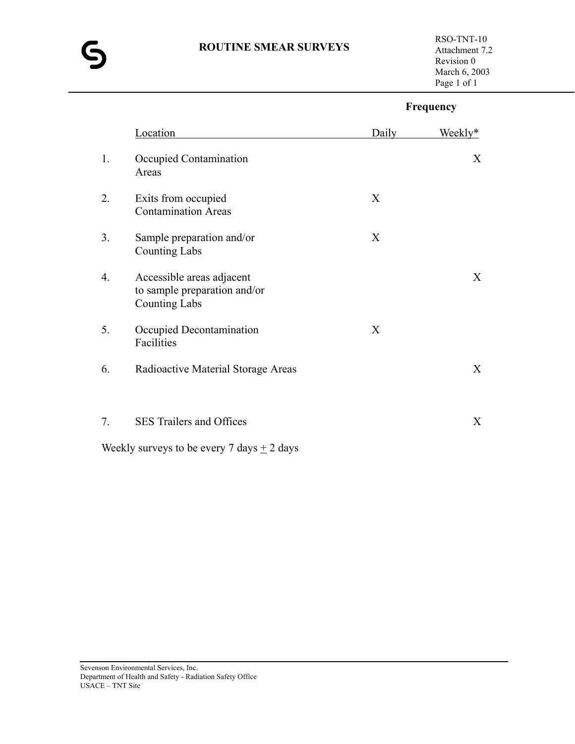### **ROUTINE SMEAR SURVEYS**



# **Frequency**

|    | Location                                                                          | Daily | Weekly* |
|----|-----------------------------------------------------------------------------------|-------|---------|
| 1. | Occupied Contamination<br>Areas                                                   |       | X       |
| 2. | Exits from occupied<br><b>Contamination Areas</b>                                 | X     |         |
| 3. | Sample preparation and/or<br><b>Counting Labs</b>                                 | X     |         |
| 4. | Accessible areas adjacent<br>to sample preparation and/or<br><b>Counting Labs</b> |       | X       |
| 5. | Occupied Decontamination<br>Facilities                                            | X     |         |
| 6. | Radioactive Material Storage Areas                                                |       | X       |
| 7. | SES Trailers and Offices                                                          |       | X       |
|    | Weekly surveys to be every 7 days $\pm$ 2 days                                    |       |         |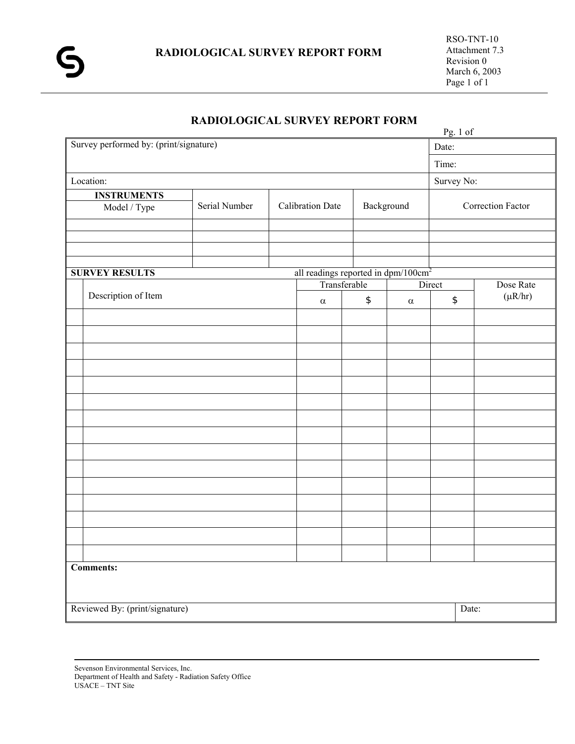|                         | Pg. 1 of                                        |               |  |                                                 |              |            |                                               |                   |  |
|-------------------------|-------------------------------------------------|---------------|--|-------------------------------------------------|--------------|------------|-----------------------------------------------|-------------------|--|
|                         | Survey performed by: (print/signature)<br>Date: |               |  |                                                 |              |            |                                               |                   |  |
|                         |                                                 | Time:         |  |                                                 |              |            |                                               |                   |  |
| Survey No:<br>Location: |                                                 |               |  |                                                 |              |            |                                               |                   |  |
|                         | <b>INSTRUMENTS</b>                              |               |  |                                                 |              |            |                                               |                   |  |
|                         | Model / Type                                    | Serial Number |  | <b>Calibration Date</b>                         |              | Background |                                               | Correction Factor |  |
|                         |                                                 |               |  |                                                 |              |            |                                               |                   |  |
|                         |                                                 |               |  |                                                 |              |            |                                               |                   |  |
|                         |                                                 |               |  |                                                 |              |            |                                               |                   |  |
|                         | <b>SURVEY RESULTS</b>                           |               |  | all readings reported in dpm/100cm <sup>2</sup> |              |            |                                               |                   |  |
|                         |                                                 |               |  | Transferable                                    |              |            | Direct                                        | Dose Rate         |  |
|                         | Description of Item                             |               |  | $\alpha$                                        | $\spadesuit$ | $\alpha$   | $\, \, \raisebox{12pt}{$\scriptstyle \circ$}$ | $(\mu R/hr)$      |  |
|                         |                                                 |               |  |                                                 |              |            |                                               |                   |  |
|                         |                                                 |               |  |                                                 |              |            |                                               |                   |  |
|                         |                                                 |               |  |                                                 |              |            |                                               |                   |  |
|                         |                                                 |               |  |                                                 |              |            |                                               |                   |  |
|                         |                                                 |               |  |                                                 |              |            |                                               |                   |  |
|                         |                                                 |               |  |                                                 |              |            |                                               |                   |  |
|                         |                                                 |               |  |                                                 |              |            |                                               |                   |  |
|                         |                                                 |               |  |                                                 |              |            |                                               |                   |  |
|                         |                                                 |               |  |                                                 |              |            |                                               |                   |  |
|                         |                                                 |               |  |                                                 |              |            |                                               |                   |  |
|                         |                                                 |               |  |                                                 |              |            |                                               |                   |  |
|                         |                                                 |               |  |                                                 |              |            |                                               |                   |  |
|                         |                                                 |               |  |                                                 |              |            |                                               |                   |  |
|                         |                                                 |               |  |                                                 |              |            |                                               |                   |  |
|                         |                                                 |               |  |                                                 |              |            |                                               |                   |  |
|                         | Comments:                                       |               |  |                                                 |              |            |                                               |                   |  |
|                         |                                                 |               |  |                                                 |              |            |                                               |                   |  |
|                         | Reviewed By: (print/signature)                  |               |  |                                                 |              |            | Date:                                         |                   |  |
|                         |                                                 |               |  |                                                 |              |            |                                               |                   |  |

# **RADIOLOGICAL SURVEY REPORT FORM**

Sevenson Environmental Services, Inc. Department of Health and Safety - Radiation Safety Office USACE – TNT Site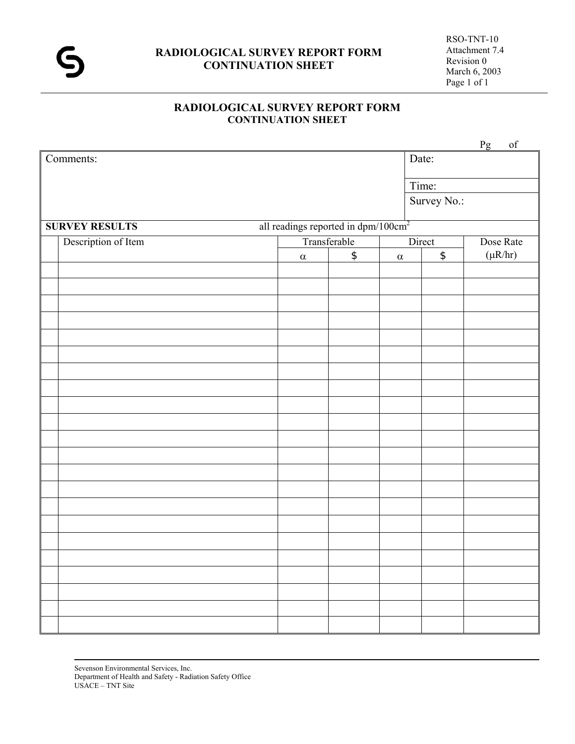

# **RADIOLOGICAL SURVEY REPORT FORM** Attachment 7.4 **CONTINUATION SHEET** Revision 0<br>March 6, 2003

# **RADIOLOGICAL SURVEY REPORT FORM CONTINUATION SHEET**

|                       |                                                 |               |          |                                                         | Pg<br>of     |
|-----------------------|-------------------------------------------------|---------------|----------|---------------------------------------------------------|--------------|
| Comments:             |                                                 |               | Date:    |                                                         |              |
|                       |                                                 |               |          | Time:                                                   |              |
|                       |                                                 |               |          | Survey No.:                                             |              |
| <b>SURVEY RESULTS</b> | all readings reported in dpm/100cm <sup>2</sup> |               |          |                                                         |              |
| Description of Item   |                                                 | Transferable  |          | Direct                                                  | Dose Rate    |
|                       | $\alpha$                                        | $\frac{1}{2}$ | $\alpha$ | $\, \, \raisebox{-1.5pt}{\ensuremath{\mathfrak{sp}}\,}$ | $(\mu R/hr)$ |
|                       |                                                 |               |          |                                                         |              |
|                       |                                                 |               |          |                                                         |              |
|                       |                                                 |               |          |                                                         |              |
|                       |                                                 |               |          |                                                         |              |
|                       |                                                 |               |          |                                                         |              |
|                       |                                                 |               |          |                                                         |              |
|                       |                                                 |               |          |                                                         |              |
|                       |                                                 |               |          |                                                         |              |
|                       |                                                 |               |          |                                                         |              |
|                       |                                                 |               |          |                                                         |              |
|                       |                                                 |               |          |                                                         |              |
|                       |                                                 |               |          |                                                         |              |
|                       |                                                 |               |          |                                                         |              |
|                       |                                                 |               |          |                                                         |              |
|                       |                                                 |               |          |                                                         |              |
|                       |                                                 |               |          |                                                         |              |
|                       |                                                 |               |          |                                                         |              |
|                       |                                                 |               |          |                                                         |              |
|                       |                                                 |               |          |                                                         |              |
|                       |                                                 |               |          |                                                         |              |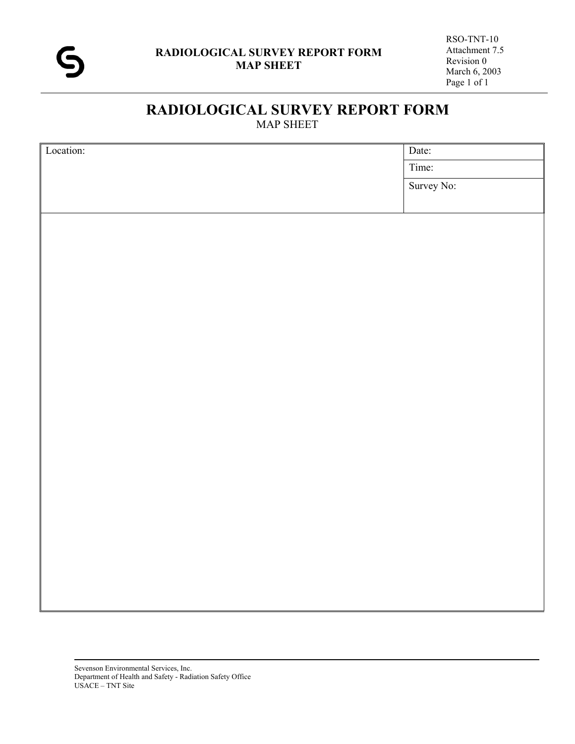

# **RADIOLOGICAL SURVEY REPORT FORM**  MAP SHEET

| Location: | Date:      |  |  |
|-----------|------------|--|--|
|           | Time:      |  |  |
|           | Survey No: |  |  |
|           |            |  |  |
|           |            |  |  |
|           |            |  |  |
|           |            |  |  |
|           |            |  |  |
|           |            |  |  |
|           |            |  |  |
|           |            |  |  |
|           |            |  |  |
|           |            |  |  |
|           |            |  |  |
|           |            |  |  |
|           |            |  |  |
|           |            |  |  |
|           |            |  |  |
|           |            |  |  |
|           |            |  |  |
|           |            |  |  |
|           |            |  |  |
|           |            |  |  |
|           |            |  |  |
|           |            |  |  |
|           |            |  |  |
|           |            |  |  |
|           |            |  |  |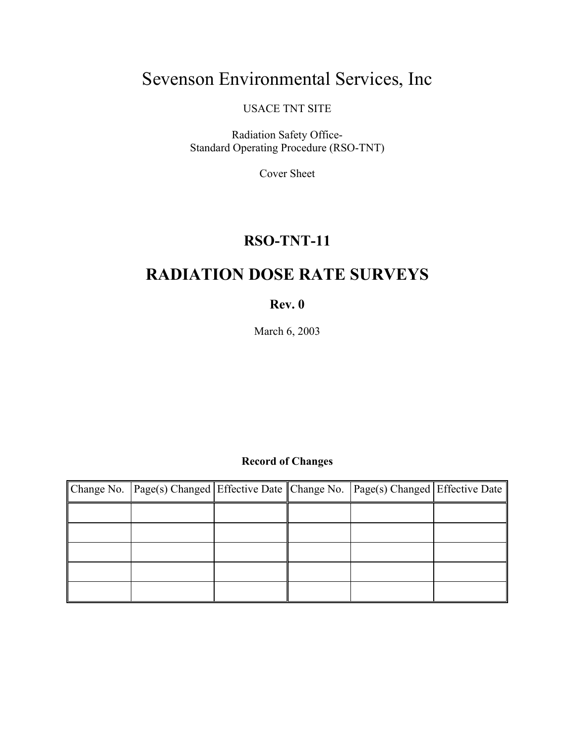# Sevenson Environmental Services, Inc

USACE TNT SITE

Radiation Safety Office-Standard Operating Procedure (RSO-TNT)

Cover Sheet

# **RSO-TNT-11**

# **RADIATION DOSE RATE SURVEYS**

# **Rev. 0**

March 6, 2003

# **Record of Changes**

| Change No. Page(s) Changed Effective Date Change No. Page(s) Changed Effective Date |  |  |
|-------------------------------------------------------------------------------------|--|--|
|                                                                                     |  |  |
|                                                                                     |  |  |
|                                                                                     |  |  |
|                                                                                     |  |  |
|                                                                                     |  |  |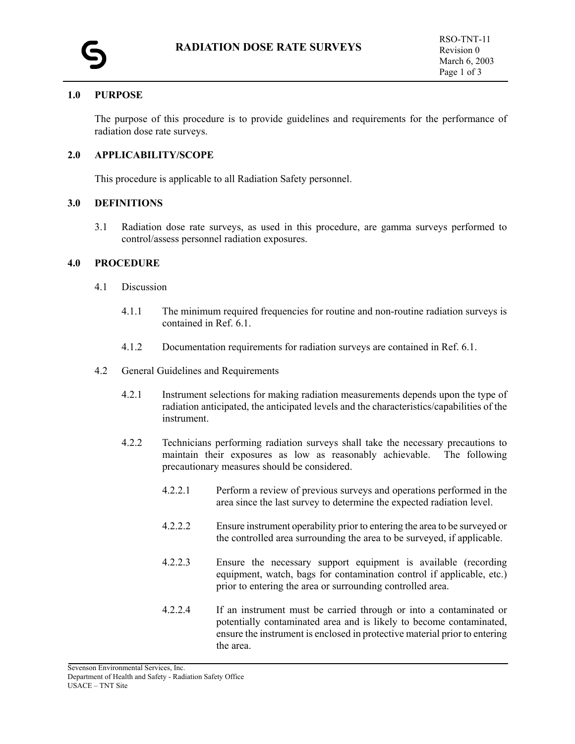#### **1.0 PURPOSE**

The purpose of this procedure is to provide guidelines and requirements for the performance of radiation dose rate surveys.

#### **2.0 APPLICABILITY/SCOPE**

This procedure is applicable to all Radiation Safety personnel.

#### **3.0 DEFINITIONS**

3.1 Radiation dose rate surveys, as used in this procedure, are gamma surveys performed to control/assess personnel radiation exposures.

#### **4.0 PROCEDURE**

- 4.1 Discussion
	- 4.1.1 The minimum required frequencies for routine and non-routine radiation surveys is contained in Ref. 6.1.
	- 4.1.2 Documentation requirements for radiation surveys are contained in Ref. 6.1.
- 4.2 General Guidelines and Requirements
	- 4.2.1 Instrument selections for making radiation measurements depends upon the type of radiation anticipated, the anticipated levels and the characteristics/capabilities of the instrument.
	- 4.2.2 Technicians performing radiation surveys shall take the necessary precautions to maintain their exposures as low as reasonably achievable. The following precautionary measures should be considered.
		- 4.2.2.1 Perform a review of previous surveys and operations performed in the area since the last survey to determine the expected radiation level.
		- 4.2.2.2 Ensure instrument operability prior to entering the area to be surveyed or the controlled area surrounding the area to be surveyed, if applicable.
		- 4.2.2.3 Ensure the necessary support equipment is available (recording equipment, watch, bags for contamination control if applicable, etc.) prior to entering the area or surrounding controlled area.
		- 4.2.2.4 If an instrument must be carried through or into a contaminated or potentially contaminated area and is likely to become contaminated, ensure the instrument is enclosed in protective material prior to entering the area.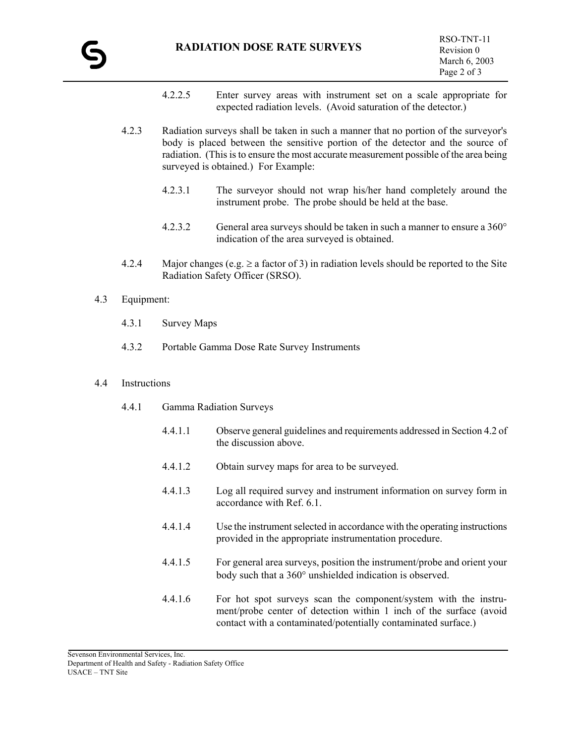- 4.2.2.5 Enter survey areas with instrument set on a scale appropriate for expected radiation levels. (Avoid saturation of the detector.)
- 4.2.3 Radiation surveys shall be taken in such a manner that no portion of the surveyor's body is placed between the sensitive portion of the detector and the source of radiation. (This is to ensure the most accurate measurement possible of the area being surveyed is obtained.) For Example:
	- 4.2.3.1 The surveyor should not wrap his/her hand completely around the instrument probe. The probe should be held at the base.
	- 4.2.3.2 General area surveys should be taken in such a manner to ensure a 360° indication of the area surveyed is obtained.
- 4.2.4 Major changes (e.g.  $\geq$  a factor of 3) in radiation levels should be reported to the Site Radiation Safety Officer (SRSO).
- 4.3 Equipment:
	- 4.3.1 Survey Maps
	- 4.3.2 Portable Gamma Dose Rate Survey Instruments

#### 4.4 Instructions

- 4.4.1 Gamma Radiation Surveys
	- 4.4.1.1 Observe general guidelines and requirements addressed in Section 4.2 of the discussion above.
	- 4.4.1.2 Obtain survey maps for area to be surveyed.
	- 4.4.1.3 Log all required survey and instrument information on survey form in accordance with Ref. 6.1.
	- 4.4.1.4 Use the instrument selected in accordance with the operating instructions provided in the appropriate instrumentation procedure.
	- 4.4.1.5 For general area surveys, position the instrument/probe and orient your body such that a 360° unshielded indication is observed.
	- 4.4.1.6 For hot spot surveys scan the component/system with the instrument/probe center of detection within 1 inch of the surface (avoid contact with a contaminated/potentially contaminated surface.)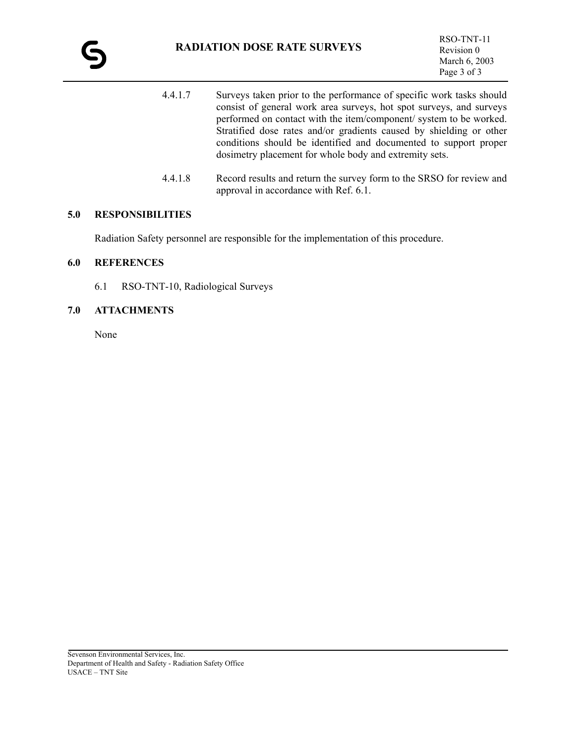- 4.4.1.7 Surveys taken prior to the performance of specific work tasks should consist of general work area surveys, hot spot surveys, and surveys performed on contact with the item/component/ system to be worked. Stratified dose rates and/or gradients caused by shielding or other conditions should be identified and documented to support proper dosimetry placement for whole body and extremity sets.
- 4.4.1.8 Record results and return the survey form to the SRSO for review and approval in accordance with Ref. 6.1.

#### **5.0 RESPONSIBILITIES**

Radiation Safety personnel are responsible for the implementation of this procedure.

#### **6.0 REFERENCES**

6.1 RSO-TNT-10, Radiological Surveys

#### **7.0 ATTACHMENTS**

None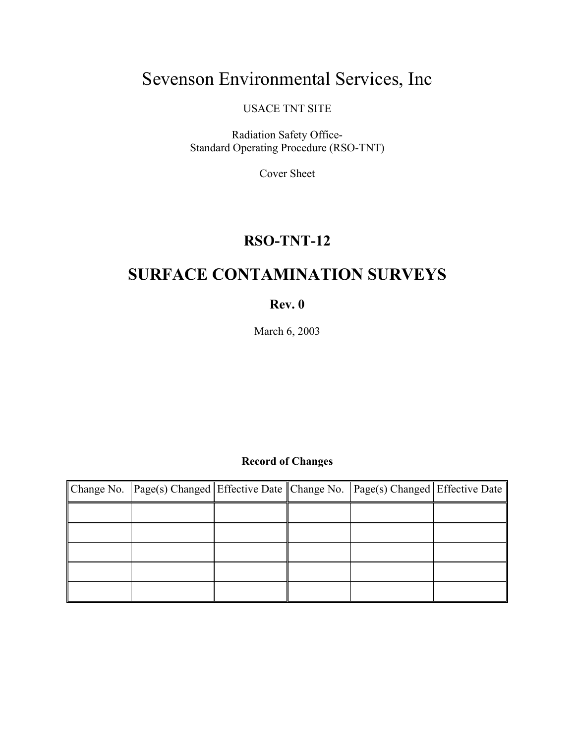# Sevenson Environmental Services, Inc

USACE TNT SITE

Radiation Safety Office-Standard Operating Procedure (RSO-TNT)

Cover Sheet

# **RSO-TNT-12**

# **SURFACE CONTAMINATION SURVEYS**

# **Rev. 0**

March 6, 2003

# **Record of Changes**

| Change No. Page(s) Changed Effective Date Change No. Page(s) Changed Effective Date |  |  |
|-------------------------------------------------------------------------------------|--|--|
|                                                                                     |  |  |
|                                                                                     |  |  |
|                                                                                     |  |  |
|                                                                                     |  |  |
|                                                                                     |  |  |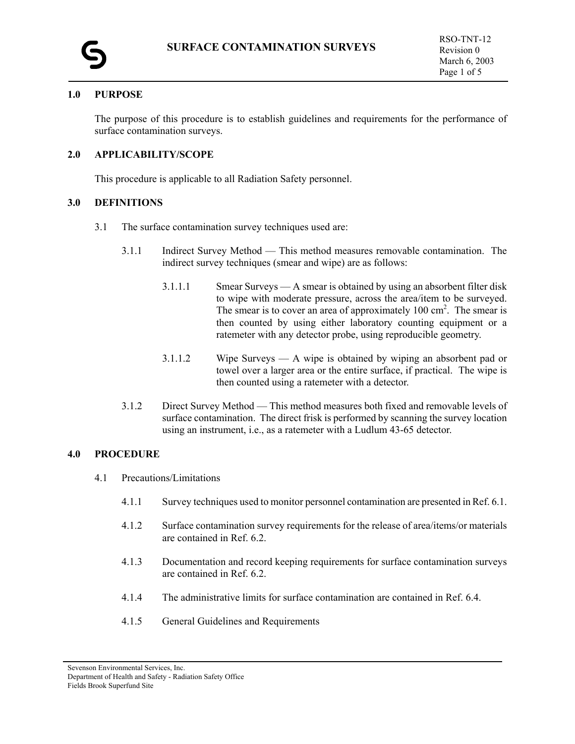

#### **1.0 PURPOSE**

The purpose of this procedure is to establish guidelines and requirements for the performance of surface contamination surveys.

#### **2.0 APPLICABILITY/SCOPE**

This procedure is applicable to all Radiation Safety personnel.

#### **3.0 DEFINITIONS**

- 3.1 The surface contamination survey techniques used are:
	- 3.1.1 Indirect Survey Method This method measures removable contamination. The indirect survey techniques (smear and wipe) are as follows:
		- 3.1.1.1 Smear Surveys A smear is obtained by using an absorbent filter disk to wipe with moderate pressure, across the area/item to be surveyed. The smear is to cover an area of approximately  $100 \text{ cm}^2$ . The smear is then counted by using either laboratory counting equipment or a ratemeter with any detector probe, using reproducible geometry.
		- 3.1.1.2 Wipe Surveys A wipe is obtained by wiping an absorbent pad or towel over a larger area or the entire surface, if practical. The wipe is then counted using a ratemeter with a detector.
	- 3.1.2 Direct Survey Method This method measures both fixed and removable levels of surface contamination. The direct frisk is performed by scanning the survey location using an instrument, i.e., as a ratemeter with a Ludlum 43-65 detector.

#### **4.0 PROCEDURE**

- 4.1 Precautions/Limitations
	- 4.1.1 Survey techniques used to monitor personnel contamination are presented in Ref. 6.1.
	- 4.1.2 Surface contamination survey requirements for the release of area/items/or materials are contained in Ref. 6.2.
	- 4.1.3 Documentation and record keeping requirements for surface contamination surveys are contained in Ref. 6.2.
	- 4.1.4 The administrative limits for surface contamination are contained in Ref. 6.4.
	- 4.1.5 General Guidelines and Requirements

Sevenson Environmental Services, Inc. Department of Health and Safety - Radiation Safety Office Fields Brook Superfund Site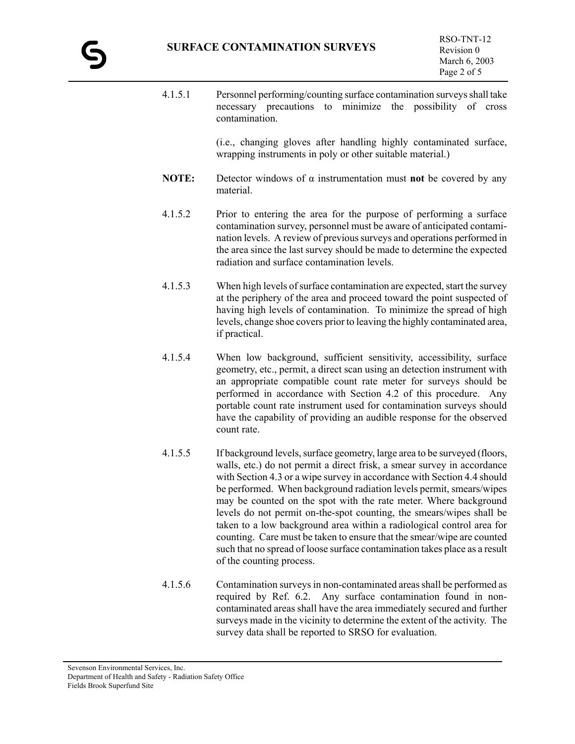- 4.1.5.1 Personnel performing/counting surface contamination surveys shall take necessary precautions to minimize the possibility of cross contamination. (i.e., changing gloves after handling highly contaminated surface, wrapping instruments in poly or other suitable material.) **NOTE:** Detector windows of  $\alpha$  instrumentation must **not** be covered by any material. 4.1.5.2 Prior to entering the area for the purpose of performing a surface contamination survey, personnel must be aware of anticipated contamination levels. A review of previous surveys and operations performed in the area since the last survey should be made to determine the expected radiation and surface contamination levels. 4.1.5.3 When high levels of surface contamination are expected, start the survey at the periphery of the area and proceed toward the point suspected of having high levels of contamination. To minimize the spread of high levels, change shoe covers prior to leaving the highly contaminated area, if practical. 4.1.5.4 When low background, sufficient sensitivity, accessibility, surface geometry, etc., permit, a direct scan using an detection instrument with an appropriate compatible count rate meter for surveys should be performed in accordance with Section 4.2 of this procedure. Any portable count rate instrument used for contamination surveys should have the capability of providing an audible response for the observed count rate. 4.1.5.5 If background levels, surface geometry, large area to be surveyed (floors, walls, etc.) do not permit a direct frisk, a smear survey in accordance with Section 4.3 or a wipe survey in accordance with Section 4.4 should
	- be performed. When background radiation levels permit, smears/wipes may be counted on the spot with the rate meter. Where background levels do not permit on-the-spot counting, the smears/wipes shall be taken to a low background area within a radiological control area for counting. Care must be taken to ensure that the smear/wipe are counted such that no spread of loose surface contamination takes place as a result of the counting process.
- 4.1.5.6 Contamination surveys in non-contaminated areas shall be performed as required by Ref. 6.2. Any surface contamination found in noncontaminated areas shall have the area immediately secured and further surveys made in the vicinity to determine the extent of the activity. The survey data shall be reported to SRSO for evaluation.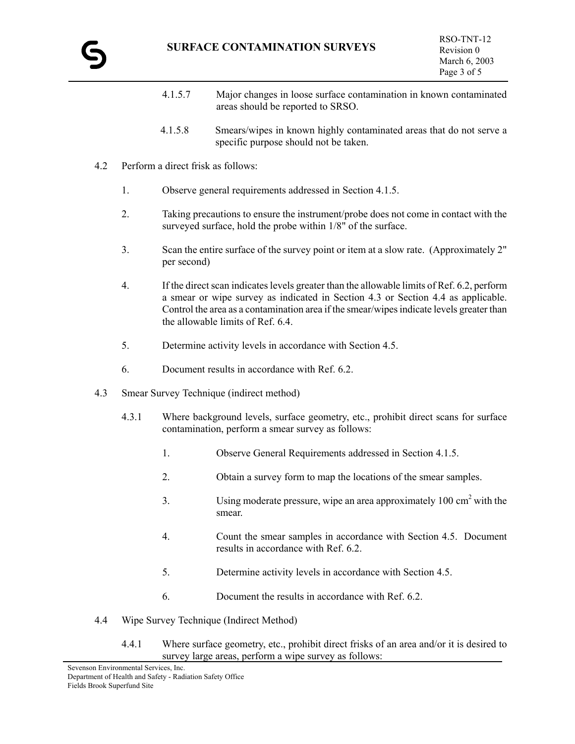- 4.1.5.7 Major changes in loose surface contamination in known contaminated areas should be reported to SRSO.
- 4.1.5.8 Smears/wipes in known highly contaminated areas that do not serve a specific purpose should not be taken.
- 4.2 Perform a direct frisk as follows:
	- 1. Observe general requirements addressed in Section 4.1.5.
	- 2. Taking precautions to ensure the instrument/probe does not come in contact with the surveyed surface, hold the probe within 1/8" of the surface.
	- 3. Scan the entire surface of the survey point or item at a slow rate. (Approximately 2" per second)
	- 4. If the direct scan indicates levels greater than the allowable limits of Ref. 6.2, perform a smear or wipe survey as indicated in Section 4.3 or Section 4.4 as applicable. Control the area as a contamination area if the smear/wipes indicate levels greater than the allowable limits of Ref. 6.4.
	- 5. Determine activity levels in accordance with Section 4.5.
	- 6. Document results in accordance with Ref. 6.2.
- 4.3 Smear Survey Technique (indirect method)
	- 4.3.1 Where background levels, surface geometry, etc., prohibit direct scans for surface contamination, perform a smear survey as follows:
		- 1. Observe General Requirements addressed in Section 4.1.5.
		- 2. Obtain a survey form to map the locations of the smear samples.
		- 3. Using moderate pressure, wipe an area approximately 100 cm<sup>2</sup> with the smear.
		- 4. Count the smear samples in accordance with Section 4.5. Document results in accordance with Ref. 6.2.
		- 5. Determine activity levels in accordance with Section 4.5.
		- 6. Document the results in accordance with Ref. 6.2.
- 4.4 Wipe Survey Technique (Indirect Method)
	- 4.4.1 Where surface geometry, etc., prohibit direct frisks of an area and/or it is desired to survey large areas, perform a wipe survey as follows: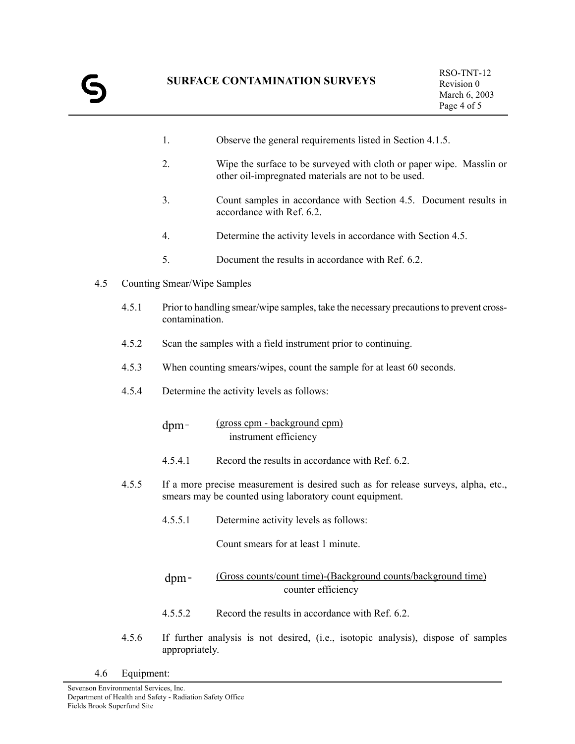- 1. Observe the general requirements listed in Section 4.1.5.
- 2. Wipe the surface to be surveyed with cloth or paper wipe. Masslin or other oil-impregnated materials are not to be used.
- 3. Count samples in accordance with Section 4.5. Document results in accordance with Ref. 6.2.
- 4. Determine the activity levels in accordance with Section 4.5.
- 5. Document the results in accordance with Ref. 6.2.
- 4.5 Counting Smear/Wipe Samples
	- 4.5.1 Prior to handling smear/wipe samples, take the necessary precautions to prevent crosscontamination.
	- 4.5.2 Scan the samples with a field instrument prior to continuing.
	- 4.5.3 When counting smears/wipes, count the sample for at least 60 seconds.
	- 4.5.4 Determine the activity levels as follows:

dpm = (gross cpm - background cpm) instrument efficiency

- 4.5.4.1 Record the results in accordance with Ref. 6.2.
- 4.5.5 If a more precise measurement is desired such as for release surveys, alpha, etc., smears may be counted using laboratory count equipment.
	- 4.5.5.1 Determine activity levels as follows:

Count smears for at least 1 minute.

- dpm = (Gross counts/count time)-(Background counts/background time) counter efficiency
- 4.5.5.2 Record the results in accordance with Ref. 6.2.
- 4.5.6 If further analysis is not desired, (i.e., isotopic analysis), dispose of samples appropriately.
- 4.6 Equipment: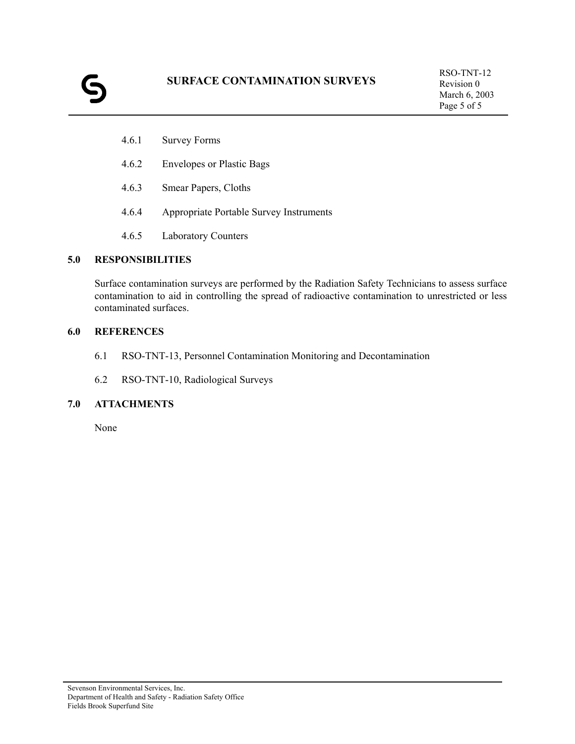# **SURFACE CONTAMINATION SURVEYS**

- 4.6.1 Survey Forms
- 4.6.2 Envelopes or Plastic Bags
- 4.6.3 Smear Papers, Cloths
- 4.6.4 Appropriate Portable Survey Instruments
- 4.6.5 Laboratory Counters

### **5.0 RESPONSIBILITIES**

Surface contamination surveys are performed by the Radiation Safety Technicians to assess surface contamination to aid in controlling the spread of radioactive contamination to unrestricted or less contaminated surfaces.

## **6.0 REFERENCES**

- 6.1 RSO-TNT-13, Personnel Contamination Monitoring and Decontamination
- 6.2 RSO-TNT-10, Radiological Surveys

### **7.0 ATTACHMENTS**

None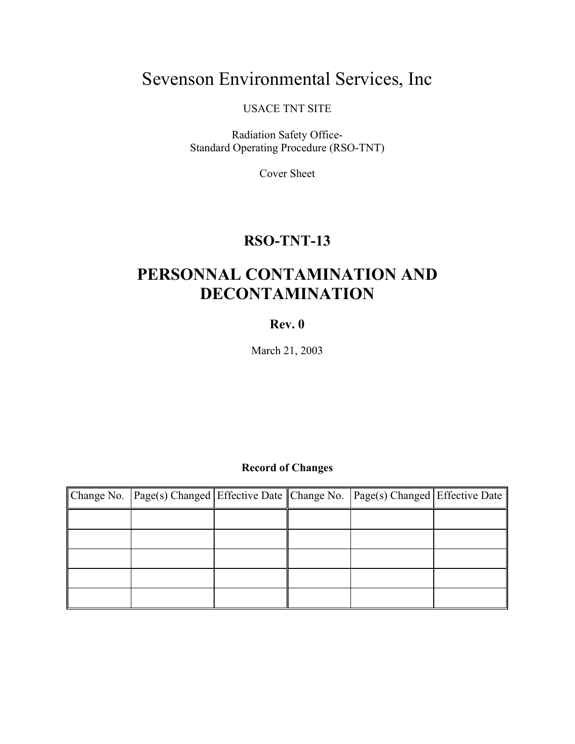# Sevenson Environmental Services, Inc

USACE TNT SITE

Radiation Safety Office-Standard Operating Procedure (RSO-TNT)

Cover Sheet

# **RSO-TNT-13**

# **PERSONNAL CONTAMINATION AND DECONTAMINATION**

**Rev. 0**

March 21, 2003

# **Record of Changes**

| Change No.    Page(s) Changed    Effective Date    Change No.    Page(s) Changed    Effective Date |  |  |
|----------------------------------------------------------------------------------------------------|--|--|
|                                                                                                    |  |  |
|                                                                                                    |  |  |
|                                                                                                    |  |  |
|                                                                                                    |  |  |
|                                                                                                    |  |  |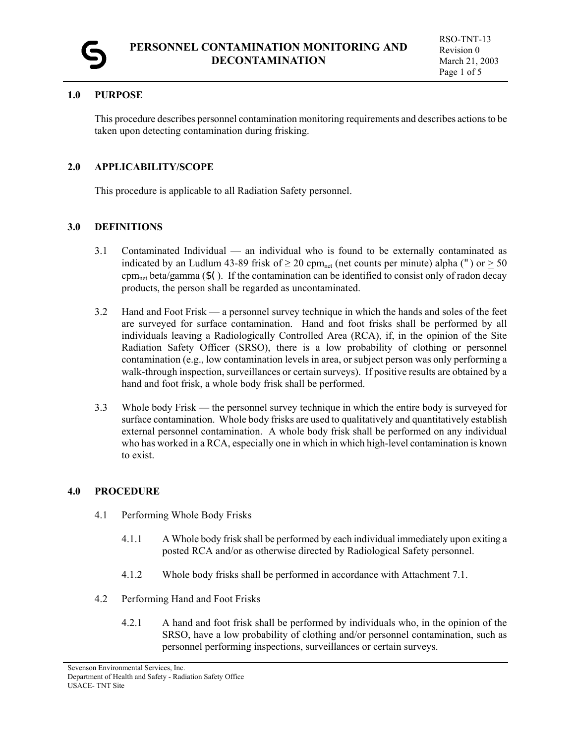

### **1.0 PURPOSE**

This procedure describes personnel contamination monitoring requirements and describes actions to be taken upon detecting contamination during frisking.

### **2.0 APPLICABILITY/SCOPE**

This procedure is applicable to all Radiation Safety personnel.

### **3.0 DEFINITIONS**

- 3.1 Contaminated Individual an individual who is found to be externally contaminated as indicated by an Ludlum 43-89 frisk of  $\geq 20$  cpm<sub>net</sub> (net counts per minute) alpha (") or  $\geq 50$  $\text{cpm}_{\text{net}}$  beta/gamma (\$(). If the contamination can be identified to consist only of radon decay products, the person shall be regarded as uncontaminated.
- 3.2 Hand and Foot Frisk a personnel survey technique in which the hands and soles of the feet are surveyed for surface contamination. Hand and foot frisks shall be performed by all individuals leaving a Radiologically Controlled Area (RCA), if, in the opinion of the Site Radiation Safety Officer (SRSO), there is a low probability of clothing or personnel contamination (e.g., low contamination levels in area, or subject person was only performing a walk-through inspection, surveillances or certain surveys). If positive results are obtained by a hand and foot frisk, a whole body frisk shall be performed.
- 3.3 Whole body Frisk the personnel survey technique in which the entire body is surveyed for surface contamination. Whole body frisks are used to qualitatively and quantitatively establish external personnel contamination. A whole body frisk shall be performed on any individual who has worked in a RCA, especially one in which in which high-level contamination is known to exist.

#### **4.0 PROCEDURE**

- 4.1 Performing Whole Body Frisks
	- 4.1.1 A Whole body frisk shall be performed by each individual immediately upon exiting a posted RCA and/or as otherwise directed by Radiological Safety personnel.
	- 4.1.2 Whole body frisks shall be performed in accordance with Attachment 7.1.
- 4.2 Performing Hand and Foot Frisks
	- 4.2.1 A hand and foot frisk shall be performed by individuals who, in the opinion of the SRSO, have a low probability of clothing and/or personnel contamination, such as personnel performing inspections, surveillances or certain surveys.

Sevenson Environmental Services, Inc. Department of Health and Safety - Radiation Safety Office USACE- TNT Site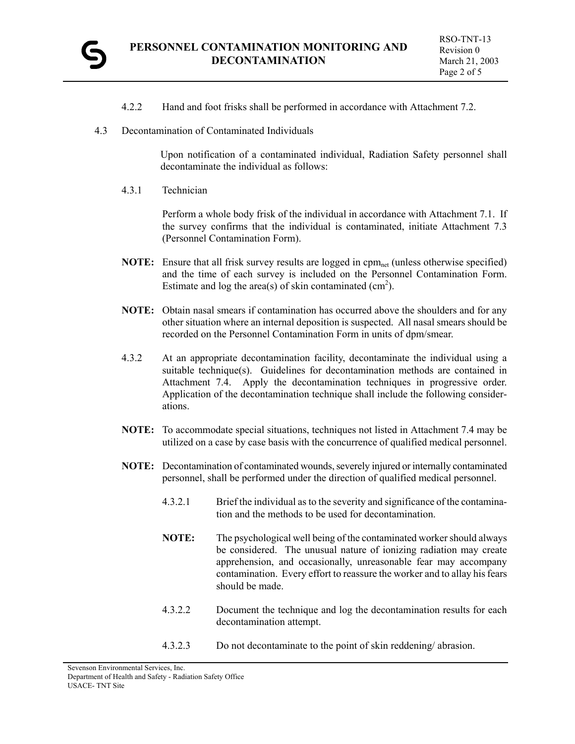

- 4.2.2 Hand and foot frisks shall be performed in accordance with Attachment 7.2.
- 4.3 Decontamination of Contaminated Individuals

Upon notification of a contaminated individual, Radiation Safety personnel shall decontaminate the individual as follows:

4.3.1 Technician

Perform a whole body frisk of the individual in accordance with Attachment 7.1. If the survey confirms that the individual is contaminated, initiate Attachment 7.3 (Personnel Contamination Form).

- **NOTE:** Ensure that all frisk survey results are logged in cpm<sub>net</sub> (unless otherwise specified) and the time of each survey is included on the Personnel Contamination Form. Estimate and log the area(s) of skin contaminated  $(cm<sup>2</sup>)$ .
- **NOTE:** Obtain nasal smears if contamination has occurred above the shoulders and for any other situation where an internal deposition is suspected. All nasal smears should be recorded on the Personnel Contamination Form in units of dpm/smear.
- 4.3.2 At an appropriate decontamination facility, decontaminate the individual using a suitable technique(s). Guidelines for decontamination methods are contained in Attachment 7.4. Apply the decontamination techniques in progressive order. Application of the decontamination technique shall include the following considerations.
- **NOTE:** To accommodate special situations, techniques not listed in Attachment 7.4 may be utilized on a case by case basis with the concurrence of qualified medical personnel.
- **NOTE:** Decontamination of contaminated wounds, severely injured or internally contaminated personnel, shall be performed under the direction of qualified medical personnel.
	- 4.3.2.1 Brief the individual as to the severity and significance of the contamination and the methods to be used for decontamination.
	- **NOTE:** The psychological well being of the contaminated worker should always be considered. The unusual nature of ionizing radiation may create apprehension, and occasionally, unreasonable fear may accompany contamination. Every effort to reassure the worker and to allay his fears should be made.
	- 4.3.2.2 Document the technique and log the decontamination results for each decontamination attempt.
	- 4.3.2.3 Do not decontaminate to the point of skin reddening/ abrasion.

Sevenson Environmental Services, Inc. Department of Health and Safety - Radiation Safety Office USACE- TNT Site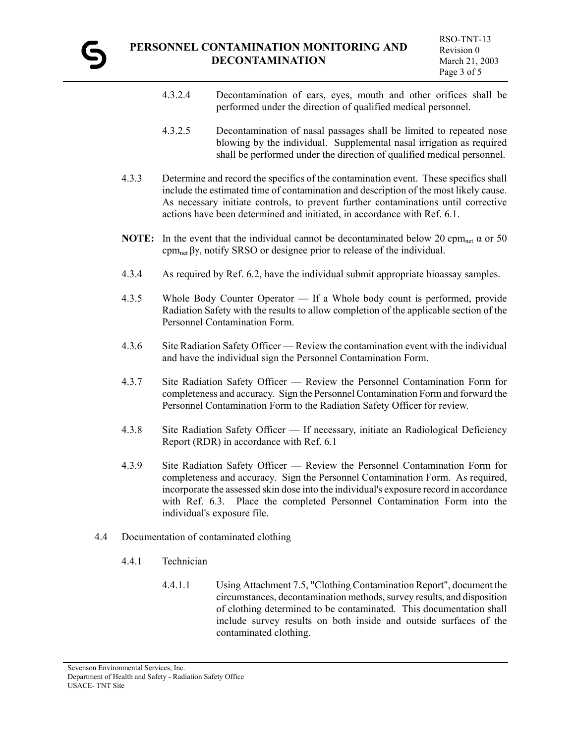- 4.3.2.4 Decontamination of ears, eyes, mouth and other orifices shall be performed under the direction of qualified medical personnel.
- 4.3.2.5 Decontamination of nasal passages shall be limited to repeated nose blowing by the individual. Supplemental nasal irrigation as required shall be performed under the direction of qualified medical personnel.
- 4.3.3 Determine and record the specifics of the contamination event. These specifics shall include the estimated time of contamination and description of the most likely cause. As necessary initiate controls, to prevent further contaminations until corrective actions have been determined and initiated, in accordance with Ref. 6.1.
- **NOTE:** In the event that the individual cannot be decontaminated below 20 cpm<sub>net</sub>  $\alpha$  or 50 cpmnet βγ, notify SRSO or designee prior to release of the individual.
- 4.3.4 As required by Ref. 6.2, have the individual submit appropriate bioassay samples.
- 4.3.5 Whole Body Counter Operator If a Whole body count is performed, provide Radiation Safety with the results to allow completion of the applicable section of the Personnel Contamination Form.
- 4.3.6 Site Radiation Safety Officer Review the contamination event with the individual and have the individual sign the Personnel Contamination Form.
- 4.3.7 Site Radiation Safety Officer Review the Personnel Contamination Form for completeness and accuracy. Sign the Personnel Contamination Form and forward the Personnel Contamination Form to the Radiation Safety Officer for review.
- 4.3.8 Site Radiation Safety Officer If necessary, initiate an Radiological Deficiency Report (RDR) in accordance with Ref. 6.1
- 4.3.9 Site Radiation Safety Officer Review the Personnel Contamination Form for completeness and accuracy. Sign the Personnel Contamination Form. As required, incorporate the assessed skin dose into the individual's exposure record in accordance with Ref. 6.3. Place the completed Personnel Contamination Form into the individual's exposure file.
- 4.4 Documentation of contaminated clothing
	- 4.4.1 Technician
		- 4.4.1.1 Using Attachment 7.5, "Clothing Contamination Report", document the circumstances, decontamination methods, survey results, and disposition of clothing determined to be contaminated. This documentation shall include survey results on both inside and outside surfaces of the contaminated clothing.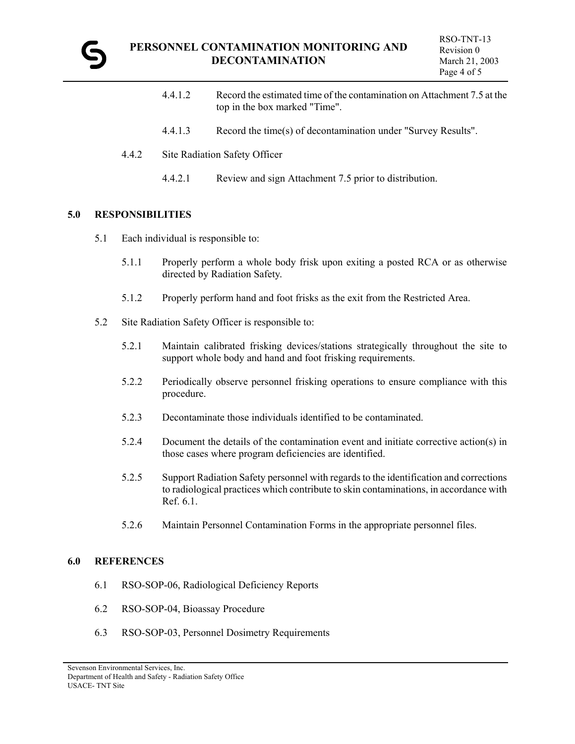

- 4.4.1.2 Record the estimated time of the contamination on Attachment 7.5 at the top in the box marked "Time".
- 4.4.1.3 Record the time(s) of decontamination under "Survey Results".
- 4.4.2 Site Radiation Safety Officer
	- 4.4.2.1 Review and sign Attachment 7.5 prior to distribution.

#### **5.0 RESPONSIBILITIES**

- 5.1 Each individual is responsible to:
	- 5.1.1 Properly perform a whole body frisk upon exiting a posted RCA or as otherwise directed by Radiation Safety.
	- 5.1.2 Properly perform hand and foot frisks as the exit from the Restricted Area.
- 5.2 Site Radiation Safety Officer is responsible to:
	- 5.2.1 Maintain calibrated frisking devices/stations strategically throughout the site to support whole body and hand and foot frisking requirements.
	- 5.2.2 Periodically observe personnel frisking operations to ensure compliance with this procedure.
	- 5.2.3 Decontaminate those individuals identified to be contaminated.
	- 5.2.4 Document the details of the contamination event and initiate corrective action(s) in those cases where program deficiencies are identified.
	- 5.2.5 Support Radiation Safety personnel with regards to the identification and corrections to radiological practices which contribute to skin contaminations, in accordance with Ref. 6.1.
	- 5.2.6 Maintain Personnel Contamination Forms in the appropriate personnel files.

#### **6.0 REFERENCES**

- 6.1 RSO-SOP-06, Radiological Deficiency Reports
- 6.2 RSO-SOP-04, Bioassay Procedure
- 6.3 RSO-SOP-03, Personnel Dosimetry Requirements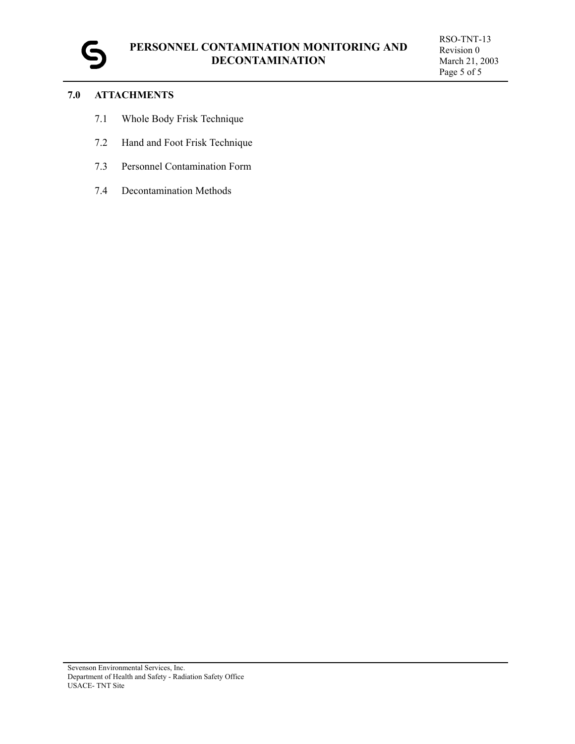

## **7.0 ATTACHMENTS**

- 7.1 Whole Body Frisk Technique
- 7.2 Hand and Foot Frisk Technique
- 7.3 Personnel Contamination Form
- 7.4 Decontamination Methods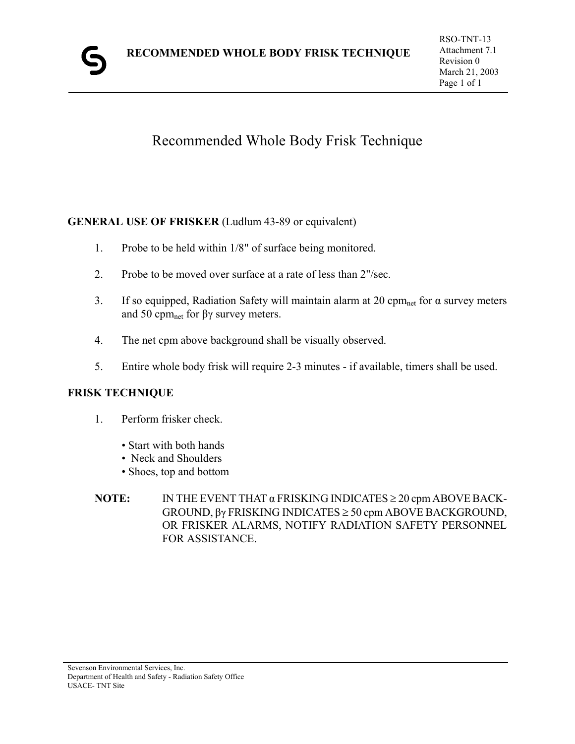# Recommended Whole Body Frisk Technique

# **GENERAL USE OF FRISKER** (Ludlum 43-89 or equivalent)

- 1. Probe to be held within 1/8" of surface being monitored.
- 2. Probe to be moved over surface at a rate of less than 2"/sec.
- 3. If so equipped, Radiation Safety will maintain alarm at 20 cpm<sub>net</sub> for  $\alpha$  survey meters and 50 cpm<sub>net</sub> for βγ survey meters.
- 4. The net cpm above background shall be visually observed.
- 5. Entire whole body frisk will require 2-3 minutes if available, timers shall be used.

# **FRISK TECHNIQUE**

- 1. Perform frisker check.
	- Start with both hands
	- Neck and Shoulders
	- Shoes, top and bottom
- **NOTE:** IN THE EVENT THAT α FRISKING INDICATES ≥ 20 cpm ABOVE BACK-GROUND, βγ FRISKING INDICATES ≥ 50 cpm ABOVE BACKGROUND, OR FRISKER ALARMS, NOTIFY RADIATION SAFETY PERSONNEL FOR ASSISTANCE.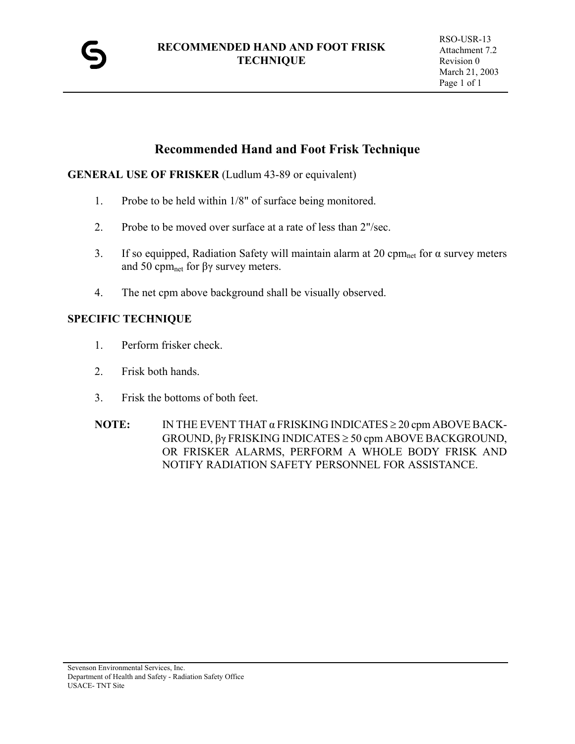

# **Recommended Hand and Foot Frisk Technique**

## **GENERAL USE OF FRISKER** (Ludlum 43-89 or equivalent)

- 1. Probe to be held within 1/8" of surface being monitored.
- 2. Probe to be moved over surface at a rate of less than 2"/sec.
- 3. If so equipped, Radiation Safety will maintain alarm at 20 cpm<sub>net</sub> for  $\alpha$  survey meters and 50 cpm<sub>net</sub> for βγ survey meters.
- 4. The net cpm above background shall be visually observed.

## **SPECIFIC TECHNIQUE**

- 1. Perform frisker check.
- 2. Frisk both hands.
- 3. Frisk the bottoms of both feet.
- **NOTE:** IN THE EVENT THAT α FRISKING INDICATES ≥ 20 cpm ABOVE BACK-GROUND, βγ FRISKING INDICATES ≥ 50 cpm ABOVE BACKGROUND, OR FRISKER ALARMS, PERFORM A WHOLE BODY FRISK AND NOTIFY RADIATION SAFETY PERSONNEL FOR ASSISTANCE.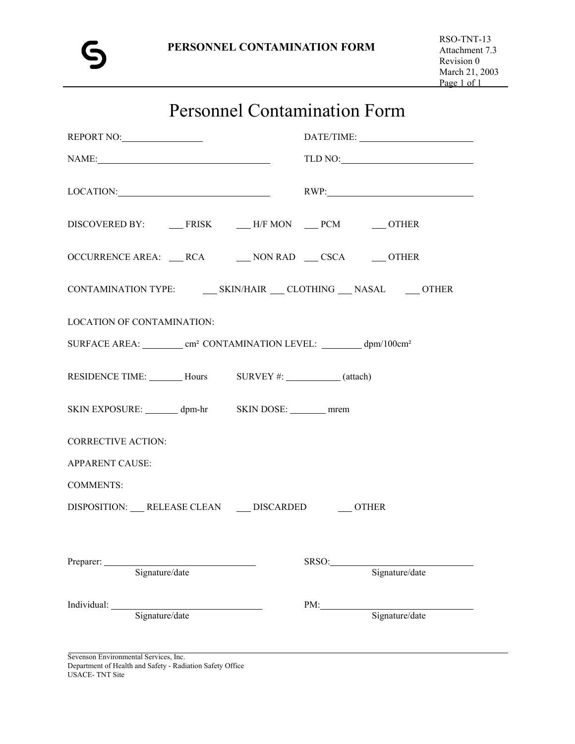# Personnel Contamination Form

| REPORT NO:                                                                                                                                                                                                                                       | $\begin{minipage}{.4\linewidth} \textbf{DATE/TIME:} \end{minipage}$ |
|--------------------------------------------------------------------------------------------------------------------------------------------------------------------------------------------------------------------------------------------------|---------------------------------------------------------------------|
| $\label{eq:NAME} \text{NAME:}\qquad \qquad \text{---} \qquad \qquad \text{---} \qquad \qquad \text{---} \qquad \qquad \text{---}$                                                                                                                |                                                                     |
| LOCATION: RWP:                                                                                                                                                                                                                                   |                                                                     |
|                                                                                                                                                                                                                                                  |                                                                     |
| OCCURRENCE AREA: ___ RCA ______ NON RAD ___ CSCA ______ OTHER                                                                                                                                                                                    |                                                                     |
| CONTAMINATION TYPE: ________ SKIN/HAIR ____ CLOTHING ____ NASAL _______ OTHER                                                                                                                                                                    |                                                                     |
| <b>LOCATION OF CONTAMINATION:</b>                                                                                                                                                                                                                |                                                                     |
| SURFACE AREA: _________ cm <sup>2</sup> CONTAMINATION LEVEL: ________ dpm/100cm <sup>2</sup>                                                                                                                                                     |                                                                     |
| RESIDENCE TIME: _______ Hours SURVEY #: ________ (attach)                                                                                                                                                                                        |                                                                     |
| SKIN EXPOSURE: dpm-hr SKIN DOSE: mrem                                                                                                                                                                                                            |                                                                     |
| <b>CORRECTIVE ACTION:</b>                                                                                                                                                                                                                        |                                                                     |
| <b>APPARENT CAUSE:</b>                                                                                                                                                                                                                           |                                                                     |
| <b>COMMENTS:</b>                                                                                                                                                                                                                                 |                                                                     |
| DISPOSITION: ___ RELEASE CLEAN ____ DISCARDED ______ OTHER                                                                                                                                                                                       |                                                                     |
| Preparer:<br>Signature/date                                                                                                                                                                                                                      | SRSO:<br>Signature/date                                             |
| Individual: 1000 million and 1000 million and 1000 million and 1000 million and 1000 million and 1000 million and 1000 million and 1000 million and 1000 million and 1000 million and 1000 million and 1000 million and 1000 m<br>Signature/date | PM:<br>Signature/date                                               |
|                                                                                                                                                                                                                                                  |                                                                     |

Sevenson Environmental Services, Inc. Department of Health and Safety - Radiation Safety Office USACE- TNT Site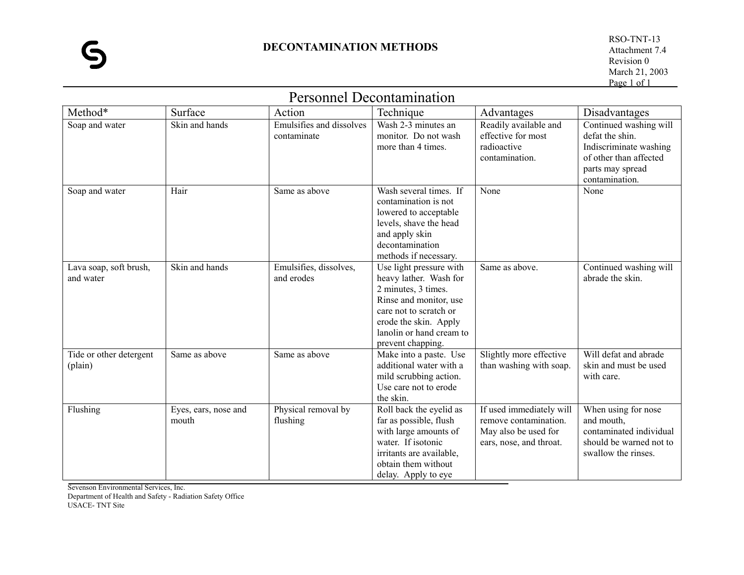|                                     |                               | Personnel Decontamination               |                                                                                                                                                                                                        |                                                                                                      |                                                                                                                                     |
|-------------------------------------|-------------------------------|-----------------------------------------|--------------------------------------------------------------------------------------------------------------------------------------------------------------------------------------------------------|------------------------------------------------------------------------------------------------------|-------------------------------------------------------------------------------------------------------------------------------------|
| Method*                             | Surface                       | Action                                  | Technique                                                                                                                                                                                              | Advantages                                                                                           | Disadvantages                                                                                                                       |
| Soap and water                      | Skin and hands                | Emulsifies and dissolves<br>contaminate | Wash 2-3 minutes an<br>monitor. Do not wash<br>more than 4 times.                                                                                                                                      | Readily available and<br>effective for most<br>radioactive<br>contamination.                         | Continued washing will<br>defat the shin.<br>Indiscriminate washing<br>of other than affected<br>parts may spread<br>contamination. |
| Soap and water                      | Hair                          | Same as above                           | Wash several times. If<br>contamination is not<br>lowered to acceptable<br>levels, shave the head<br>and apply skin<br>decontamination<br>methods if necessary.                                        | None                                                                                                 | None                                                                                                                                |
| Lava soap, soft brush,<br>and water | Skin and hands                | Emulsifies, dissolves,<br>and erodes    | Use light pressure with<br>heavy lather. Wash for<br>2 minutes, 3 times.<br>Rinse and monitor, use<br>care not to scratch or<br>erode the skin. Apply<br>lanolin or hand cream to<br>prevent chapping. | Same as above.                                                                                       | Continued washing will<br>abrade the skin.                                                                                          |
| Tide or other detergent<br>(plain)  | Same as above                 | Same as above                           | Make into a paste. Use<br>additional water with a<br>mild scrubbing action.<br>Use care not to erode<br>the skin.                                                                                      | Slightly more effective<br>than washing with soap.                                                   | Will defat and abrade<br>skin and must be used<br>with care.                                                                        |
| Flushing                            | Eyes, ears, nose and<br>mouth | Physical removal by<br>flushing         | Roll back the eyelid as<br>far as possible, flush<br>with large amounts of<br>water. If isotonic<br>irritants are available,<br>obtain them without<br>delay. Apply to eye                             | If used immediately will<br>remove contamination.<br>May also be used for<br>ears, nose, and throat. | When using for nose<br>and mouth,<br>contaminated individual<br>should be warned not to<br>swallow the rinses.                      |

Personnel Decontamination

Sevenson Environmental Services, Inc. Department of Health and Safety - Radiation Safety Office USACE- TNT Site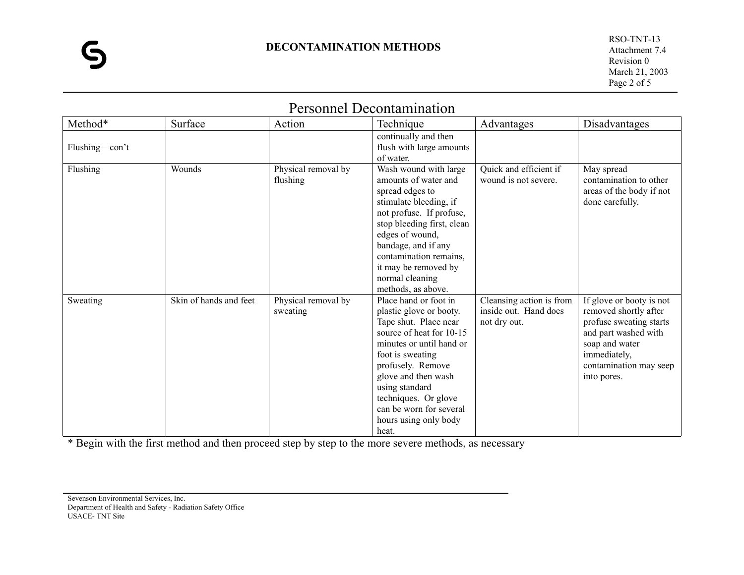RSO-TNT-13 Attachment 7.4 Revision 0 March 21, 2003 Page 2 of 5

| Method*                  | Surface                | Action                          | Technique                                                                                                                                                                                                                                                                                                | Advantages                                                        | Disadvantages                                                                                                                                                                   |
|--------------------------|------------------------|---------------------------------|----------------------------------------------------------------------------------------------------------------------------------------------------------------------------------------------------------------------------------------------------------------------------------------------------------|-------------------------------------------------------------------|---------------------------------------------------------------------------------------------------------------------------------------------------------------------------------|
| Flushing $-\text{con't}$ |                        |                                 | continually and then<br>flush with large amounts<br>of water.                                                                                                                                                                                                                                            |                                                                   |                                                                                                                                                                                 |
| Flushing                 | Wounds                 | Physical removal by<br>flushing | Wash wound with large<br>amounts of water and<br>spread edges to<br>stimulate bleeding, if<br>not profuse. If profuse,<br>stop bleeding first, clean<br>edges of wound,<br>bandage, and if any<br>contamination remains.<br>it may be removed by<br>normal cleaning<br>methods, as above.                | Quick and efficient if<br>wound is not severe.                    | May spread<br>contamination to other<br>areas of the body if not<br>done carefully.                                                                                             |
| Sweating                 | Skin of hands and feet | Physical removal by<br>sweating | Place hand or foot in<br>plastic glove or booty.<br>Tape shut. Place near<br>source of heat for 10-15<br>minutes or until hand or<br>foot is sweating<br>profusely. Remove<br>glove and then wash<br>using standard<br>techniques. Or glove<br>can be worn for several<br>hours using only body<br>heat. | Cleansing action is from<br>inside out. Hand does<br>not dry out. | If glove or booty is not<br>removed shortly after<br>profuse sweating starts<br>and part washed with<br>soap and water<br>immediately,<br>contamination may seep<br>into pores. |

# Personnel Decontamination

\* Begin with the first method and then proceed step by step to the more severe methods, as necessary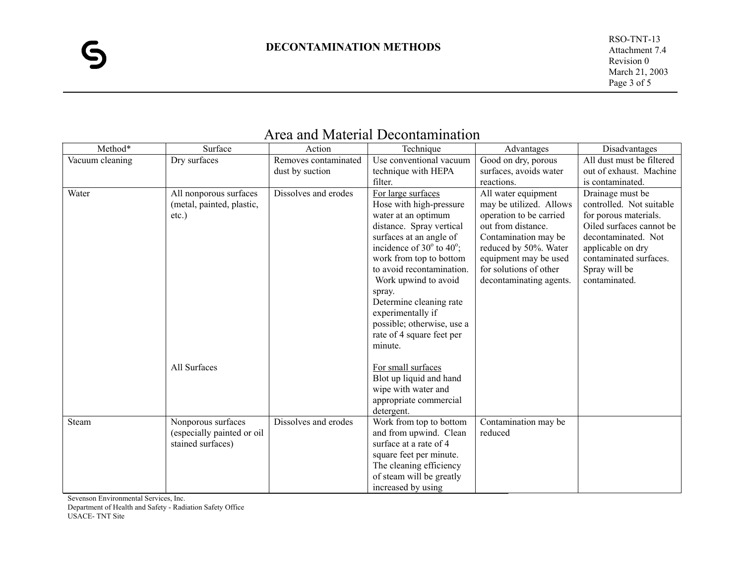| Method*         | Surface                    | Action               | Technique                                   | Advantages              | Disadvantages             |
|-----------------|----------------------------|----------------------|---------------------------------------------|-------------------------|---------------------------|
| Vacuum cleaning | Dry surfaces               | Removes contaminated | Use conventional vacuum                     | Good on dry, porous     | All dust must be filtered |
|                 |                            | dust by suction      | technique with HEPA                         | surfaces, avoids water  | out of exhaust. Machine   |
|                 |                            |                      | filter.                                     | reactions.              | is contaminated.          |
| Water           | All nonporous surfaces     | Dissolves and erodes | For large surfaces                          | All water equipment     | Drainage must be          |
|                 | (metal, painted, plastic,  |                      | Hose with high-pressure                     | may be utilized. Allows | controlled. Not suitable  |
|                 | $etc.$ )                   |                      | water at an optimum                         | operation to be carried | for porous materials.     |
|                 |                            |                      | distance. Spray vertical                    | out from distance.      | Oiled surfaces cannot be  |
|                 |                            |                      | surfaces at an angle of                     | Contamination may be    | decontaminated. Not       |
|                 |                            |                      | incidence of $30^{\circ}$ to $40^{\circ}$ ; | reduced by 50%. Water   | applicable on dry         |
|                 |                            |                      | work from top to bottom                     | equipment may be used   | contaminated surfaces.    |
|                 |                            |                      | to avoid recontamination.                   | for solutions of other  | Spray will be             |
|                 |                            |                      | Work upwind to avoid                        | decontaminating agents. | contaminated.             |
|                 |                            |                      | spray.                                      |                         |                           |
|                 |                            |                      | Determine cleaning rate                     |                         |                           |
|                 |                            |                      | experimentally if                           |                         |                           |
|                 |                            |                      | possible; otherwise, use a                  |                         |                           |
|                 |                            |                      | rate of 4 square feet per                   |                         |                           |
|                 |                            |                      | minute.                                     |                         |                           |
|                 |                            |                      |                                             |                         |                           |
|                 | All Surfaces               |                      | For small surfaces                          |                         |                           |
|                 |                            |                      | Blot up liquid and hand                     |                         |                           |
|                 |                            |                      | wipe with water and                         |                         |                           |
|                 |                            |                      | appropriate commercial                      |                         |                           |
|                 |                            |                      | detergent.                                  |                         |                           |
| Steam           | Nonporous surfaces         | Dissolves and erodes | Work from top to bottom                     | Contamination may be    |                           |
|                 | (especially painted or oil |                      | and from upwind. Clean                      | reduced                 |                           |
|                 | stained surfaces)          |                      | surface at a rate of 4                      |                         |                           |
|                 |                            |                      | square feet per minute.                     |                         |                           |
|                 |                            |                      | The cleaning efficiency                     |                         |                           |
|                 |                            |                      | of steam will be greatly                    |                         |                           |
|                 |                            |                      | increased by using                          |                         |                           |

# Area and Material Decontamination

Sevenson Environmental Services, Inc.

Department of Health and Safety - Radiation Safety Office USACE- TNT Site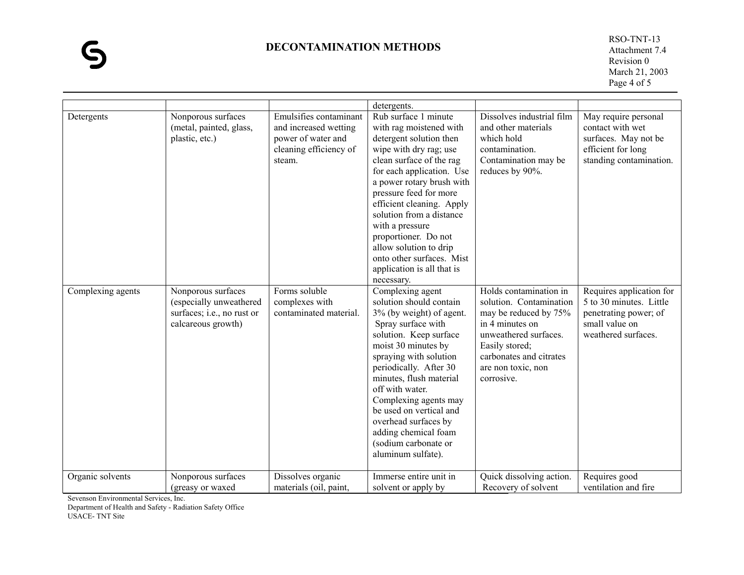## **DECONTAMINATION METHODS**

 RSO-TNT-13 Attachment 7.4 Revision 0 March 21, 2003 Page 4 of 5

|                   |                                                                                                   |                                                                                                           | detergents.                                                                                                                                                                                                                                                                                                                                                                                                                 |                                                                                                                                                                                                         |                                                                                                                       |
|-------------------|---------------------------------------------------------------------------------------------------|-----------------------------------------------------------------------------------------------------------|-----------------------------------------------------------------------------------------------------------------------------------------------------------------------------------------------------------------------------------------------------------------------------------------------------------------------------------------------------------------------------------------------------------------------------|---------------------------------------------------------------------------------------------------------------------------------------------------------------------------------------------------------|-----------------------------------------------------------------------------------------------------------------------|
| Detergents        | Nonporous surfaces<br>(metal, painted, glass,<br>plastic, etc.)                                   | Emulsifies contaminant<br>and increased wetting<br>power of water and<br>cleaning efficiency of<br>steam. | Rub surface 1 minute<br>with rag moistened with<br>detergent solution then<br>wipe with dry rag; use<br>clean surface of the rag<br>for each application. Use<br>a power rotary brush with<br>pressure feed for more<br>efficient cleaning. Apply<br>solution from a distance<br>with a pressure<br>proportioner. Do not<br>allow solution to drip<br>onto other surfaces. Mist<br>application is all that is<br>necessary. | Dissolves industrial film<br>and other materials<br>which hold<br>contamination.<br>Contamination may be<br>reduces by 90%.                                                                             | May require personal<br>contact with wet<br>surfaces. May not be<br>efficient for long<br>standing contamination.     |
| Complexing agents | Nonporous surfaces<br>(especially unweathered<br>surfaces; i.e., no rust or<br>calcareous growth) | Forms soluble<br>complexes with<br>contaminated material.                                                 | Complexing agent<br>solution should contain<br>3% (by weight) of agent.<br>Spray surface with<br>solution. Keep surface<br>moist 30 minutes by<br>spraying with solution<br>periodically. After 30<br>minutes, flush material<br>off with water.<br>Complexing agents may<br>be used on vertical and<br>overhead surfaces by<br>adding chemical foam<br>(sodium carbonate or<br>aluminum sulfate).                          | Holds contamination in<br>solution. Contamination<br>may be reduced by 75%<br>in 4 minutes on<br>unweathered surfaces.<br>Easily stored;<br>carbonates and citrates<br>are non toxic, non<br>corrosive. | Requires application for<br>5 to 30 minutes. Little<br>penetrating power; of<br>small value on<br>weathered surfaces. |
| Organic solvents  | Nonporous surfaces<br>(greasy or waxed                                                            | Dissolves organic<br>materials (oil, paint,                                                               | Immerse entire unit in<br>solvent or apply by                                                                                                                                                                                                                                                                                                                                                                               | Quick dissolving action.<br>Recovery of solvent                                                                                                                                                         | Requires good<br>ventilation and fire                                                                                 |

Sevenson Environmental Services, Inc.

Department of Health and Safety - Radiation Safety Office

USACE- TNT Site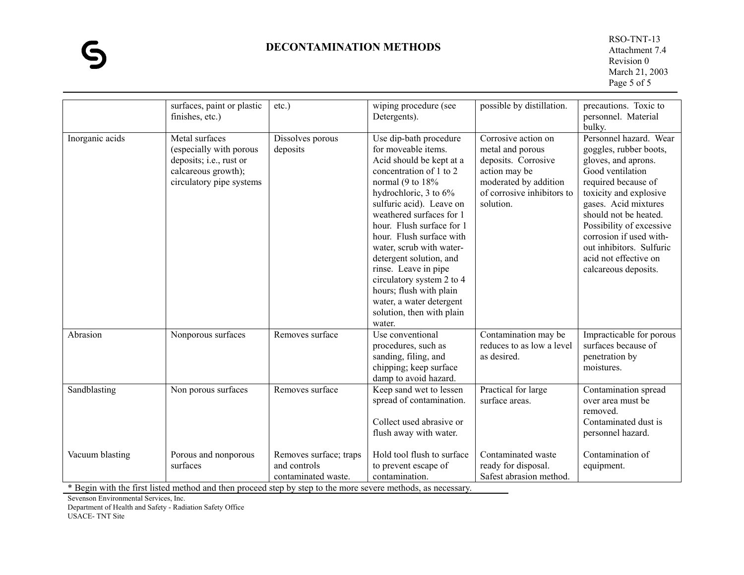## **DECONTAMINATION METHODS**

 RSO-TNT-13 Attachment 7.4 Revision 0 March 21, 2003 Page 5 of 5

|                 | surfaces, paint or plastic<br>finishes, etc.)                                                                           | $etc.$ )                                                      | wiping procedure (see<br>Detergents).                                                                                                                                                                                                                                                                                                                                                                                                                                           | possible by distillation.                                                                                                                           | precautions. Toxic to<br>personnel. Material<br>bulky.                                                                                                                                                                                                                                                                            |
|-----------------|-------------------------------------------------------------------------------------------------------------------------|---------------------------------------------------------------|---------------------------------------------------------------------------------------------------------------------------------------------------------------------------------------------------------------------------------------------------------------------------------------------------------------------------------------------------------------------------------------------------------------------------------------------------------------------------------|-----------------------------------------------------------------------------------------------------------------------------------------------------|-----------------------------------------------------------------------------------------------------------------------------------------------------------------------------------------------------------------------------------------------------------------------------------------------------------------------------------|
| Inorganic acids | Metal surfaces<br>(especially with porous<br>deposits; i.e., rust or<br>calcareous growth);<br>circulatory pipe systems | Dissolves porous<br>deposits                                  | Use dip-bath procedure<br>for moveable items.<br>Acid should be kept at a<br>concentration of 1 to 2<br>normal (9 to $18\%$<br>hydrochloric, 3 to 6%<br>sulfuric acid). Leave on<br>weathered surfaces for 1<br>hour. Flush surface for 1<br>hour. Flush surface with<br>water, scrub with water-<br>detergent solution, and<br>rinse. Leave in pipe<br>circulatory system 2 to 4<br>hours; flush with plain<br>water, a water detergent<br>solution, then with plain<br>water. | Corrosive action on<br>metal and porous<br>deposits. Corrosive<br>action may be<br>moderated by addition<br>of corrosive inhibitors to<br>solution. | Personnel hazard. Wear<br>goggles, rubber boots,<br>gloves, and aprons.<br>Good ventilation<br>required because of<br>toxicity and explosive<br>gases. Acid mixtures<br>should not be heated.<br>Possibility of excessive<br>corrosion if used with-<br>out inhibitors. Sulfuric<br>acid not effective on<br>calcareous deposits. |
| Abrasion        | Nonporous surfaces                                                                                                      | Removes surface                                               | Use conventional<br>procedures, such as<br>sanding, filing, and<br>chipping; keep surface<br>damp to avoid hazard.                                                                                                                                                                                                                                                                                                                                                              | Contamination may be<br>reduces to as low a level<br>as desired.                                                                                    | Impracticable for porous<br>surfaces because of<br>penetration by<br>moistures.                                                                                                                                                                                                                                                   |
| Sandblasting    | Non porous surfaces                                                                                                     | Removes surface                                               | Keep sand wet to lessen<br>spread of contamination.<br>Collect used abrasive or<br>flush away with water.                                                                                                                                                                                                                                                                                                                                                                       | Practical for large<br>surface areas.                                                                                                               | Contamination spread<br>over area must be<br>removed.<br>Contaminated dust is<br>personnel hazard.                                                                                                                                                                                                                                |
| Vacuum blasting | Porous and nonporous<br>surfaces                                                                                        | Removes surface; traps<br>and controls<br>contaminated waste. | Hold tool flush to surface<br>to prevent escape of<br>contamination.                                                                                                                                                                                                                                                                                                                                                                                                            | Contaminated waste<br>ready for disposal.<br>Safest abrasion method.                                                                                | Contamination of<br>equipment.                                                                                                                                                                                                                                                                                                    |

\* Begin with the first listed method and then proceed step by step to the more severe methods, as necessary.

Sevenson Environmental Services, Inc.

Department of Health and Safety - Radiation Safety Office

USACE- TNT Site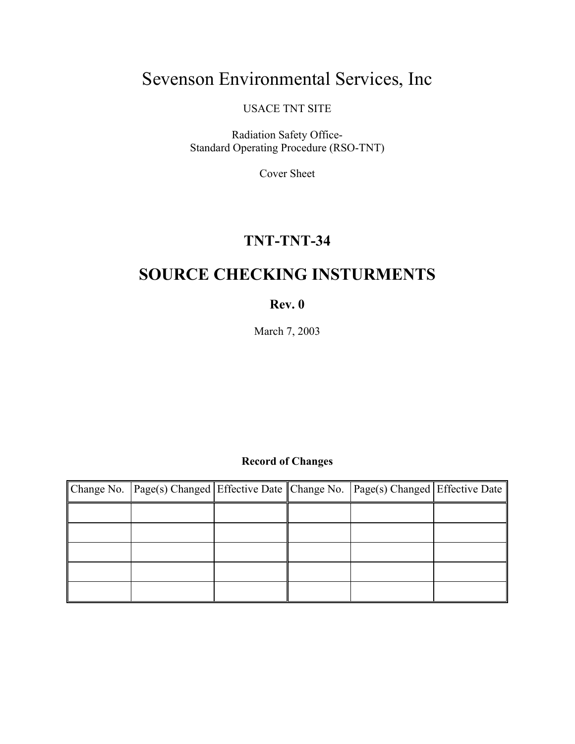# Sevenson Environmental Services, Inc

USACE TNT SITE

Radiation Safety Office-Standard Operating Procedure (RSO-TNT)

Cover Sheet

# **TNT-TNT-34**

# **SOURCE CHECKING INSTURMENTS**

# **Rev. 0**

March 7, 2003

# **Record of Changes**

| Change No. Page(s) Changed Effective Date Change No. Page(s) Changed Effective Date |  |  |
|-------------------------------------------------------------------------------------|--|--|
|                                                                                     |  |  |
|                                                                                     |  |  |
|                                                                                     |  |  |
|                                                                                     |  |  |
|                                                                                     |  |  |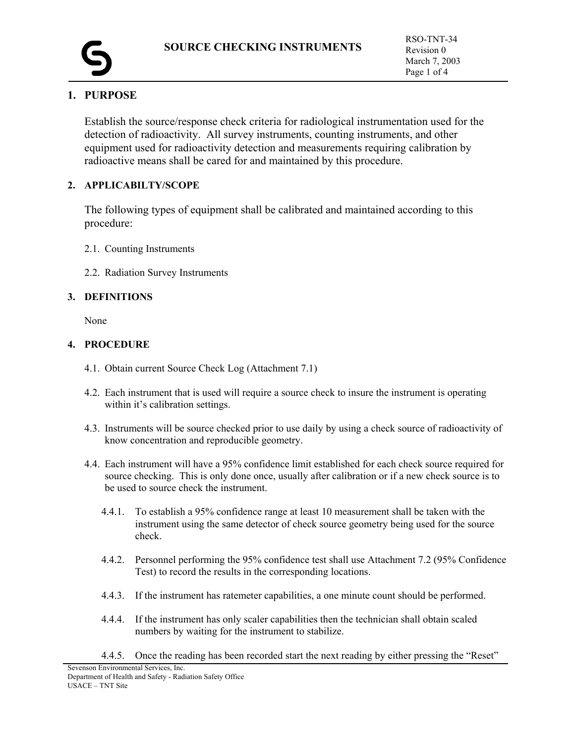

# **1. PURPOSE**

Establish the source/response check criteria for radiological instrumentation used for the detection of radioactivity. All survey instruments, counting instruments, and other equipment used for radioactivity detection and measurements requiring calibration by radioactive means shall be cared for and maintained by this procedure.

## **2. APPLICABILTY/SCOPE**

The following types of equipment shall be calibrated and maintained according to this procedure:

- 2.1. Counting Instruments
- 2.2. Radiation Survey Instruments

## **3. DEFINITIONS**

None

### **4. PROCEDURE**

- 4.1. Obtain current Source Check Log (Attachment 7.1)
- 4.2. Each instrument that is used will require a source check to insure the instrument is operating within it's calibration settings.
- 4.3. Instruments will be source checked prior to use daily by using a check source of radioactivity of know concentration and reproducible geometry.
- 4.4. Each instrument will have a 95% confidence limit established for each check source required for source checking. This is only done once, usually after calibration or if a new check source is to be used to source check the instrument.
	- 4.4.1. To establish a 95% confidence range at least 10 measurement shall be taken with the instrument using the same detector of check source geometry being used for the source check.
	- 4.4.2. Personnel performing the 95% confidence test shall use Attachment 7.2 (95% Confidence Test) to record the results in the corresponding locations.
	- 4.4.3. If the instrument has ratemeter capabilities, a one minute count should be performed.
	- 4.4.4. If the instrument has only scaler capabilities then the technician shall obtain scaled numbers by waiting for the instrument to stabilize.
	- 4.4.5. Once the reading has been recorded start the next reading by either pressing the "Reset"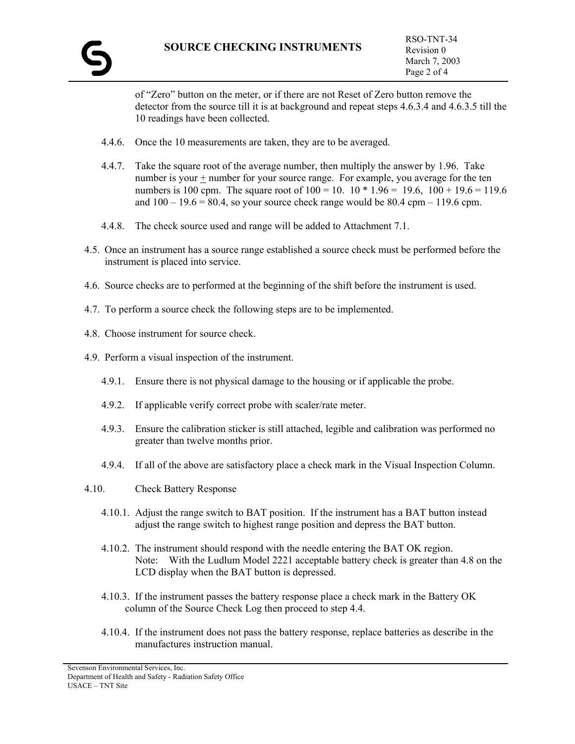of "Zero" button on the meter, or if there are not Reset of Zero button remove the detector from the source till it is at background and repeat steps 4.6.3.4 and 4.6.3.5 till the 10 readings have been collected.

- 4.4.6. Once the 10 measurements are taken, they are to be averaged.
- 4.4.7. Take the square root of the average number, then multiply the answer by 1.96. Take number is your + number for your source range. For example, you average for the ten numbers is 100 cpm. The square root of  $100 = 10$ .  $10 * 1.96 = 19.6$ ,  $100 + 19.6 = 119.6$ and  $100 - 19.6 = 80.4$ , so your source check range would be 80.4 cpm – 119.6 cpm.
- 4.4.8. The check source used and range will be added to Attachment 7.1.
- 4.5. Once an instrument has a source range established a source check must be performed before the instrument is placed into service.
- 4.6. Source checks are to performed at the beginning of the shift before the instrument is used.
- 4.7. To perform a source check the following steps are to be implemented.
- 4.8. Choose instrument for source check.
- 4.9. Perform a visual inspection of the instrument.
	- 4.9.1. Ensure there is not physical damage to the housing or if applicable the probe.
	- 4.9.2. If applicable verify correct probe with scaler/rate meter.
	- 4.9.3. Ensure the calibration sticker is still attached, legible and calibration was performed no greater than twelve months prior.
	- 4.9.4. If all of the above are satisfactory place a check mark in the Visual Inspection Column.
- 4.10. Check Battery Response
	- 4.10.1. Adjust the range switch to BAT position. If the instrument has a BAT button instead adjust the range switch to highest range position and depress the BAT button.
	- 4.10.2. The instrument should respond with the needle entering the BAT OK region. Note: With the Ludlum Model 2221 acceptable battery check is greater than 4.8 on the LCD display when the BAT button is depressed.
	- 4.10.3. If the instrument passes the battery response place a check mark in the Battery OK column of the Source Check Log then proceed to step 4.4.
	- 4.10.4. If the instrument does not pass the battery response, replace batteries as describe in the manufactures instruction manual.

Sevenson Environmental Services, Inc. Department of Health and Safety - Radiation Safety Office USACE – TNT Site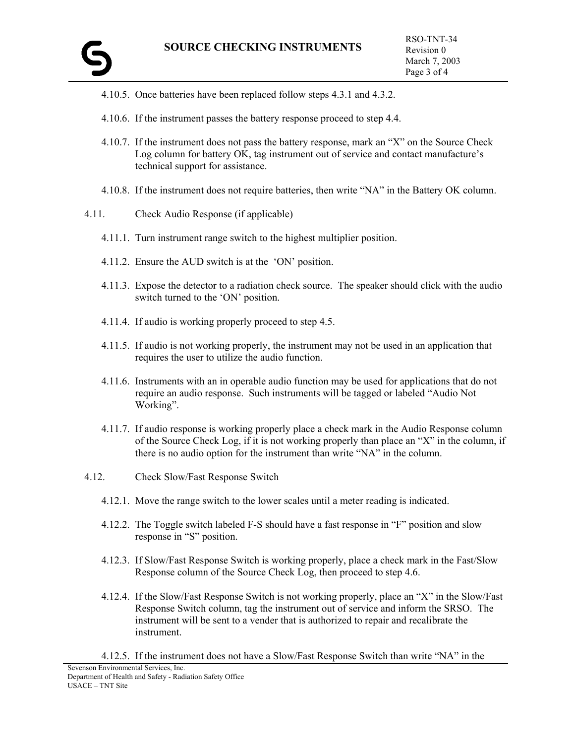- 4.10.5. Once batteries have been replaced follow steps 4.3.1 and 4.3.2.
- 4.10.6. If the instrument passes the battery response proceed to step 4.4.
- 4.10.7. If the instrument does not pass the battery response, mark an "X" on the Source Check Log column for battery OK, tag instrument out of service and contact manufacture's technical support for assistance.
- 4.10.8. If the instrument does not require batteries, then write "NA" in the Battery OK column.
- 4.11. Check Audio Response (if applicable)
	- 4.11.1. Turn instrument range switch to the highest multiplier position.
	- 4.11.2. Ensure the AUD switch is at the 'ON' position.
	- 4.11.3. Expose the detector to a radiation check source. The speaker should click with the audio switch turned to the 'ON' position.
	- 4.11.4. If audio is working properly proceed to step 4.5.
	- 4.11.5. If audio is not working properly, the instrument may not be used in an application that requires the user to utilize the audio function.
	- 4.11.6. Instruments with an in operable audio function may be used for applications that do not require an audio response. Such instruments will be tagged or labeled "Audio Not Working".
	- 4.11.7. If audio response is working properly place a check mark in the Audio Response column of the Source Check Log, if it is not working properly than place an "X" in the column, if there is no audio option for the instrument than write "NA" in the column.
- 4.12. Check Slow/Fast Response Switch
	- 4.12.1. Move the range switch to the lower scales until a meter reading is indicated.
	- 4.12.2. The Toggle switch labeled F-S should have a fast response in "F" position and slow response in "S" position.
	- 4.12.3. If Slow/Fast Response Switch is working properly, place a check mark in the Fast/Slow Response column of the Source Check Log, then proceed to step 4.6.
	- 4.12.4. If the Slow/Fast Response Switch is not working properly, place an "X" in the Slow/Fast Response Switch column, tag the instrument out of service and inform the SRSO. The instrument will be sent to a vender that is authorized to repair and recalibrate the instrument.
	- 4.12.5. If the instrument does not have a Slow/Fast Response Switch than write "NA" in the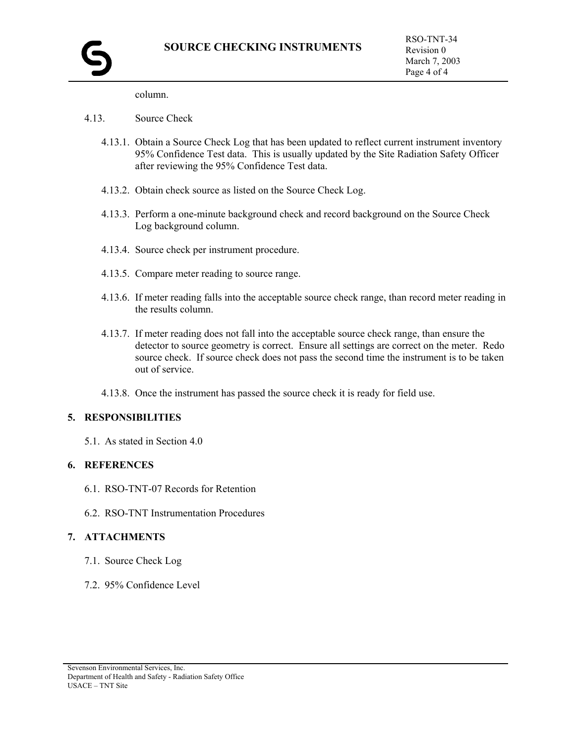column.

#### 4.13. Source Check

- 4.13.1. Obtain a Source Check Log that has been updated to reflect current instrument inventory 95% Confidence Test data. This is usually updated by the Site Radiation Safety Officer after reviewing the 95% Confidence Test data.
- 4.13.2. Obtain check source as listed on the Source Check Log.
- 4.13.3. Perform a one-minute background check and record background on the Source Check Log background column.
- 4.13.4. Source check per instrument procedure.
- 4.13.5. Compare meter reading to source range.
- 4.13.6. If meter reading falls into the acceptable source check range, than record meter reading in the results column.
- 4.13.7. If meter reading does not fall into the acceptable source check range, than ensure the detector to source geometry is correct. Ensure all settings are correct on the meter. Redo source check. If source check does not pass the second time the instrument is to be taken out of service.
- 4.13.8. Once the instrument has passed the source check it is ready for field use.

#### **5. RESPONSIBILITIES**

5.1. As stated in Section 4.0

### **6. REFERENCES**

- 6.1. RSO-TNT-07 Records for Retention
- 6.2. RSO-TNT Instrumentation Procedures

#### **7. ATTACHMENTS**

- 7.1. Source Check Log
- 7.2. 95% Confidence Level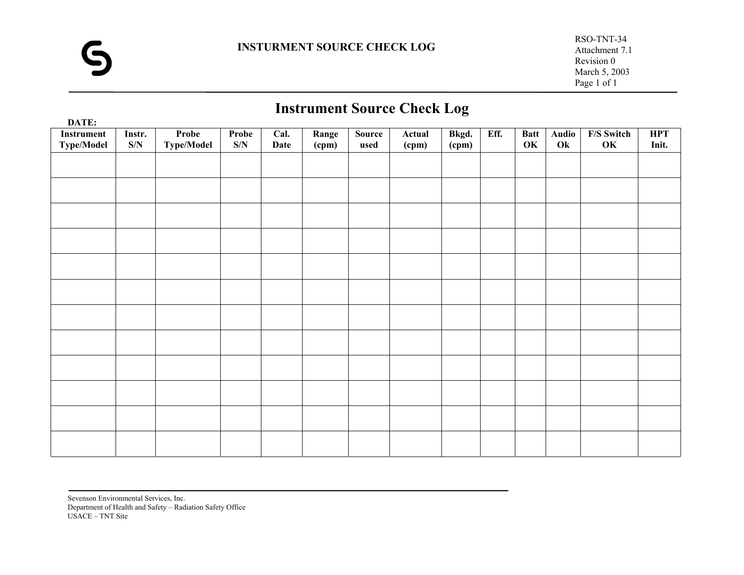# **Instrument Source Check Log**

| DATE:                           |               |                                   |                     |              |                |                |                                          | Ğ              |      |                   |             |                  |                     |
|---------------------------------|---------------|-----------------------------------|---------------------|--------------|----------------|----------------|------------------------------------------|----------------|------|-------------------|-------------|------------------|---------------------|
| Instrument<br><b>Type/Model</b> | Instr.<br>S/N | <b>Probe</b><br><b>Type/Model</b> | <b>Probe</b><br>S/N | Cal.<br>Date | Range<br>(cpm) | Source<br>used | Actual<br>$\qquad \qquad \textbf{(cpm)}$ | Bkgd.<br>(cpm) | Eff. | <b>Batt</b><br>OK | Audio<br>Ok | F/S Switch<br>OK | <b>HPT</b><br>Init. |
|                                 |               |                                   |                     |              |                |                |                                          |                |      |                   |             |                  |                     |
|                                 |               |                                   |                     |              |                |                |                                          |                |      |                   |             |                  |                     |
|                                 |               |                                   |                     |              |                |                |                                          |                |      |                   |             |                  |                     |
|                                 |               |                                   |                     |              |                |                |                                          |                |      |                   |             |                  |                     |
|                                 |               |                                   |                     |              |                |                |                                          |                |      |                   |             |                  |                     |
|                                 |               |                                   |                     |              |                |                |                                          |                |      |                   |             |                  |                     |
|                                 |               |                                   |                     |              |                |                |                                          |                |      |                   |             |                  |                     |
|                                 |               |                                   |                     |              |                |                |                                          |                |      |                   |             |                  |                     |
|                                 |               |                                   |                     |              |                |                |                                          |                |      |                   |             |                  |                     |
|                                 |               |                                   |                     |              |                |                |                                          |                |      |                   |             |                  |                     |
|                                 |               |                                   |                     |              |                |                |                                          |                |      |                   |             |                  |                     |
|                                 |               |                                   |                     |              |                |                |                                          |                |      |                   |             |                  |                     |
|                                 |               |                                   |                     |              |                |                |                                          |                |      |                   |             |                  |                     |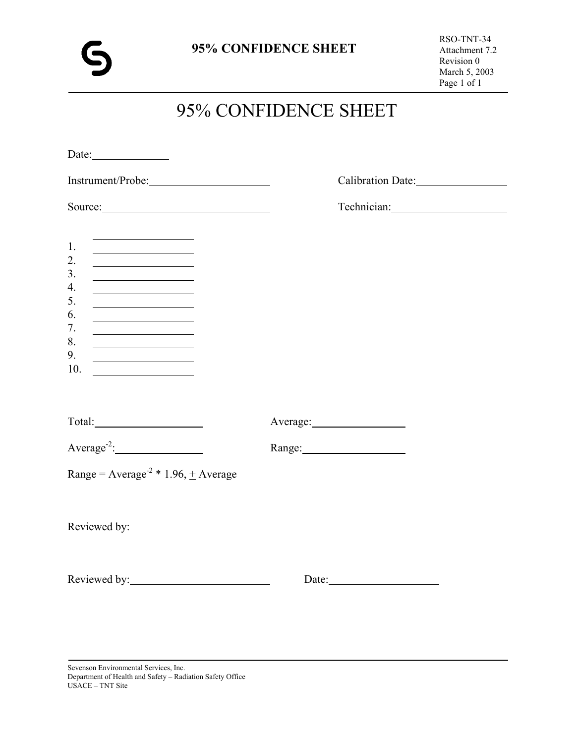# 95% CONFIDENCE SHEET

| Source:                                                                                                                                                                                                                                                               |          |
|-----------------------------------------------------------------------------------------------------------------------------------------------------------------------------------------------------------------------------------------------------------------------|----------|
| 1.<br>2.<br><u> 1980 - Johann Barnett, fransk politik (</u><br>3.<br>4.<br><u> 1989 - Johann Barn, mars an t-Amerikaansk kommunister (</u><br>5.<br><u> 1990 - Johann Barbara, martin a</u><br>6.<br><u> 1989 - Johann Barbara, martin a</u><br>7.<br>8.<br>9.<br>10. |          |
|                                                                                                                                                                                                                                                                       | Average: |
| $Average-2:$                                                                                                                                                                                                                                                          |          |
| Range = $Average-2 * 1.96, + Average$                                                                                                                                                                                                                                 |          |
| Reviewed by:                                                                                                                                                                                                                                                          |          |
| Reviewed by: New York Changes and Seven Management Changes and Seven Management Changes and Seven Management Changes and Seven Management Changes and Seven Management Changes and Seven Management Changes and Seven Manageme                                        | Date:    |

Sevenson Environmental Services, Inc. Department of Health and Safety – Radiation Safety Office USACE – TNT Site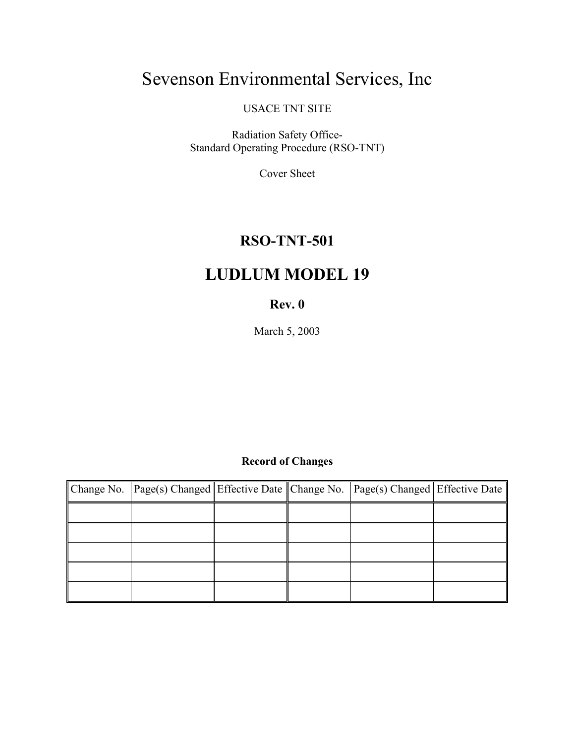# Sevenson Environmental Services, Inc

USACE TNT SITE

Radiation Safety Office-Standard Operating Procedure (RSO-TNT)

Cover Sheet

# **RSO-TNT-501**

# **LUDLUM MODEL 19**

# **Rev. 0**

March 5, 2003

# **Record of Changes**

| Change No. Page(s) Changed Effective Date Change No. Page(s) Changed Effective Date |  |  |
|-------------------------------------------------------------------------------------|--|--|
|                                                                                     |  |  |
|                                                                                     |  |  |
|                                                                                     |  |  |
|                                                                                     |  |  |
|                                                                                     |  |  |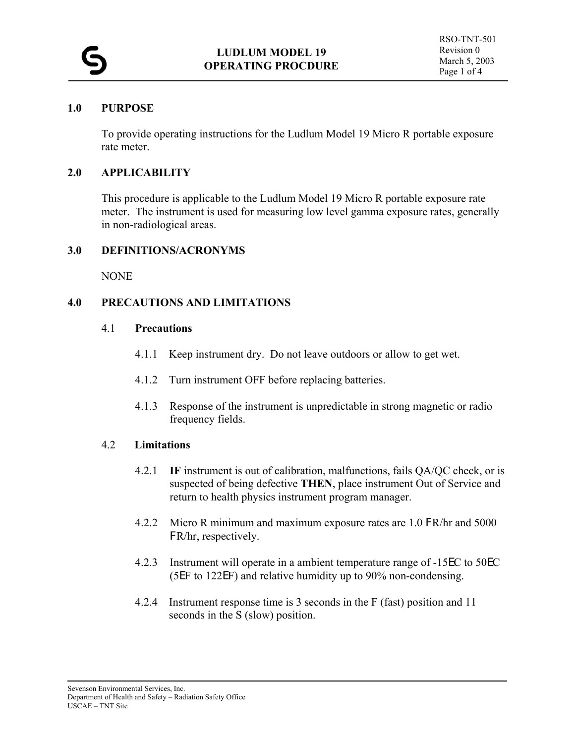## **1.0 PURPOSE**

To provide operating instructions for the Ludlum Model 19 Micro R portable exposure rate meter.

## **2.0 APPLICABILITY**

This procedure is applicable to the Ludlum Model 19 Micro R portable exposure rate meter. The instrument is used for measuring low level gamma exposure rates, generally in non-radiological areas.

## **3.0 DEFINITIONS/ACRONYMS**

NONE

# **4.0 PRECAUTIONS AND LIMITATIONS**

## 4.1 **Precautions**

- 4.1.1 Keep instrument dry. Do not leave outdoors or allow to get wet.
- 4.1.2 Turn instrument OFF before replacing batteries.
- 4.1.3 Response of the instrument is unpredictable in strong magnetic or radio frequency fields.

## 4.2 **Limitations**

- 4.2.1 **IF** instrument is out of calibration, malfunctions, fails QA/QC check, or is suspected of being defective **THEN**, place instrument Out of Service and return to health physics instrument program manager.
- 4.2.2 Micro R minimum and maximum exposure rates are 1.0 FR/hr and 5000 FR/hr, respectively.
- 4.2.3 Instrument will operate in a ambient temperature range of -15EC to 50EC (5EF to 122EF) and relative humidity up to 90% non-condensing.
- 4.2.4 Instrument response time is 3 seconds in the F (fast) position and 11 seconds in the S (slow) position.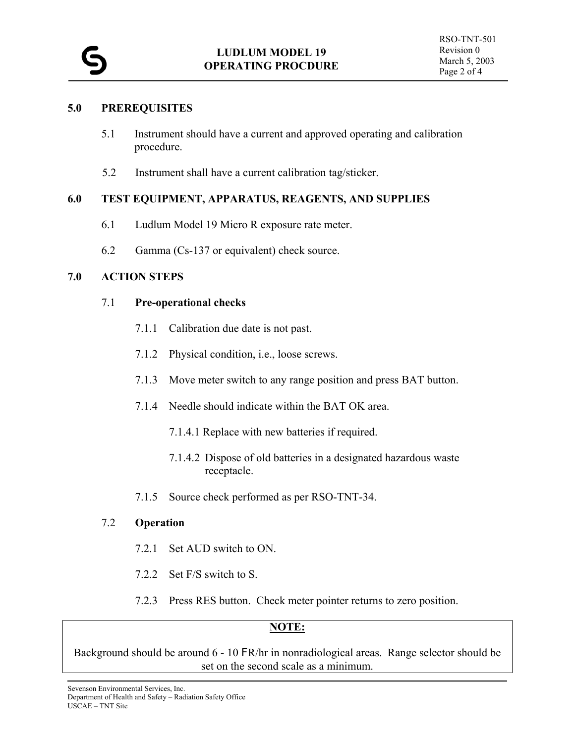#### **5.0 PREREQUISITES**

- 5.1 Instrument should have a current and approved operating and calibration procedure.
- 5.2 Instrument shall have a current calibration tag/sticker.

#### **6.0 TEST EQUIPMENT, APPARATUS, REAGENTS, AND SUPPLIES**

- 6.1 Ludlum Model 19 Micro R exposure rate meter.
- 6.2 Gamma (Cs-137 or equivalent) check source.

#### **7.0 ACTION STEPS**

#### 7.1 **Pre-operational checks**

- 7.1.1 Calibration due date is not past.
- 7.1.2 Physical condition, i.e., loose screws.
- 7.1.3 Move meter switch to any range position and press BAT button.
- 7.1.4 Needle should indicate within the BAT OK area.
	- 7.1.4.1 Replace with new batteries if required.
	- 7.1.4.2 Dispose of old batteries in a designated hazardous waste receptacle.
- 7.1.5 Source check performed as per RSO-TNT-34.

#### 7.2 **Operation**

- 7.2.1 Set AUD switch to ON.
- 7.2.2 Set F/S switch to S.
- 7.2.3 Press RES button. Check meter pointer returns to zero position.

#### **NOTE:**

Background should be around 6 - 10 FR/hr in nonradiological areas. Range selector should be set on the second scale as a minimum.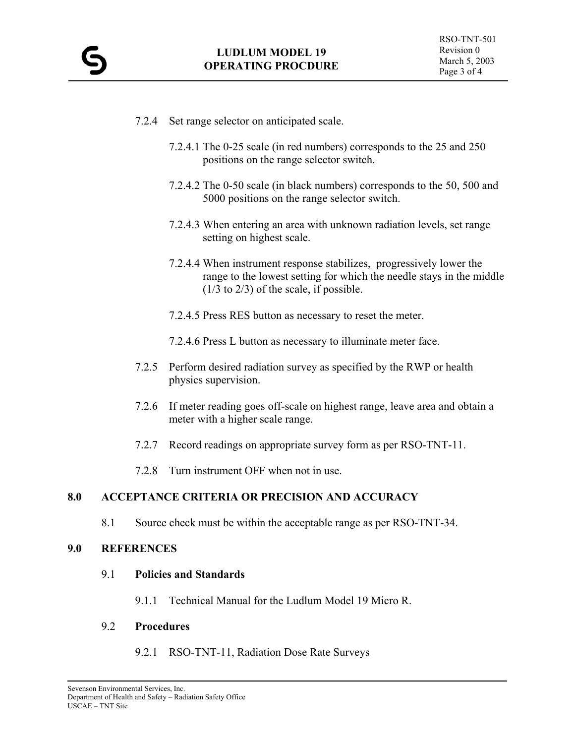- 7.2.4 Set range selector on anticipated scale.
	- 7.2.4.1 The 0-25 scale (in red numbers) corresponds to the 25 and 250 positions on the range selector switch.
	- 7.2.4.2 The 0-50 scale (in black numbers) corresponds to the 50, 500 and 5000 positions on the range selector switch.
	- 7.2.4.3 When entering an area with unknown radiation levels, set range setting on highest scale.
	- 7.2.4.4 When instrument response stabilizes, progressively lower the range to the lowest setting for which the needle stays in the middle (1/3 to 2/3) of the scale, if possible.
	- 7.2.4.5 Press RES button as necessary to reset the meter.
	- 7.2.4.6 Press L button as necessary to illuminate meter face.
- 7.2.5 Perform desired radiation survey as specified by the RWP or health physics supervision.
- 7.2.6 If meter reading goes off-scale on highest range, leave area and obtain a meter with a higher scale range.
- 7.2.7 Record readings on appropriate survey form as per RSO-TNT-11.
- 7.2.8 Turn instrument OFF when not in use.

8.1 Source check must be within the acceptable range as per RSO-TNT-34.

#### **9.0 REFERENCES**

#### 9.1 **Policies and Standards**

9.1.1 Technical Manual for the Ludlum Model 19 Micro R.

#### 9.2 **Procedures**

9.2.1 RSO-TNT-11, Radiation Dose Rate Surveys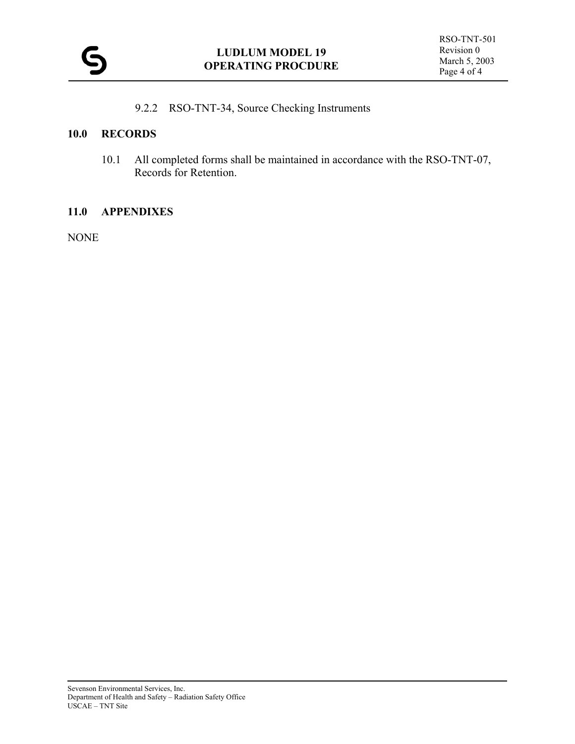9.2.2 RSO-TNT-34, Source Checking Instruments

#### **10.0 RECORDS**

 10.1 All completed forms shall be maintained in accordance with the RSO-TNT-07, Records for Retention.

#### **11.0 APPENDIXES**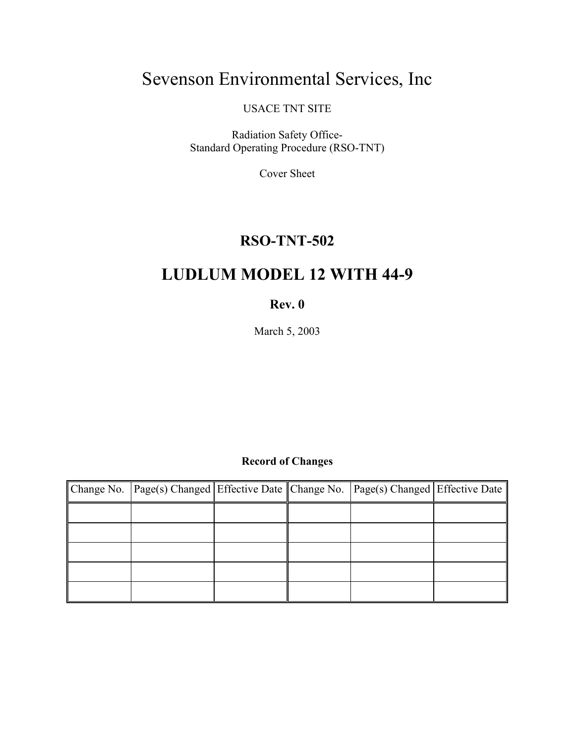# Sevenson Environmental Services, Inc

USACE TNT SITE

Radiation Safety Office-Standard Operating Procedure (RSO-TNT)

Cover Sheet

### **RSO-TNT-502**

## **LUDLUM MODEL 12 WITH 44-9**

#### **Rev. 0**

March 5, 2003

#### **Record of Changes**

| Change No. Page(s) Changed Effective Date Change No. Page(s) Changed Effective Date |  |  |
|-------------------------------------------------------------------------------------|--|--|
|                                                                                     |  |  |
|                                                                                     |  |  |
|                                                                                     |  |  |
|                                                                                     |  |  |
|                                                                                     |  |  |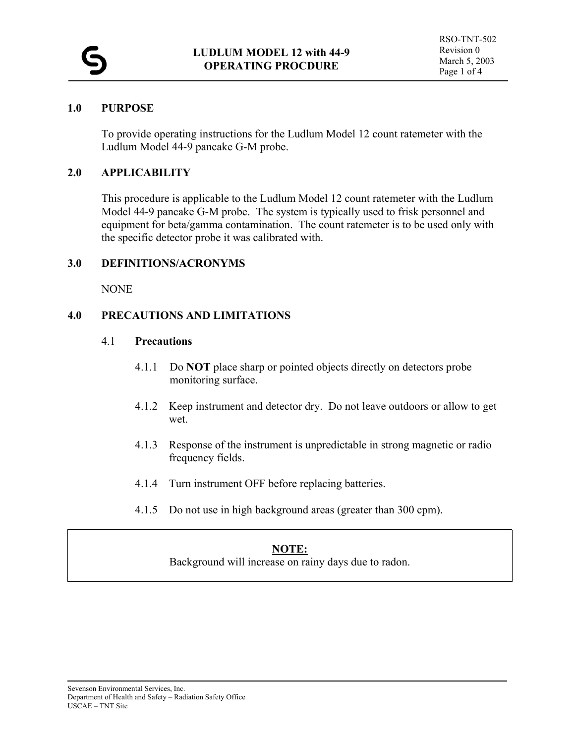#### **1.0 PURPOSE**

To provide operating instructions for the Ludlum Model 12 count ratemeter with the Ludlum Model 44-9 pancake G-M probe.

#### **2.0 APPLICABILITY**

This procedure is applicable to the Ludlum Model 12 count ratemeter with the Ludlum Model 44-9 pancake G-M probe. The system is typically used to frisk personnel and equipment for beta/gamma contamination. The count ratemeter is to be used only with the specific detector probe it was calibrated with.

#### **3.0 DEFINITIONS/ACRONYMS**

NONE

#### **4.0 PRECAUTIONS AND LIMITATIONS**

#### 4.1 **Precautions**

- 4.1.1 Do **NOT** place sharp or pointed objects directly on detectors probe monitoring surface.
- 4.1.2 Keep instrument and detector dry. Do not leave outdoors or allow to get wet.
- 4.1.3 Response of the instrument is unpredictable in strong magnetic or radio frequency fields.
- 4.1.4 Turn instrument OFF before replacing batteries.
- 4.1.5 Do not use in high background areas (greater than 300 cpm).

#### **NOTE:**

Background will increase on rainy days due to radon.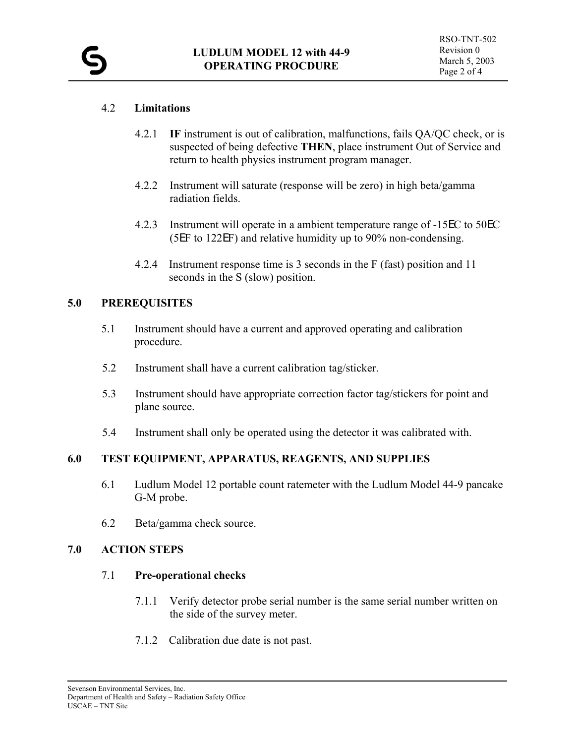#### 4.2 **Limitations**

- 4.2.1 **IF** instrument is out of calibration, malfunctions, fails QA/QC check, or is suspected of being defective **THEN**, place instrument Out of Service and return to health physics instrument program manager.
- 4.2.2 Instrument will saturate (response will be zero) in high beta/gamma radiation fields.
- 4.2.3 Instrument will operate in a ambient temperature range of -15EC to 50EC (5EF to 122EF) and relative humidity up to 90% non-condensing.
- 4.2.4 Instrument response time is 3 seconds in the F (fast) position and 11 seconds in the S (slow) position.

#### **5.0 PREREQUISITES**

- 5.1 Instrument should have a current and approved operating and calibration procedure.
- 5.2 Instrument shall have a current calibration tag/sticker.
- 5.3 Instrument should have appropriate correction factor tag/stickers for point and plane source.
- 5.4 Instrument shall only be operated using the detector it was calibrated with.

#### **6.0 TEST EQUIPMENT, APPARATUS, REAGENTS, AND SUPPLIES**

- 6.1 Ludlum Model 12 portable count ratemeter with the Ludlum Model 44-9 pancake G-M probe.
- 6.2 Beta/gamma check source.

#### **7.0 ACTION STEPS**

#### 7.1 **Pre-operational checks**

- 7.1.1 Verify detector probe serial number is the same serial number written on the side of the survey meter.
- 7.1.2 Calibration due date is not past.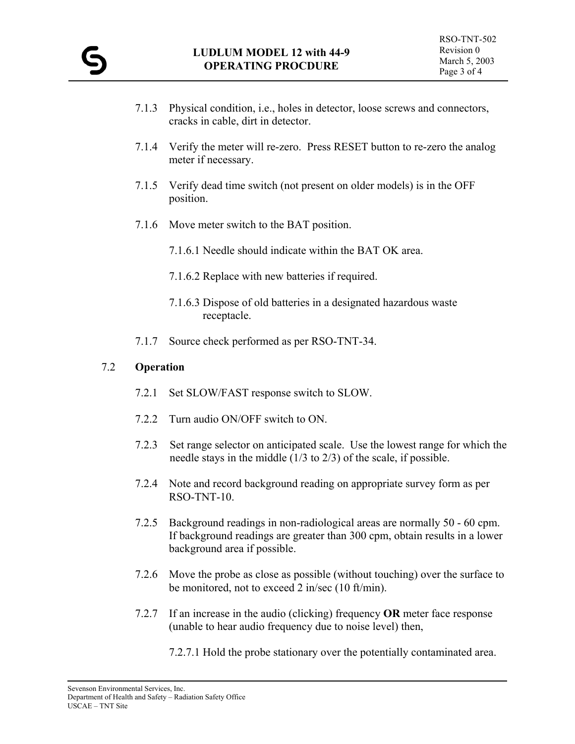- 7.1.3 Physical condition, i.e., holes in detector, loose screws and connectors, cracks in cable, dirt in detector.
- 7.1.4 Verify the meter will re-zero. Press RESET button to re-zero the analog meter if necessary.
- 7.1.5 Verify dead time switch (not present on older models) is in the OFF position.
- 7.1.6 Move meter switch to the BAT position.
	- 7.1.6.1 Needle should indicate within the BAT OK area.
	- 7.1.6.2 Replace with new batteries if required.
	- 7.1.6.3 Dispose of old batteries in a designated hazardous waste receptacle.
- 7.1.7 Source check performed as per RSO-TNT-34.

#### 7.2 **Operation**

- 7.2.1 Set SLOW/FAST response switch to SLOW.
- 7.2.2 Turn audio ON/OFF switch to ON.
- 7.2.3 Set range selector on anticipated scale. Use the lowest range for which the needle stays in the middle (1/3 to 2/3) of the scale, if possible.
- 7.2.4 Note and record background reading on appropriate survey form as per RSO-TNT-10.
- 7.2.5 Background readings in non-radiological areas are normally 50 60 cpm. If background readings are greater than 300 cpm, obtain results in a lower background area if possible.
- 7.2.6 Move the probe as close as possible (without touching) over the surface to be monitored, not to exceed 2 in/sec (10 ft/min).
- 7.2.7 If an increase in the audio (clicking) frequency **OR** meter face response (unable to hear audio frequency due to noise level) then,
	- 7.2.7.1 Hold the probe stationary over the potentially contaminated area.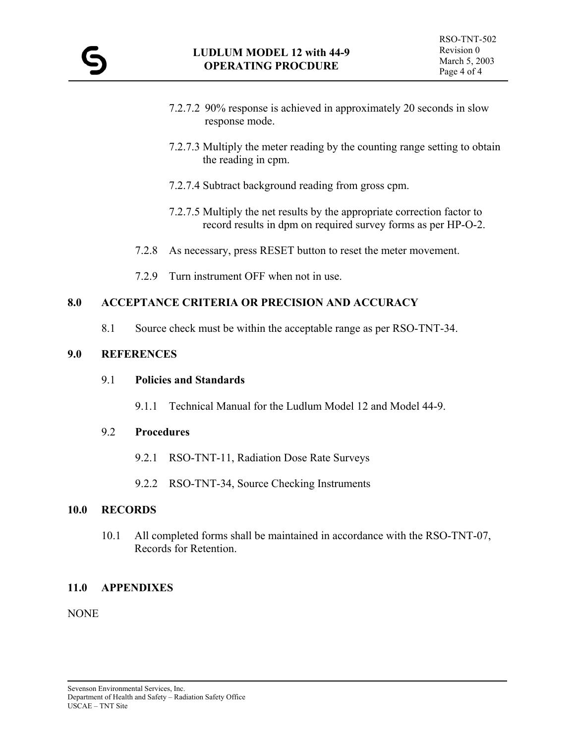- 7.2.7.2 90% response is achieved in approximately 20 seconds in slow response mode.
- 7.2.7.3 Multiply the meter reading by the counting range setting to obtain the reading in cpm.
- 7.2.7.4 Subtract background reading from gross cpm.
- 7.2.7.5 Multiply the net results by the appropriate correction factor to record results in dpm on required survey forms as per HP-O-2.
- 7.2.8 As necessary, press RESET button to reset the meter movement.
- 7.2.9 Turn instrument OFF when not in use.

8.1 Source check must be within the acceptable range as per RSO-TNT-34.

#### **9.0 REFERENCES**

#### 9.1 **Policies and Standards**

9.1.1 Technical Manual for the Ludlum Model 12 and Model 44-9.

#### 9.2 **Procedures**

- 9.2.1 RSO-TNT-11, Radiation Dose Rate Surveys
- 9.2.2 RSO-TNT-34, Source Checking Instruments

#### **10.0 RECORDS**

 10.1 All completed forms shall be maintained in accordance with the RSO-TNT-07, Records for Retention.

#### **11.0 APPENDIXES**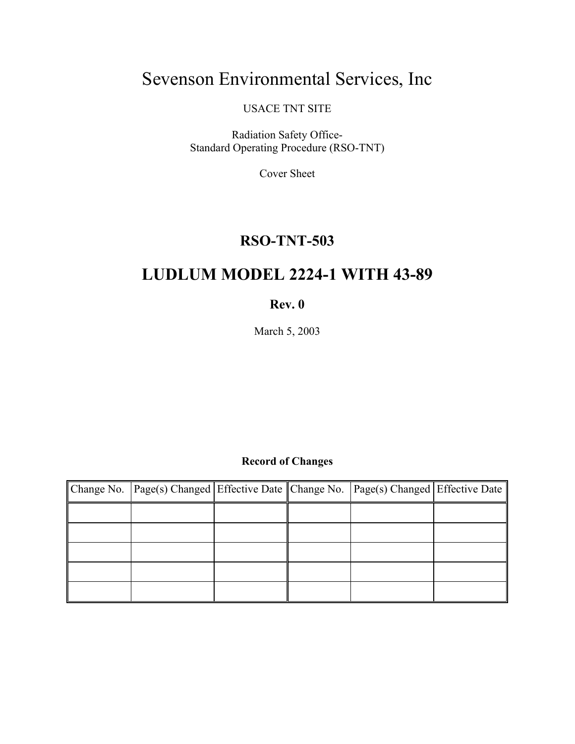# Sevenson Environmental Services, Inc

USACE TNT SITE

Radiation Safety Office-Standard Operating Procedure (RSO-TNT)

Cover Sheet

### **RSO-TNT-503**

## **LUDLUM MODEL 2224-1 WITH 43-89**

#### **Rev. 0**

March 5, 2003

#### **Record of Changes**

| Change No.   Page(s) Changed   Effective Date    Change No.   Page(s) Changed   Effective Date |  |  |
|------------------------------------------------------------------------------------------------|--|--|
|                                                                                                |  |  |
|                                                                                                |  |  |
|                                                                                                |  |  |
|                                                                                                |  |  |
|                                                                                                |  |  |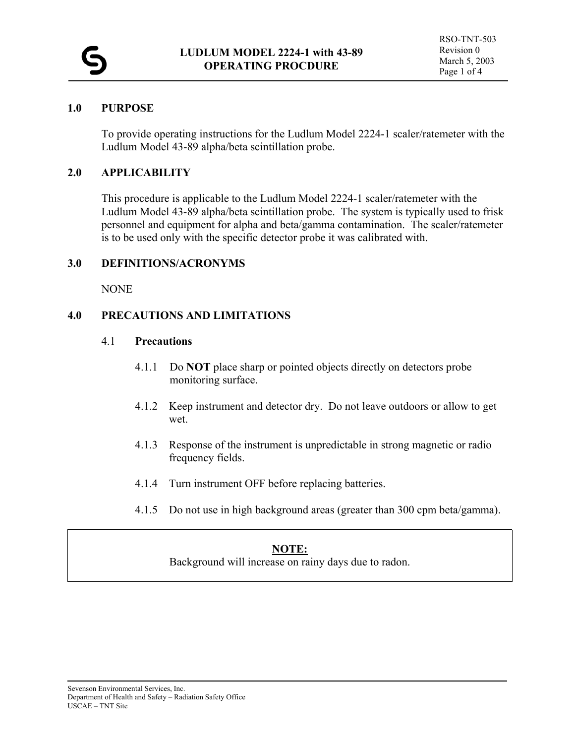#### **1.0 PURPOSE**

To provide operating instructions for the Ludlum Model 2224-1 scaler/ratemeter with the Ludlum Model 43-89 alpha/beta scintillation probe.

#### **2.0 APPLICABILITY**

This procedure is applicable to the Ludlum Model 2224-1 scaler/ratemeter with the Ludlum Model 43-89 alpha/beta scintillation probe. The system is typically used to frisk personnel and equipment for alpha and beta/gamma contamination. The scaler/ratemeter is to be used only with the specific detector probe it was calibrated with.

#### **3.0 DEFINITIONS/ACRONYMS**

NONE

#### **4.0 PRECAUTIONS AND LIMITATIONS**

#### 4.1 **Precautions**

- 4.1.1 Do **NOT** place sharp or pointed objects directly on detectors probe monitoring surface.
- 4.1.2 Keep instrument and detector dry. Do not leave outdoors or allow to get wet.
- 4.1.3 Response of the instrument is unpredictable in strong magnetic or radio frequency fields.
- 4.1.4 Turn instrument OFF before replacing batteries.
- 4.1.5 Do not use in high background areas (greater than 300 cpm beta/gamma).

#### **NOTE:**

Background will increase on rainy days due to radon.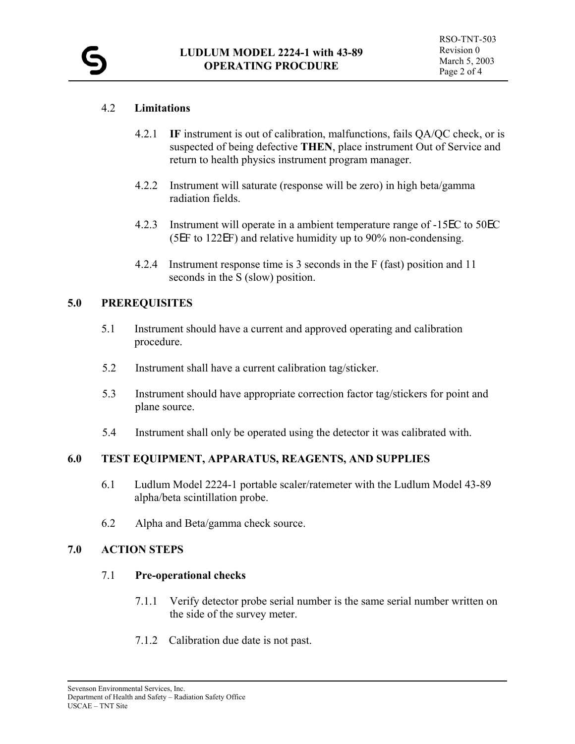#### 4.2 **Limitations**

- 4.2.1 **IF** instrument is out of calibration, malfunctions, fails QA/QC check, or is suspected of being defective **THEN**, place instrument Out of Service and return to health physics instrument program manager.
- 4.2.2 Instrument will saturate (response will be zero) in high beta/gamma radiation fields.
- 4.2.3 Instrument will operate in a ambient temperature range of -15EC to 50EC (5EF to 122EF) and relative humidity up to 90% non-condensing.
- 4.2.4 Instrument response time is 3 seconds in the F (fast) position and 11 seconds in the S (slow) position.

#### **5.0 PREREQUISITES**

- 5.1 Instrument should have a current and approved operating and calibration procedure.
- 5.2 Instrument shall have a current calibration tag/sticker.
- 5.3 Instrument should have appropriate correction factor tag/stickers for point and plane source.
- 5.4 Instrument shall only be operated using the detector it was calibrated with.

#### **6.0 TEST EQUIPMENT, APPARATUS, REAGENTS, AND SUPPLIES**

- 6.1 Ludlum Model 2224-1 portable scaler/ratemeter with the Ludlum Model 43-89 alpha/beta scintillation probe.
- 6.2 Alpha and Beta/gamma check source.

#### **7.0 ACTION STEPS**

#### 7.1 **Pre-operational checks**

- 7.1.1 Verify detector probe serial number is the same serial number written on the side of the survey meter.
- 7.1.2 Calibration due date is not past.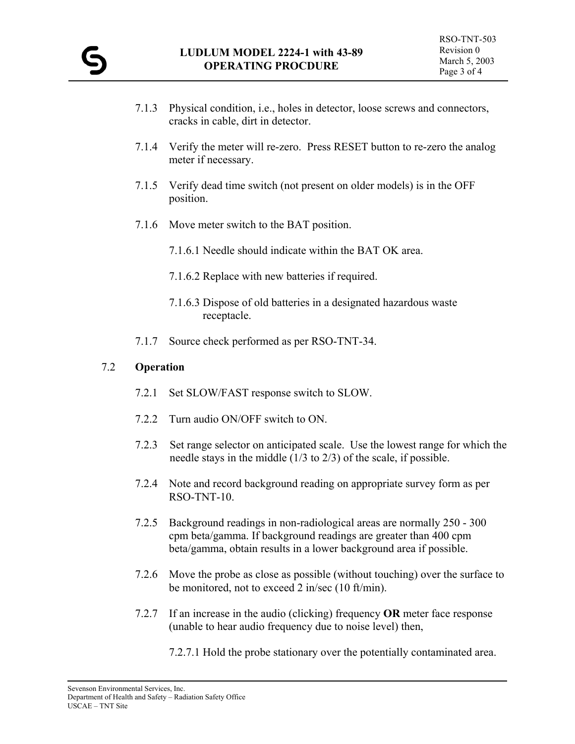- 7.1.3 Physical condition, i.e., holes in detector, loose screws and connectors, cracks in cable, dirt in detector.
- 7.1.4 Verify the meter will re-zero. Press RESET button to re-zero the analog meter if necessary.
- 7.1.5 Verify dead time switch (not present on older models) is in the OFF position.
- 7.1.6 Move meter switch to the BAT position.
	- 7.1.6.1 Needle should indicate within the BAT OK area.
	- 7.1.6.2 Replace with new batteries if required.
	- 7.1.6.3 Dispose of old batteries in a designated hazardous waste receptacle.
- 7.1.7 Source check performed as per RSO-TNT-34.

#### 7.2 **Operation**

- 7.2.1 Set SLOW/FAST response switch to SLOW.
- 7.2.2 Turn audio ON/OFF switch to ON.
- 7.2.3 Set range selector on anticipated scale. Use the lowest range for which the needle stays in the middle (1/3 to 2/3) of the scale, if possible.
- 7.2.4 Note and record background reading on appropriate survey form as per RSO-TNT-10.
- 7.2.5 Background readings in non-radiological areas are normally 250 300 cpm beta/gamma. If background readings are greater than 400 cpm beta/gamma, obtain results in a lower background area if possible.
- 7.2.6 Move the probe as close as possible (without touching) over the surface to be monitored, not to exceed 2 in/sec (10 ft/min).
- 7.2.7 If an increase in the audio (clicking) frequency **OR** meter face response (unable to hear audio frequency due to noise level) then,
	- 7.2.7.1 Hold the probe stationary over the potentially contaminated area.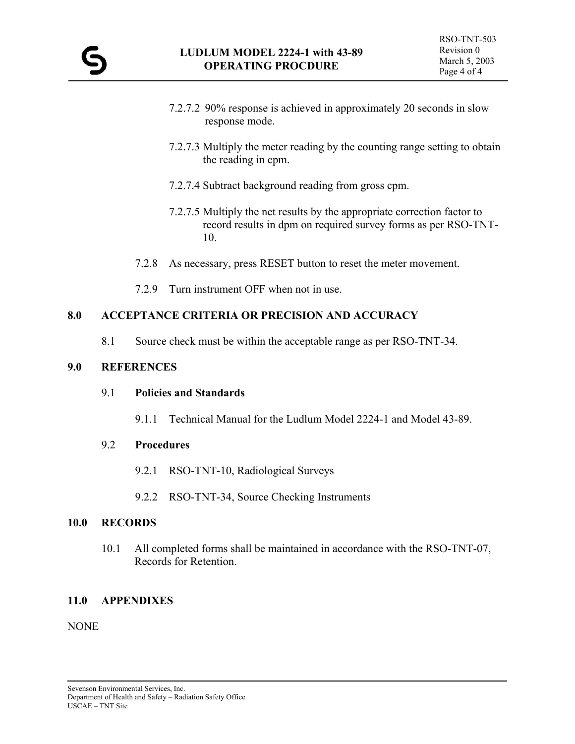- 7.2.7.2 90% response is achieved in approximately 20 seconds in slow response mode.
- 7.2.7.3 Multiply the meter reading by the counting range setting to obtain the reading in cpm.
- 7.2.7.4 Subtract background reading from gross cpm.
- 7.2.7.5 Multiply the net results by the appropriate correction factor to record results in dpm on required survey forms as per RSO-TNT-10.
- 7.2.8 As necessary, press RESET button to reset the meter movement.
- 7.2.9 Turn instrument OFF when not in use.

8.1 Source check must be within the acceptable range as per RSO-TNT-34.

#### **9.0 REFERENCES**

#### 9.1 **Policies and Standards**

9.1.1 Technical Manual for the Ludlum Model 2224-1 and Model 43-89.

#### 9.2 **Procedures**

- 9.2.1 RSO-TNT-10, Radiological Surveys
- 9.2.2 RSO-TNT-34, Source Checking Instruments

#### **10.0 RECORDS**

 10.1 All completed forms shall be maintained in accordance with the RSO-TNT-07, Records for Retention.

#### **11.0 APPENDIXES**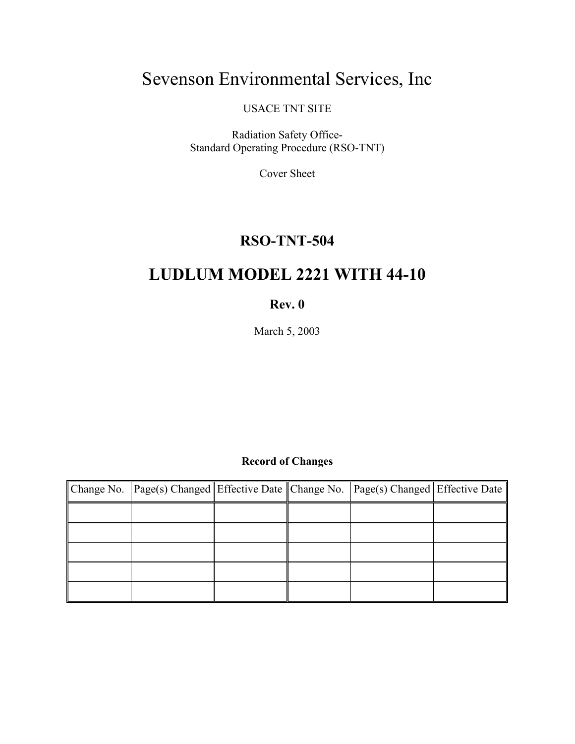# Sevenson Environmental Services, Inc

USACE TNT SITE

Radiation Safety Office-Standard Operating Procedure (RSO-TNT)

Cover Sheet

### **RSO-TNT-504**

## **LUDLUM MODEL 2221 WITH 44-10**

#### **Rev. 0**

March 5, 2003

#### **Record of Changes**

| Change No. Page(s) Changed Effective Date Change No. Page(s) Changed Effective Date |  |  |
|-------------------------------------------------------------------------------------|--|--|
|                                                                                     |  |  |
|                                                                                     |  |  |
|                                                                                     |  |  |
|                                                                                     |  |  |
|                                                                                     |  |  |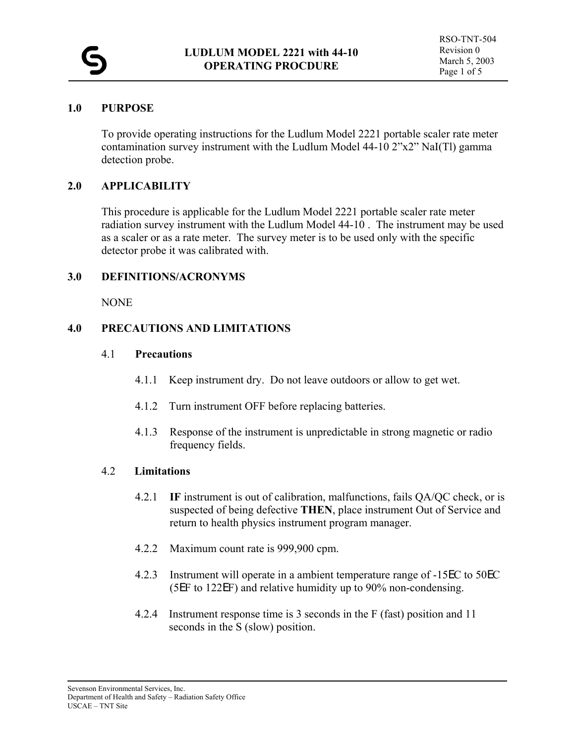#### **1.0 PURPOSE**

To provide operating instructions for the Ludlum Model 2221 portable scaler rate meter contamination survey instrument with the Ludlum Model 44-10 2"x2" NaI(Tl) gamma detection probe.

#### **2.0 APPLICABILITY**

This procedure is applicable for the Ludlum Model 2221 portable scaler rate meter radiation survey instrument with the Ludlum Model 44-10 . The instrument may be used as a scaler or as a rate meter. The survey meter is to be used only with the specific detector probe it was calibrated with.

#### **3.0 DEFINITIONS/ACRONYMS**

NONE

#### **4.0 PRECAUTIONS AND LIMITATIONS**

#### 4.1 **Precautions**

- 4.1.1 Keep instrument dry. Do not leave outdoors or allow to get wet.
- 4.1.2 Turn instrument OFF before replacing batteries.
- 4.1.3 Response of the instrument is unpredictable in strong magnetic or radio frequency fields.

#### 4.2 **Limitations**

- 4.2.1 **IF** instrument is out of calibration, malfunctions, fails QA/QC check, or is suspected of being defective **THEN**, place instrument Out of Service and return to health physics instrument program manager.
- 4.2.2 Maximum count rate is 999,900 cpm.
- 4.2.3 Instrument will operate in a ambient temperature range of -15EC to 50EC (5EF to 122EF) and relative humidity up to 90% non-condensing.
- 4.2.4 Instrument response time is 3 seconds in the F (fast) position and 11 seconds in the S (slow) position.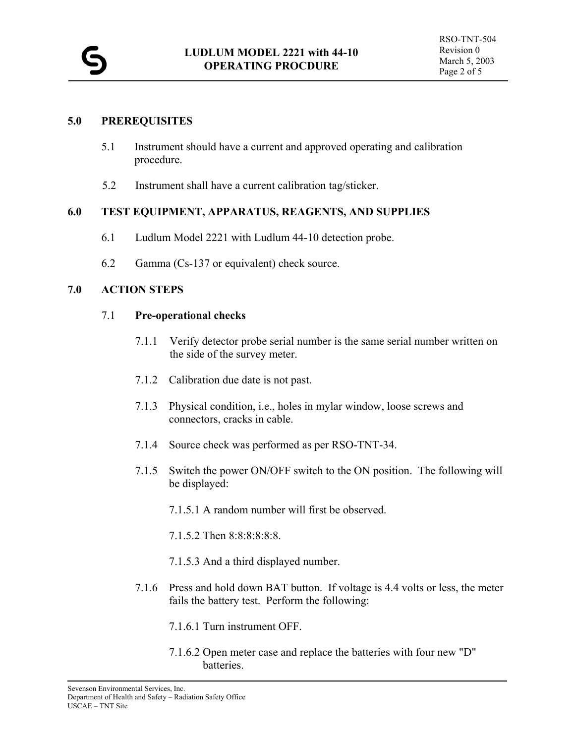#### **5.0 PREREQUISITES**

- 5.1 Instrument should have a current and approved operating and calibration procedure.
- 5.2 Instrument shall have a current calibration tag/sticker.

#### **6.0 TEST EQUIPMENT, APPARATUS, REAGENTS, AND SUPPLIES**

- 6.1 Ludlum Model 2221 with Ludlum 44-10 detection probe.
- 6.2 Gamma (Cs-137 or equivalent) check source.

#### **7.0 ACTION STEPS**

#### 7.1 **Pre-operational checks**

- 7.1.1 Verify detector probe serial number is the same serial number written on the side of the survey meter.
- 7.1.2 Calibration due date is not past.
- 7.1.3 Physical condition, i.e., holes in mylar window, loose screws and connectors, cracks in cable.
- 7.1.4 Source check was performed as per RSO-TNT-34.
- 7.1.5 Switch the power ON/OFF switch to the ON position. The following will be displayed:
	- 7.1.5.1 A random number will first be observed.
	- 7.1.5.2 Then 8:8:8:8:8:8.
	- 7.1.5.3 And a third displayed number.
- 7.1.6 Press and hold down BAT button. If voltage is 4.4 volts or less, the meter fails the battery test. Perform the following:
	- 7.1.6.1 Turn instrument OFF.
	- 7.1.6.2 Open meter case and replace the batteries with four new "D" batteries.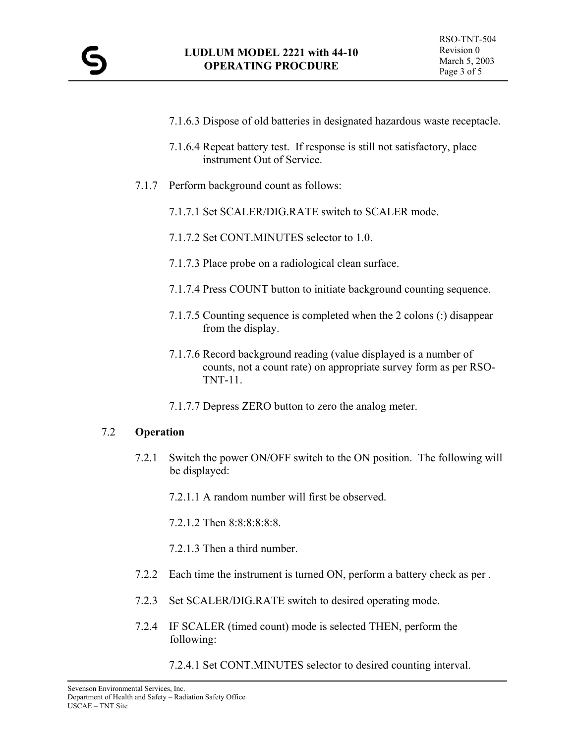- 7.1.6.3 Dispose of old batteries in designated hazardous waste receptacle.
- 7.1.6.4 Repeat battery test. If response is still not satisfactory, place instrument Out of Service.
- 7.1.7 Perform background count as follows:
	- 7.1.7.1 Set SCALER/DIG.RATE switch to SCALER mode.
	- 7.1.7.2 Set CONT.MINUTES selector to 1.0.
	- 7.1.7.3 Place probe on a radiological clean surface.
	- 7.1.7.4 Press COUNT button to initiate background counting sequence.
	- 7.1.7.5 Counting sequence is completed when the 2 colons (:) disappear from the display.
	- 7.1.7.6 Record background reading (value displayed is a number of counts, not a count rate) on appropriate survey form as per RSO-TNT-11.
	- 7.1.7.7 Depress ZERO button to zero the analog meter.

#### 7.2 **Operation**

- 7.2.1 Switch the power ON/OFF switch to the ON position. The following will be displayed:
	- 7.2.1.1 A random number will first be observed.
	- 7.2.1.2 Then 8:8:8:8:8:8.
	- 7.2.1.3 Then a third number.
- 7.2.2 Each time the instrument is turned ON, perform a battery check as per .
- 7.2.3 Set SCALER/DIG.RATE switch to desired operating mode.
- 7.2.4 IF SCALER (timed count) mode is selected THEN, perform the following:
	- 7.2.4.1 Set CONT.MINUTES selector to desired counting interval.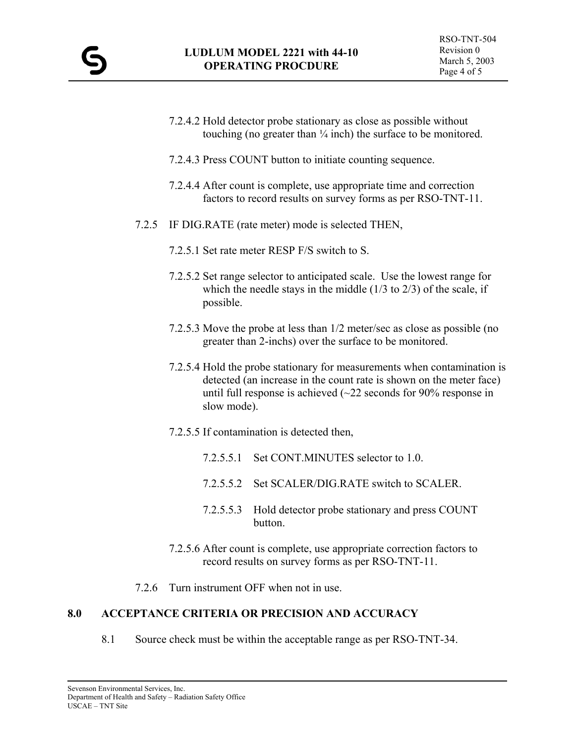- 7.2.4.2 Hold detector probe stationary as close as possible without touching (no greater than  $\frac{1}{4}$  inch) the surface to be monitored.
- 7.2.4.3 Press COUNT button to initiate counting sequence.
- 7.2.4.4 After count is complete, use appropriate time and correction factors to record results on survey forms as per RSO-TNT-11.
- 7.2.5 IF DIG.RATE (rate meter) mode is selected THEN,
	- 7.2.5.1 Set rate meter RESP F/S switch to S.
	- 7.2.5.2 Set range selector to anticipated scale. Use the lowest range for which the needle stays in the middle  $(1/3 \text{ to } 2/3)$  of the scale, if possible.
	- 7.2.5.3 Move the probe at less than 1/2 meter/sec as close as possible (no greater than 2-inchs) over the surface to be monitored.
	- 7.2.5.4 Hold the probe stationary for measurements when contamination is detected (an increase in the count rate is shown on the meter face) until full response is achieved  $\left(\sim 22 \text{ seconds for } 90\% \text{ response in}\right)$ slow mode).
	- 7.2.5.5 If contamination is detected then,
		- 7.2.5.5.1 Set CONT.MINUTES selector to 1.0.
		- 7.2.5.5.2 Set SCALER/DIG.RATE switch to SCALER.
		- 7.2.5.5.3 Hold detector probe stationary and press COUNT button.
	- 7.2.5.6 After count is complete, use appropriate correction factors to record results on survey forms as per RSO-TNT-11.
- 7.2.6 Turn instrument OFF when not in use.

8.1 Source check must be within the acceptable range as per RSO-TNT-34.